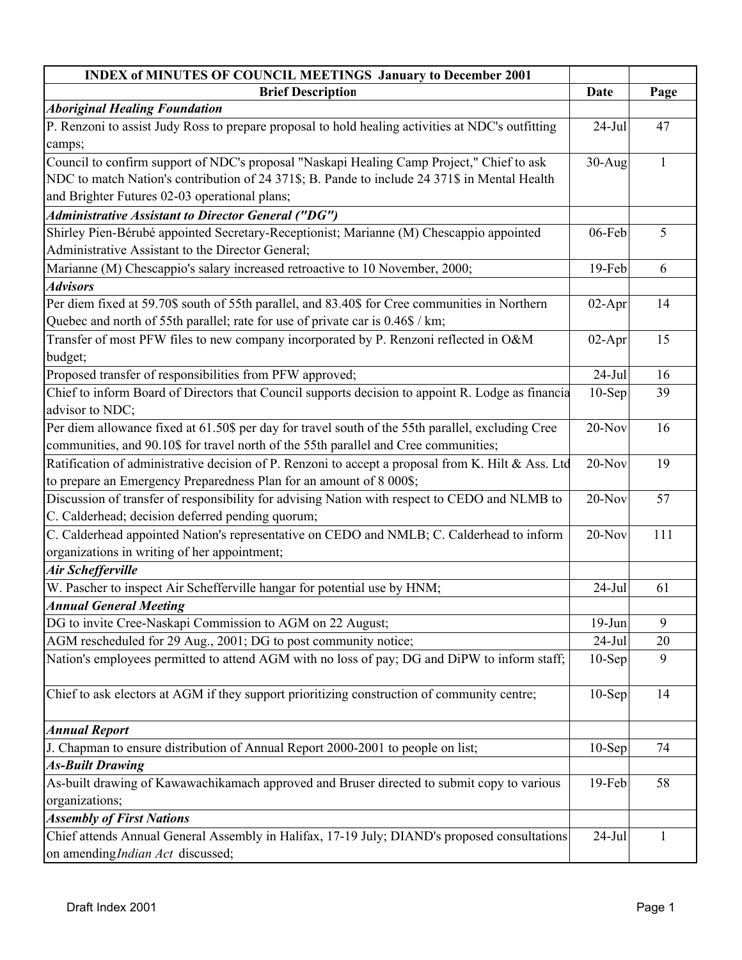| <b>INDEX of MINUTES OF COUNCIL MEETINGS January to December 2001</b>                                                              |           |      |
|-----------------------------------------------------------------------------------------------------------------------------------|-----------|------|
| <b>Brief Description</b>                                                                                                          | Date      | Page |
| <b>Aboriginal Healing Foundation</b>                                                                                              |           |      |
| P. Renzoni to assist Judy Ross to prepare proposal to hold healing activities at NDC's outfitting                                 | $24-Jul$  | 47   |
| camps;                                                                                                                            |           |      |
| Council to confirm support of NDC's proposal "Naskapi Healing Camp Project," Chief to ask                                         | $30-Aug$  | 1    |
| NDC to match Nation's contribution of 24 371\$; B. Pande to include 24 371\$ in Mental Health                                     |           |      |
| and Brighter Futures 02-03 operational plans;                                                                                     |           |      |
| <b>Administrative Assistant to Director General ("DG")</b>                                                                        |           |      |
| Shirley Pien-Bérubé appointed Secretary-Receptionist; Marianne (M) Chescappio appointed                                           | 06-Feb    | 5    |
| Administrative Assistant to the Director General;                                                                                 |           |      |
| Marianne (M) Chescappio's salary increased retroactive to 10 November, 2000;                                                      | 19-Feb    | 6    |
| <b>Advisors</b>                                                                                                                   |           |      |
| Per diem fixed at 59.70\$ south of 55th parallel, and 83.40\$ for Cree communities in Northern                                    | $02-Apr$  | 14   |
| Quebec and north of 55th parallel; rate for use of private car is 0.46\$ / km;                                                    |           |      |
| Transfer of most PFW files to new company incorporated by P. Renzoni reflected in O&M                                             | $02-Apr$  | 15   |
| budget;                                                                                                                           |           |      |
| Proposed transfer of responsibilities from PFW approved;                                                                          | $24-Jul$  | 16   |
| Chief to inform Board of Directors that Council supports decision to appoint R. Lodge as financia                                 | $10-Sep$  | 39   |
| advisor to NDC;                                                                                                                   |           |      |
| Per diem allowance fixed at 61.50\$ per day for travel south of the 55th parallel, excluding Cree                                 | $20-Nov$  | 16   |
| communities, and 90.10\$ for travel north of the 55th parallel and Cree communities;                                              |           |      |
| Ratification of administrative decision of P. Renzoni to accept a proposal from K. Hilt & Ass. Ltd                                | 20-Nov    | 19   |
| to prepare an Emergency Preparedness Plan for an amount of 8 000\$;                                                               |           |      |
| Discussion of transfer of responsibility for advising Nation with respect to CEDO and NLMB to                                     | $20-Nov$  | 57   |
| C. Calderhead; decision deferred pending quorum;                                                                                  |           |      |
| C. Calderhead appointed Nation's representative on CEDO and NMLB; C. Calderhead to inform                                         | $20-Nov$  | 111  |
| organizations in writing of her appointment;                                                                                      |           |      |
| <b>Air Schefferville</b>                                                                                                          |           |      |
| W. Pascher to inspect Air Schefferville hangar for potential use by HNM;                                                          | $24-Jul$  | 61   |
| <b>Annual General Meeting</b>                                                                                                     |           |      |
| DG to invite Cree-Naskapi Commission to AGM on 22 August;                                                                         | $19-Jun$  | 9    |
| AGM rescheduled for 29 Aug., 2001; DG to post community notice;                                                                   | $24-Jul$  | 20   |
| Nation's employees permitted to attend AGM with no loss of pay; DG and DiPW to inform staff;                                      | $10-Sep$  | 9    |
| Chief to ask electors at AGM if they support prioritizing construction of community centre;                                       | $10-$ Sep | 14   |
|                                                                                                                                   |           |      |
| <b>Annual Report</b>                                                                                                              |           |      |
| J. Chapman to ensure distribution of Annual Report 2000-2001 to people on list;                                                   | $10-Sep$  | 74   |
| <b>As-Built Drawing</b>                                                                                                           |           |      |
| As-built drawing of Kawawachikamach approved and Bruser directed to submit copy to various                                        | 19-Feb    | 58   |
| organizations;                                                                                                                    |           |      |
| <b>Assembly of First Nations</b>                                                                                                  |           |      |
| Chief attends Annual General Assembly in Halifax, 17-19 July; DIAND's proposed consultations<br>on amending Indian Act discussed; | $24-Jul$  | 1    |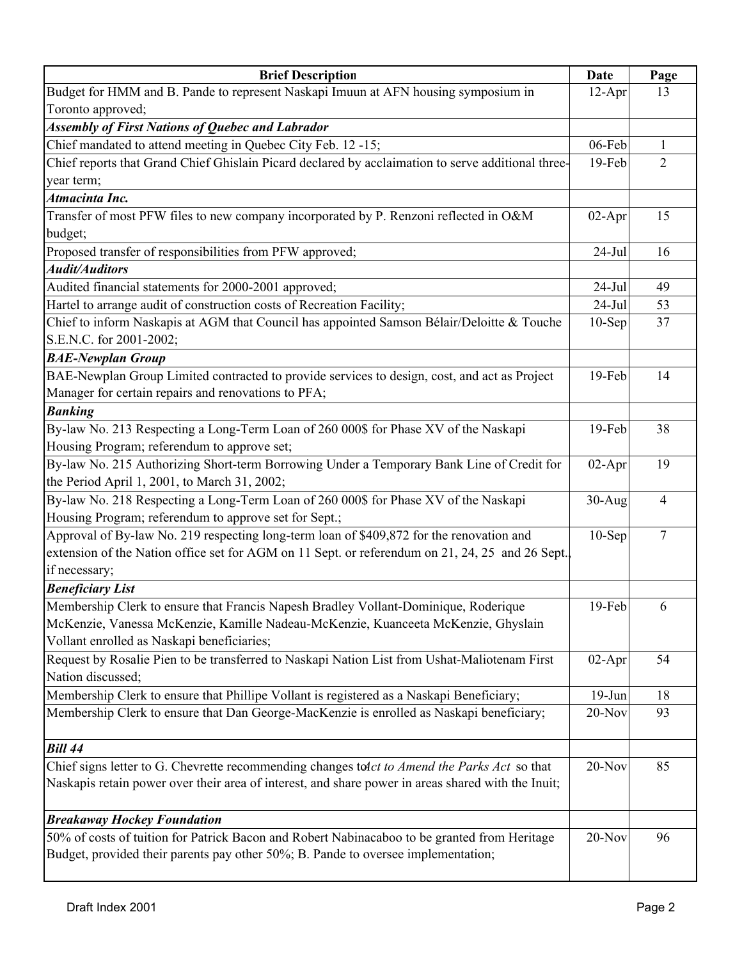| <b>Brief Description</b>                                                                           | Date      | Page           |
|----------------------------------------------------------------------------------------------------|-----------|----------------|
| Budget for HMM and B. Pande to represent Naskapi Imuun at AFN housing symposium in                 | $12-Apr$  | 13             |
| Toronto approved;                                                                                  |           |                |
| <b>Assembly of First Nations of Quebec and Labrador</b>                                            |           |                |
| Chief mandated to attend meeting in Quebec City Feb. 12 -15;                                       | 06-Feb    | 1              |
| Chief reports that Grand Chief Ghislain Picard declared by acclaimation to serve additional three- | 19-Feb    | $\overline{2}$ |
| year term;                                                                                         |           |                |
| Atmacinta Inc.                                                                                     |           |                |
| Transfer of most PFW files to new company incorporated by P. Renzoni reflected in O&M              | $02-Apr$  | 15             |
| budget;                                                                                            |           |                |
| Proposed transfer of responsibilities from PFW approved;                                           | $24-Jul$  | 16             |
| <b>Audit/Auditors</b>                                                                              |           |                |
| Audited financial statements for 2000-2001 approved;                                               | $24-Jul$  | 49             |
| Hartel to arrange audit of construction costs of Recreation Facility;                              | $24-Jul$  | 53             |
| Chief to inform Naskapis at AGM that Council has appointed Samson Bélair/Deloitte & Touche         | $10-Sep$  | 37             |
| S.E.N.C. for 2001-2002;                                                                            |           |                |
| <b>BAE-Newplan Group</b>                                                                           |           |                |
| BAE-Newplan Group Limited contracted to provide services to design, cost, and act as Project       | 19-Feb    | 14             |
| Manager for certain repairs and renovations to PFA;                                                |           |                |
| <b>Banking</b>                                                                                     |           |                |
| By-law No. 213 Respecting a Long-Term Loan of 260 000\$ for Phase XV of the Naskapi                | 19-Feb    | 38             |
| Housing Program; referendum to approve set;                                                        |           |                |
| By-law No. 215 Authorizing Short-term Borrowing Under a Temporary Bank Line of Credit for          | $02-Apr$  | 19             |
| the Period April 1, 2001, to March 31, 2002;                                                       |           |                |
| By-law No. 218 Respecting a Long-Term Loan of 260 000\$ for Phase XV of the Naskapi                | $30-Aug$  | 4              |
| Housing Program; referendum to approve set for Sept.;                                              |           |                |
| Approval of By-law No. 219 respecting long-term loan of \$409,872 for the renovation and           | $10-$ Sep | $\overline{7}$ |
| extension of the Nation office set for AGM on 11 Sept. or referendum on 21, 24, 25 and 26 Sept.    |           |                |
| if necessary;                                                                                      |           |                |
| <b>Beneficiary List</b>                                                                            |           |                |
| Membership Clerk to ensure that Francis Napesh Bradley Vollant-Dominique, Roderique                | 19-Feb    | 6              |
| McKenzie, Vanessa McKenzie, Kamille Nadeau-McKenzie, Kuanceeta McKenzie, Ghyslain                  |           |                |
| Vollant enrolled as Naskapi beneficiaries;                                                         |           |                |
| Request by Rosalie Pien to be transferred to Naskapi Nation List from Ushat-Maliotenam First       | $02-Apr$  | 54             |
| Nation discussed;                                                                                  |           |                |
| Membership Clerk to ensure that Phillipe Vollant is registered as a Naskapi Beneficiary;           | $19-Jun$  | 18             |
| Membership Clerk to ensure that Dan George-MacKenzie is enrolled as Naskapi beneficiary;           | 20-Nov    | 93             |
|                                                                                                    |           |                |
| <b>Bill 44</b>                                                                                     |           |                |
| Chief signs letter to G. Chevrette recommending changes to dct to Amend the Parks Act so that      | 20-Nov    | 85             |
| Naskapis retain power over their area of interest, and share power in areas shared with the Inuit; |           |                |
|                                                                                                    |           |                |
| <b>Breakaway Hockey Foundation</b>                                                                 |           |                |
| 50% of costs of tuition for Patrick Bacon and Robert Nabinacaboo to be granted from Heritage       | 20-Nov    | 96             |
| Budget, provided their parents pay other 50%; B. Pande to oversee implementation;                  |           |                |
|                                                                                                    |           |                |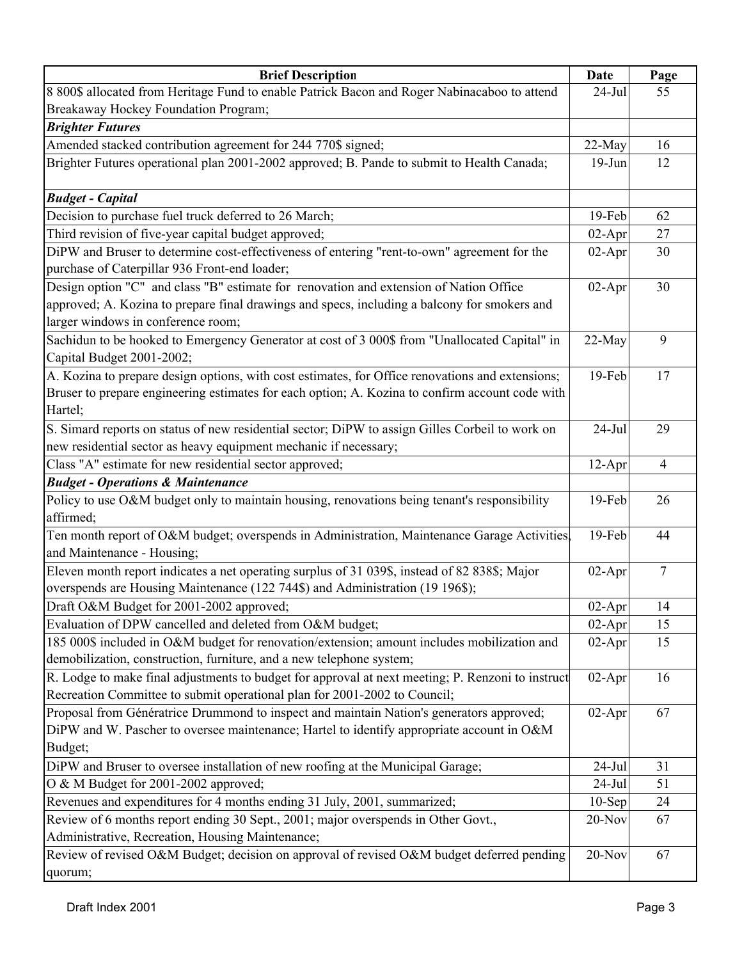| <b>Brief Description</b>                                                                          | Date      | Page           |
|---------------------------------------------------------------------------------------------------|-----------|----------------|
| 8 800\$ allocated from Heritage Fund to enable Patrick Bacon and Roger Nabinacaboo to attend      | $24-Jul$  | 55             |
| Breakaway Hockey Foundation Program;                                                              |           |                |
| <b>Brighter Futures</b>                                                                           |           |                |
| Amended stacked contribution agreement for 244 770\$ signed;                                      | 22-May    | 16             |
| Brighter Futures operational plan 2001-2002 approved; B. Pande to submit to Health Canada;        | $19-Jun$  | 12             |
|                                                                                                   |           |                |
| <b>Budget - Capital</b>                                                                           |           |                |
| Decision to purchase fuel truck deferred to 26 March;                                             | $19$ -Feb | 62             |
| Third revision of five-year capital budget approved;                                              | $02-Apr$  | 27             |
| DiPW and Bruser to determine cost-effectiveness of entering "rent-to-own" agreement for the       | $02-Apr$  | 30             |
| purchase of Caterpillar 936 Front-end loader;                                                     |           |                |
| Design option "C" and class "B" estimate for renovation and extension of Nation Office            | $02-Apr$  | 30             |
| approved; A. Kozina to prepare final drawings and specs, including a balcony for smokers and      |           |                |
| larger windows in conference room;                                                                |           |                |
| Sachidun to be hooked to Emergency Generator at cost of 3 000\$ from "Unallocated Capital" in     | 22-May    | 9              |
| Capital Budget 2001-2002;                                                                         |           |                |
| A. Kozina to prepare design options, with cost estimates, for Office renovations and extensions;  | 19-Feb    | 17             |
| Bruser to prepare engineering estimates for each option; A. Kozina to confirm account code with   |           |                |
| Hartel;                                                                                           |           |                |
| S. Simard reports on status of new residential sector; DiPW to assign Gilles Corbeil to work on   | $24$ -Jul | 29             |
| new residential sector as heavy equipment mechanic if necessary;                                  |           |                |
| Class "A" estimate for new residential sector approved;                                           | $12-Apr$  | $\overline{4}$ |
| <b>Budget - Operations &amp; Maintenance</b>                                                      |           |                |
| Policy to use O&M budget only to maintain housing, renovations being tenant's responsibility      | 19-Feb    | 26             |
| affirmed;                                                                                         |           |                |
| Ten month report of O&M budget; overspends in Administration, Maintenance Garage Activities,      | 19-Feb    | 44             |
| and Maintenance - Housing;                                                                        |           |                |
| Eleven month report indicates a net operating surplus of 31 039\$, instead of 82 838\$; Major     | $02-Apr$  | 7              |
| overspends are Housing Maintenance (122 744\$) and Administration (19 196\$);                     |           |                |
| Draft O&M Budget for 2001-2002 approved;                                                          | $02-Apr$  | 14             |
| Evaluation of DPW cancelled and deleted from O&M budget;                                          | $02-Apr$  | 15             |
| 185 000\$ included in O&M budget for renovation/extension; amount includes mobilization and       | $02-Apr$  | 15             |
| demobilization, construction, furniture, and a new telephone system;                              |           |                |
| R. Lodge to make final adjustments to budget for approval at next meeting; P. Renzoni to instruct | $02-Apr$  | 16             |
| Recreation Committee to submit operational plan for 2001-2002 to Council;                         |           |                |
| Proposal from Génératrice Drummond to inspect and maintain Nation's generators approved;          | $02-Apr$  | 67             |
| DiPW and W. Pascher to oversee maintenance; Hartel to identify appropriate account in O&M         |           |                |
| Budget;                                                                                           |           |                |
| DiPW and Bruser to oversee installation of new roofing at the Municipal Garage;                   | $24$ -Jul | 31             |
| O & M Budget for 2001-2002 approved;                                                              | $24$ -Jul | 51             |
| Revenues and expenditures for 4 months ending 31 July, 2001, summarized;                          | $10-Sep$  | 24             |
| Review of 6 months report ending 30 Sept., 2001; major overspends in Other Govt.,                 | $20$ -Nov | 67             |
| Administrative, Recreation, Housing Maintenance;                                                  |           |                |
| Review of revised O&M Budget; decision on approval of revised O&M budget deferred pending         | $20$ -Nov | 67             |
| quorum;                                                                                           |           |                |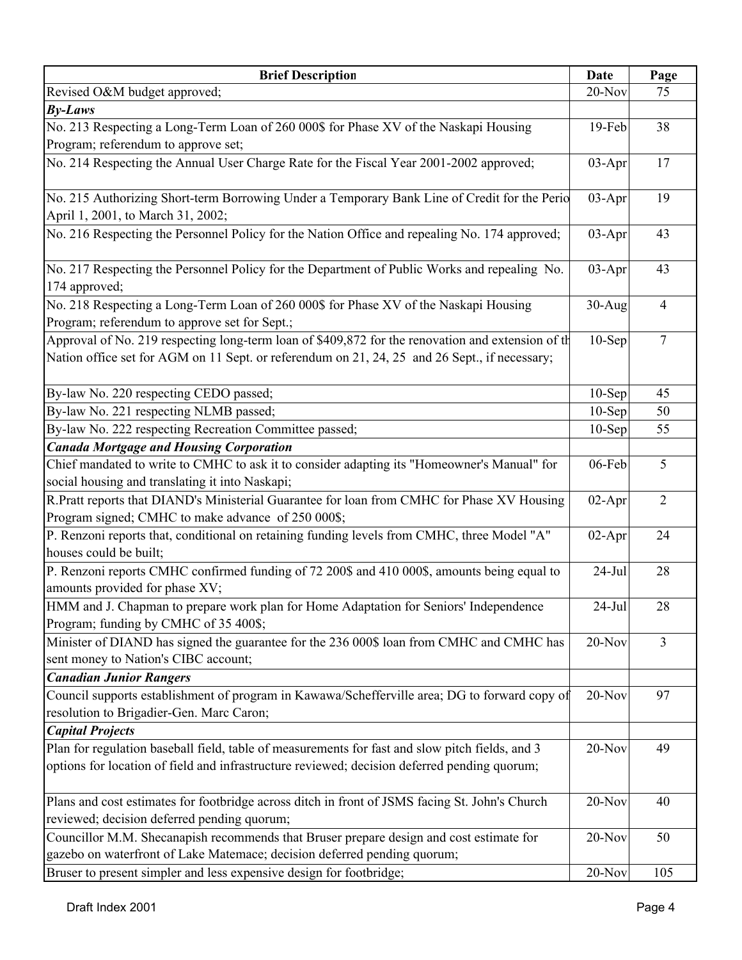| <b>Brief Description</b>                                                                          | Date      | Page           |
|---------------------------------------------------------------------------------------------------|-----------|----------------|
| Revised O&M budget approved;                                                                      | $20-Nov$  | 75             |
| $By-Laws$                                                                                         |           |                |
| No. 213 Respecting a Long-Term Loan of 260 000\$ for Phase XV of the Naskapi Housing              | $19$ -Feb | 38             |
| Program; referendum to approve set;                                                               |           |                |
| No. 214 Respecting the Annual User Charge Rate for the Fiscal Year 2001-2002 approved;            | 03-Apr    | 17             |
|                                                                                                   |           |                |
| No. 215 Authorizing Short-term Borrowing Under a Temporary Bank Line of Credit for the Perio      | 03-Apr    | 19             |
| April 1, 2001, to March 31, 2002;                                                                 |           |                |
| No. 216 Respecting the Personnel Policy for the Nation Office and repealing No. 174 approved;     | $03-Apr$  | 43             |
|                                                                                                   |           |                |
| No. 217 Respecting the Personnel Policy for the Department of Public Works and repealing No.      | 03-Apr    | 43             |
| 174 approved;                                                                                     |           |                |
| No. 218 Respecting a Long-Term Loan of 260 000\$ for Phase XV of the Naskapi Housing              | $30-Aug$  | $\overline{4}$ |
| Program; referendum to approve set for Sept.;                                                     |           |                |
| Approval of No. 219 respecting long-term loan of \$409,872 for the renovation and extension of th | $10-$ Sep | $\overline{7}$ |
| Nation office set for AGM on 11 Sept. or referendum on 21, 24, 25 and 26 Sept., if necessary;     |           |                |
|                                                                                                   |           |                |
| By-law No. 220 respecting CEDO passed;                                                            | $10-Sep$  | 45             |
| By-law No. 221 respecting NLMB passed;                                                            | $10-Sep$  | 50             |
| By-law No. 222 respecting Recreation Committee passed;                                            | $10-Sep$  | 55             |
| <b>Canada Mortgage and Housing Corporation</b>                                                    |           |                |
| Chief mandated to write to CMHC to ask it to consider adapting its "Homeowner's Manual" for       | 06-Feb    | 5              |
| social housing and translating it into Naskapi;                                                   |           |                |
| R.Pratt reports that DIAND's Ministerial Guarantee for loan from CMHC for Phase XV Housing        | $02-Apr$  | $\overline{2}$ |
| Program signed; CMHC to make advance of 250 000\$;                                                |           |                |
| P. Renzoni reports that, conditional on retaining funding levels from CMHC, three Model "A"       | $02-Apr$  | 24             |
| houses could be built;                                                                            |           |                |
| P. Renzoni reports CMHC confirmed funding of 72 200\$ and 410 000\$, amounts being equal to       | $24-Jul$  | 28             |
| amounts provided for phase XV;                                                                    |           |                |
| HMM and J. Chapman to prepare work plan for Home Adaptation for Seniors' Independence             | $24-Jul$  | 28             |
| Program; funding by CMHC of 35 400\$;                                                             |           |                |
| Minister of DIAND has signed the guarantee for the 236 000\$ loan from CMHC and CMHC has          | $20-Nov$  | $\overline{3}$ |
| sent money to Nation's CIBC account;                                                              |           |                |
| <b>Canadian Junior Rangers</b>                                                                    |           |                |
| Council supports establishment of program in Kawawa/Schefferville area; DG to forward copy of     | $20-Nov$  | 97             |
| resolution to Brigadier-Gen. Marc Caron;                                                          |           |                |
| <b>Capital Projects</b>                                                                           |           |                |
| Plan for regulation baseball field, table of measurements for fast and slow pitch fields, and 3   | 20-Nov    | 49             |
| options for location of field and infrastructure reviewed; decision deferred pending quorum;      |           |                |
|                                                                                                   |           |                |
| Plans and cost estimates for footbridge across ditch in front of JSMS facing St. John's Church    | 20-Nov    | 40             |
| reviewed; decision deferred pending quorum;                                                       |           |                |
| Councillor M.M. Shecanapish recommends that Bruser prepare design and cost estimate for           | 20-Nov    | 50             |
| gazebo on waterfront of Lake Matemace; decision deferred pending quorum;                          |           |                |
| Bruser to present simpler and less expensive design for footbridge;                               | $20-Nov$  | 105            |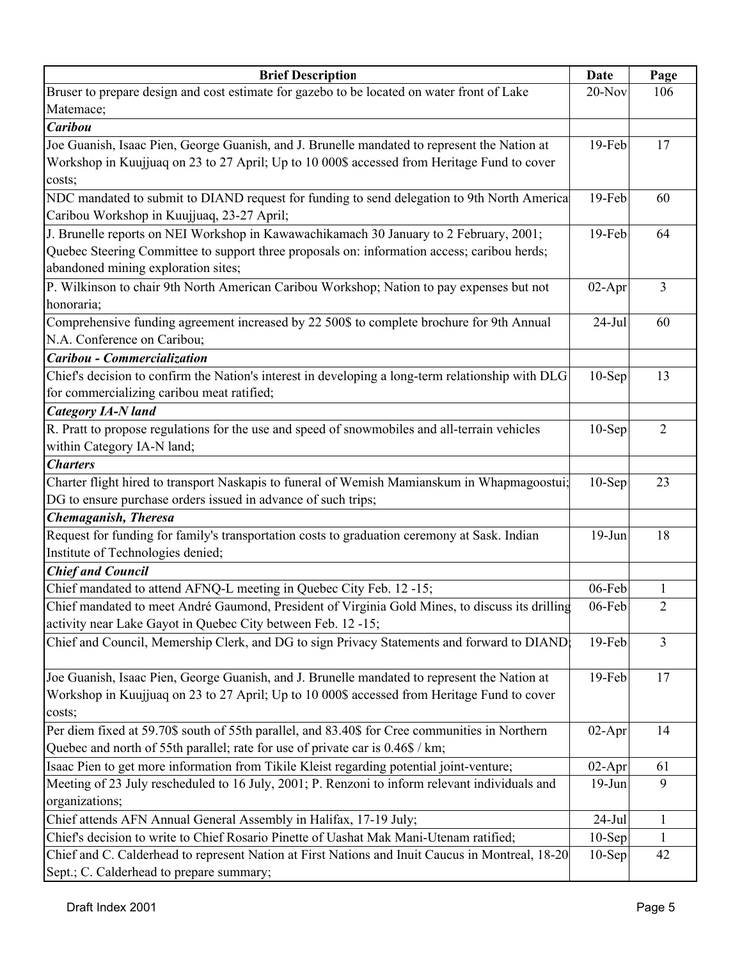| <b>Brief Description</b>                                                                          | Date      | Page           |
|---------------------------------------------------------------------------------------------------|-----------|----------------|
| Bruser to prepare design and cost estimate for gazebo to be located on water front of Lake        | $20-Nov$  | 106            |
| Matemace;                                                                                         |           |                |
| <b>Caribou</b>                                                                                    |           |                |
| Joe Guanish, Isaac Pien, George Guanish, and J. Brunelle mandated to represent the Nation at      | $19$ -Feb | 17             |
| Workshop in Kuujjuaq on 23 to 27 April; Up to 10 000\$ accessed from Heritage Fund to cover       |           |                |
| costs;                                                                                            |           |                |
| NDC mandated to submit to DIAND request for funding to send delegation to 9th North America       | 19-Feb    | 60             |
| Caribou Workshop in Kuujjuaq, 23-27 April;                                                        |           |                |
| J. Brunelle reports on NEI Workshop in Kawawachikamach 30 January to 2 February, 2001;            | 19-Feb    | 64             |
| Quebec Steering Committee to support three proposals on: information access; caribou herds;       |           |                |
| abandoned mining exploration sites;                                                               |           |                |
| P. Wilkinson to chair 9th North American Caribou Workshop; Nation to pay expenses but not         | $02-Apr$  | 3              |
| honoraria;                                                                                        |           |                |
| Comprehensive funding agreement increased by 22 500\$ to complete brochure for 9th Annual         | $24$ -Jul | 60             |
| N.A. Conference on Caribou;                                                                       |           |                |
| Caribou - Commercialization                                                                       |           |                |
| Chief's decision to confirm the Nation's interest in developing a long-term relationship with DLG | $10-$ Sep | 13             |
| for commercializing caribou meat ratified;                                                        |           |                |
| <b>Category IA-N land</b>                                                                         |           |                |
| R. Pratt to propose regulations for the use and speed of snowmobiles and all-terrain vehicles     | $10-$ Sep | $\overline{2}$ |
| within Category IA-N land;                                                                        |           |                |
| <b>Charters</b>                                                                                   |           |                |
| Charter flight hired to transport Naskapis to funeral of Wemish Mamianskum in Whapmagoostui;      | $10-Sep$  | 23             |
| DG to ensure purchase orders issued in advance of such trips;                                     |           |                |
| Chemaganish, Theresa                                                                              |           |                |
| Request for funding for family's transportation costs to graduation ceremony at Sask. Indian      | $19-Jun$  | 18             |
| Institute of Technologies denied;                                                                 |           |                |
| <b>Chief and Council</b>                                                                          |           |                |
| Chief mandated to attend AFNQ-L meeting in Quebec City Feb. 12 -15;                               | $06$ -Feb | 1              |
| Chief mandated to meet André Gaumond, President of Virginia Gold Mines, to discuss its drilling   | 06-Feb    | 2              |
| activity near Lake Gayot in Quebec City between Feb. 12 -15;                                      |           |                |
| Chief and Council, Memership Clerk, and DG to sign Privacy Statements and forward to DIAND:       | 19-Feb    | $\mathfrak{Z}$ |
|                                                                                                   |           |                |
| Joe Guanish, Isaac Pien, George Guanish, and J. Brunelle mandated to represent the Nation at      | 19-Feb    | 17             |
| Workshop in Kuujjuaq on 23 to 27 April; Up to 10 000\$ accessed from Heritage Fund to cover       |           |                |
| costs;                                                                                            |           |                |
| Per diem fixed at 59.70\$ south of 55th parallel, and 83.40\$ for Cree communities in Northern    | $02-Apr$  | 14             |
| Quebec and north of 55th parallel; rate for use of private car is 0.46\$ / km;                    |           |                |
| Isaac Pien to get more information from Tikile Kleist regarding potential joint-venture;          | $02-Apr$  | 61             |
| Meeting of 23 July rescheduled to 16 July, 2001; P. Renzoni to inform relevant individuals and    | $19-Jun$  | 9              |
| organizations;                                                                                    |           |                |
| Chief attends AFN Annual General Assembly in Halifax, 17-19 July;                                 | $24-Jul$  | $\mathbf{1}$   |
| Chief's decision to write to Chief Rosario Pinette of Uashat Mak Mani-Utenam ratified;            | $10-Sep$  | 1              |
| Chief and C. Calderhead to represent Nation at First Nations and Inuit Caucus in Montreal, 18-20  | $10-Sep$  | 42             |
| Sept.; C. Calderhead to prepare summary;                                                          |           |                |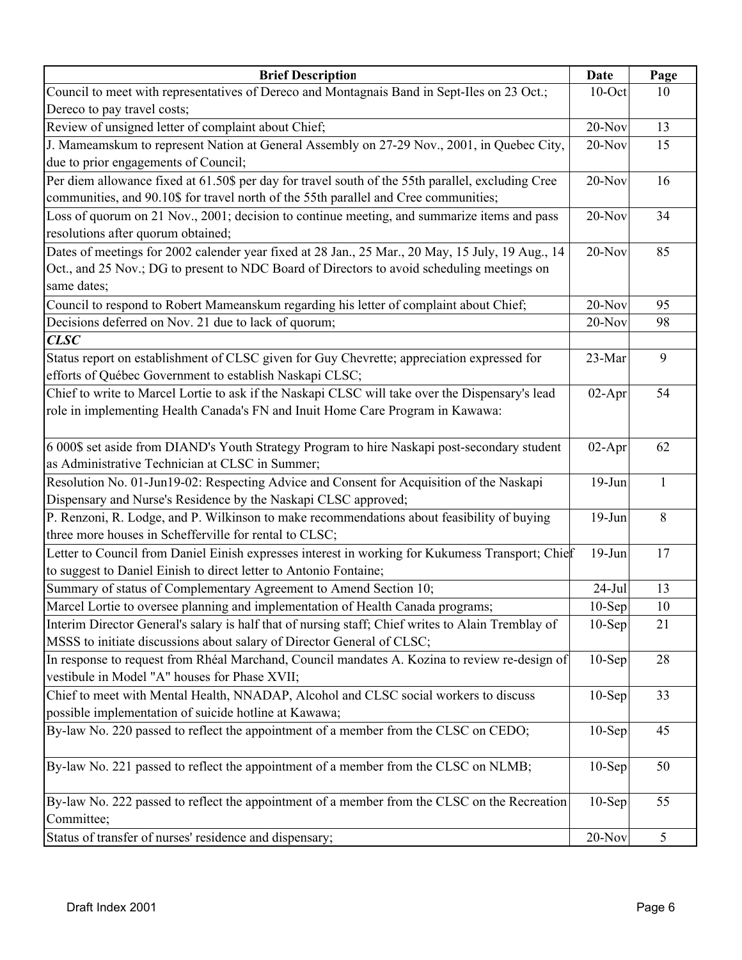| <b>Brief Description</b>                                                                           | Date      | Page |
|----------------------------------------------------------------------------------------------------|-----------|------|
| Council to meet with representatives of Dereco and Montagnais Band in Sept-Iles on 23 Oct.;        | $10$ -Oct | 10   |
| Dereco to pay travel costs;                                                                        |           |      |
| Review of unsigned letter of complaint about Chief;                                                | $20$ -Nov | 13   |
| J. Mameamskum to represent Nation at General Assembly on 27-29 Nov., 2001, in Quebec City,         | $20-Nov$  | 15   |
| due to prior engagements of Council;                                                               |           |      |
| Per diem allowance fixed at 61.50\$ per day for travel south of the 55th parallel, excluding Cree  | $20-Nov$  | 16   |
| communities, and 90.10\$ for travel north of the 55th parallel and Cree communities;               |           |      |
| Loss of quorum on 21 Nov., 2001; decision to continue meeting, and summarize items and pass        | $20-Nov$  | 34   |
| resolutions after quorum obtained;                                                                 |           |      |
| Dates of meetings for 2002 calender year fixed at 28 Jan., 25 Mar., 20 May, 15 July, 19 Aug., 14   | $20-Nov$  | 85   |
| Oct., and 25 Nov.; DG to present to NDC Board of Directors to avoid scheduling meetings on         |           |      |
| same dates;                                                                                        |           |      |
| Council to respond to Robert Mameanskum regarding his letter of complaint about Chief;             | 20-Nov    | 95   |
| Decisions deferred on Nov. 21 due to lack of quorum;                                               | $20-Nov$  | 98   |
| CLSC                                                                                               |           |      |
| Status report on establishment of CLSC given for Guy Chevrette; appreciation expressed for         | 23-Mar    | 9    |
| efforts of Québec Government to establish Naskapi CLSC;                                            |           |      |
| Chief to write to Marcel Lortie to ask if the Naskapi CLSC will take over the Dispensary's lead    | $02-Apr$  | 54   |
| role in implementing Health Canada's FN and Inuit Home Care Program in Kawawa:                     |           |      |
|                                                                                                    |           |      |
| 6 000\$ set aside from DIAND's Youth Strategy Program to hire Naskapi post-secondary student       | $02-Apr$  | 62   |
| as Administrative Technician at CLSC in Summer;                                                    |           |      |
| Resolution No. 01-Jun19-02: Respecting Advice and Consent for Acquisition of the Naskapi           | $19-Jun$  | 1    |
| Dispensary and Nurse's Residence by the Naskapi CLSC approved;                                     |           |      |
| P. Renzoni, R. Lodge, and P. Wilkinson to make recommendations about feasibility of buying         | $19-Jun$  | 8    |
| three more houses in Schefferville for rental to CLSC;                                             |           |      |
| Letter to Council from Daniel Einish expresses interest in working for Kukumess Transport; Chief   | $19-Jun$  | 17   |
| to suggest to Daniel Einish to direct letter to Antonio Fontaine;                                  |           |      |
| Summary of status of Complementary Agreement to Amend Section 10;                                  | $24-Jul$  | 13   |
| Marcel Lortie to oversee planning and implementation of Health Canada programs;                    | $10-Sep$  | 10   |
| Interim Director General's salary is half that of nursing staff; Chief writes to Alain Tremblay of | $10-Sep$  | 21   |
| MSSS to initiate discussions about salary of Director General of CLSC;                             |           |      |
| In response to request from Rhéal Marchand, Council mandates A. Kozina to review re-design of      | $10-Sep$  | 28   |
| vestibule in Model "A" houses for Phase XVII;                                                      |           |      |
| Chief to meet with Mental Health, NNADAP, Alcohol and CLSC social workers to discuss               | $10-Sep$  | 33   |
| possible implementation of suicide hotline at Kawawa;                                              |           |      |
| By-law No. 220 passed to reflect the appointment of a member from the CLSC on CEDO;                | $10-Sep$  | 45   |
|                                                                                                    |           |      |
| By-law No. 221 passed to reflect the appointment of a member from the CLSC on NLMB;                | $10-Sep$  | 50   |
|                                                                                                    |           |      |
| By-law No. 222 passed to reflect the appointment of a member from the CLSC on the Recreation       | $10-Sep$  | 55   |
| Committee;                                                                                         |           |      |
| Status of transfer of nurses' residence and dispensary;                                            | $20$ -Nov | 5    |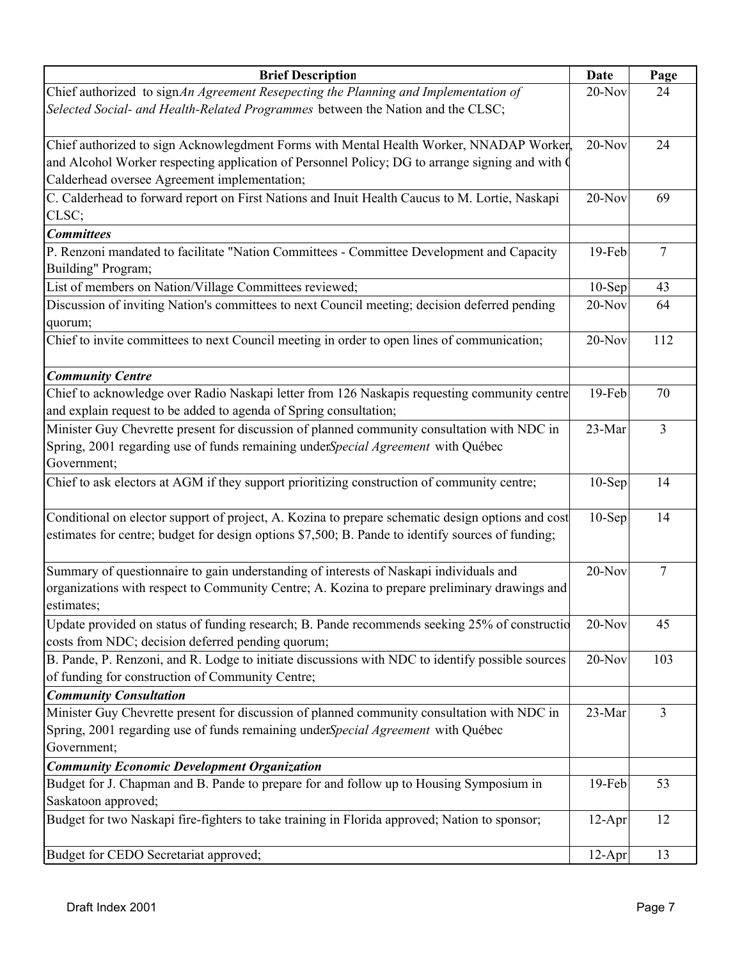| <b>Brief Description</b>                                                                                                                        | <b>Date</b> | Page            |
|-------------------------------------------------------------------------------------------------------------------------------------------------|-------------|-----------------|
| Chief authorized to sign An Agreement Resepecting the Planning and Implementation of                                                            | $20-Nov$    | 24              |
| Selected Social- and Health-Related Programmes between the Nation and the CLSC;                                                                 |             |                 |
|                                                                                                                                                 | $20-Nov$    | 24              |
| Chief authorized to sign Acknowlegdment Forms with Mental Health Worker, NNADAP Worker,                                                         |             |                 |
| and Alcohol Worker respecting application of Personnel Policy; DG to arrange signing and with O<br>Calderhead oversee Agreement implementation; |             |                 |
| C. Calderhead to forward report on First Nations and Inuit Health Caucus to M. Lortie, Naskapi                                                  | $20-Nov$    | 69              |
| CLSC;                                                                                                                                           |             |                 |
| <b>Committees</b>                                                                                                                               |             |                 |
| P. Renzoni mandated to facilitate "Nation Committees - Committee Development and Capacity<br>Building" Program;                                 | 19-Feb      | $\overline{7}$  |
| List of members on Nation/Village Committees reviewed;                                                                                          | $10-Sep$    | 43              |
| Discussion of inviting Nation's committees to next Council meeting; decision deferred pending                                                   | 20-Nov      | 64              |
| quorum;                                                                                                                                         |             |                 |
| Chief to invite committees to next Council meeting in order to open lines of communication;                                                     | 20-Nov      | 112             |
| <b>Community Centre</b>                                                                                                                         |             |                 |
| Chief to acknowledge over Radio Naskapi letter from 126 Naskapis requesting community centre                                                    | 19-Feb      | 70              |
| and explain request to be added to agenda of Spring consultation;                                                                               |             |                 |
| Minister Guy Chevrette present for discussion of planned community consultation with NDC in                                                     | 23-Mar      | $\overline{3}$  |
| Spring, 2001 regarding use of funds remaining underSpecial Agreement with Québec                                                                |             |                 |
| Government;                                                                                                                                     |             |                 |
| Chief to ask electors at AGM if they support prioritizing construction of community centre;                                                     | $10-Sep$    | 14              |
| Conditional on elector support of project, A. Kozina to prepare schematic design options and cost                                               | $10-$ Sep   | 14              |
| estimates for centre; budget for design options \$7,500; B. Pande to identify sources of funding;                                               |             |                 |
| Summary of questionnaire to gain understanding of interests of Naskapi individuals and                                                          | 20-Nov      | $7\phantom{.0}$ |
| organizations with respect to Community Centre; A. Kozina to prepare preliminary drawings and                                                   |             |                 |
| estimates;                                                                                                                                      |             |                 |
| Update provided on status of funding research; B. Pande recommends seeking 25% of constructio                                                   | 20-Nov      | 45              |
| costs from NDC; decision deferred pending quorum;                                                                                               |             |                 |
| B. Pande, P. Renzoni, and R. Lodge to initiate discussions with NDC to identify possible sources                                                | $20-Nov$    | 103             |
| of funding for construction of Community Centre;                                                                                                |             |                 |
| <b>Community Consultation</b>                                                                                                                   |             |                 |
| Minister Guy Chevrette present for discussion of planned community consultation with NDC in                                                     | 23-Mar      | $\mathfrak{Z}$  |
| Spring, 2001 regarding use of funds remaining under Special Agreement with Québec                                                               |             |                 |
| Government;                                                                                                                                     |             |                 |
| <b>Community Economic Development Organization</b>                                                                                              |             |                 |
| Budget for J. Chapman and B. Pande to prepare for and follow up to Housing Symposium in                                                         | 19-Feb      | 53              |
| Saskatoon approved;                                                                                                                             |             |                 |
| Budget for two Naskapi fire-fighters to take training in Florida approved; Nation to sponsor;                                                   | $12-Apr$    | 12              |
| Budget for CEDO Secretariat approved;                                                                                                           | $12-Apr$    | 13              |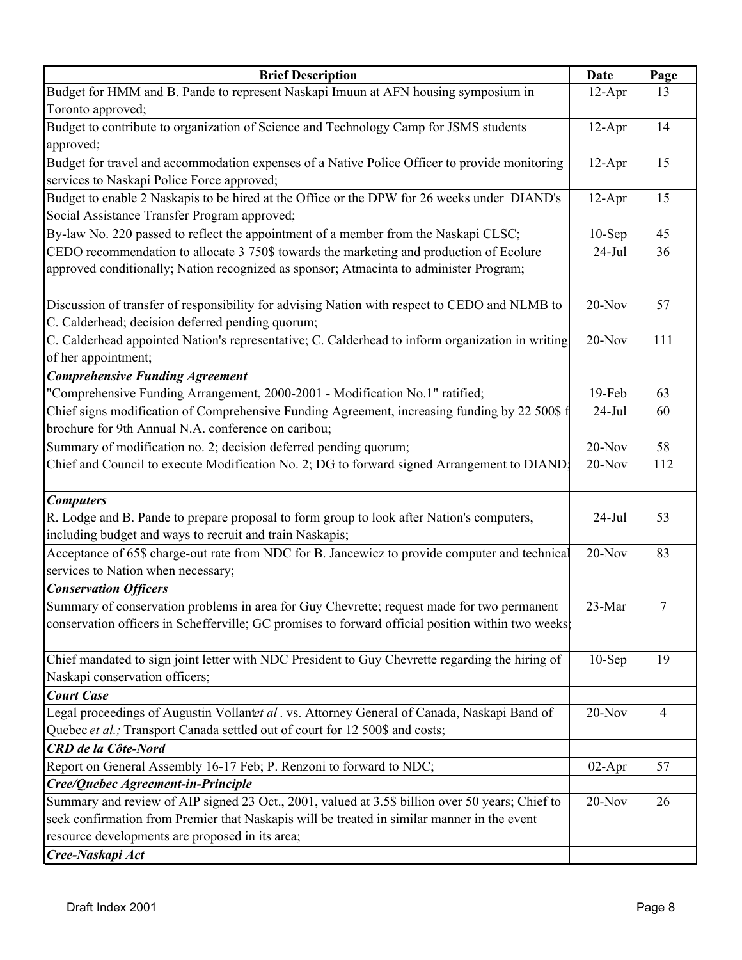| <b>Brief Description</b>                                                                          | Date     | Page           |
|---------------------------------------------------------------------------------------------------|----------|----------------|
| Budget for HMM and B. Pande to represent Naskapi Imuun at AFN housing symposium in                | $12-Apr$ | 13             |
| Toronto approved;                                                                                 |          |                |
| Budget to contribute to organization of Science and Technology Camp for JSMS students             | $12-Apr$ | 14             |
| approved;                                                                                         |          |                |
| Budget for travel and accommodation expenses of a Native Police Officer to provide monitoring     | $12-Apr$ | 15             |
| services to Naskapi Police Force approved;                                                        |          |                |
| Budget to enable 2 Naskapis to be hired at the Office or the DPW for 26 weeks under DIAND's       | $12-Apr$ | 15             |
| Social Assistance Transfer Program approved;                                                      |          |                |
| By-law No. 220 passed to reflect the appointment of a member from the Naskapi CLSC;               | $10-Sep$ | 45             |
| CEDO recommendation to allocate 3 750\$ towards the marketing and production of Ecolure           | $24-Jul$ | 36             |
| approved conditionally; Nation recognized as sponsor; Atmacinta to administer Program;            |          |                |
|                                                                                                   |          |                |
| Discussion of transfer of responsibility for advising Nation with respect to CEDO and NLMB to     | 20-Nov   | 57             |
| C. Calderhead; decision deferred pending quorum;                                                  |          |                |
| C. Calderhead appointed Nation's representative; C. Calderhead to inform organization in writing  | $20-Nov$ | 111            |
| of her appointment;                                                                               |          |                |
| <b>Comprehensive Funding Agreement</b>                                                            |          |                |
| "Comprehensive Funding Arrangement, 2000-2001 - Modification No.1" ratified;                      | 19-Feb   | 63             |
| Chief signs modification of Comprehensive Funding Agreement, increasing funding by 22 500\$ f     | $24-Jul$ | 60             |
| brochure for 9th Annual N.A. conference on caribou;                                               |          |                |
| Summary of modification no. 2; decision deferred pending quorum;                                  | $20-Nov$ | 58             |
| Chief and Council to execute Modification No. 2; DG to forward signed Arrangement to DIAND;       | $20-Nov$ | 112            |
|                                                                                                   |          |                |
| <b>Computers</b>                                                                                  |          |                |
| R. Lodge and B. Pande to prepare proposal to form group to look after Nation's computers,         | $24-Jul$ | 53             |
| including budget and ways to recruit and train Naskapis;                                          |          |                |
| Acceptance of 65\$ charge-out rate from NDC for B. Jancewicz to provide computer and technical    | $20-Nov$ | 83             |
| services to Nation when necessary;                                                                |          |                |
| <b>Conservation Officers</b>                                                                      |          |                |
| Summary of conservation problems in area for Guy Chevrette; request made for two permanent        | 23-Mar   | 7              |
| conservation officers in Schefferville; GC promises to forward official position within two weeks |          |                |
|                                                                                                   |          |                |
| Chief mandated to sign joint letter with NDC President to Guy Chevrette regarding the hiring of   | $10-Sep$ | 19             |
| Naskapi conservation officers;                                                                    |          |                |
| <b>Court Case</b>                                                                                 |          |                |
| Legal proceedings of Augustin Vollantet al. vs. Attorney General of Canada, Naskapi Band of       | 20-Nov   | $\overline{4}$ |
| Quebec et al.; Transport Canada settled out of court for 12 500\$ and costs;                      |          |                |
| <b>CRD</b> de la Côte-Nord                                                                        |          |                |
| Report on General Assembly 16-17 Feb; P. Renzoni to forward to NDC;                               | $02-Apr$ | 57             |
| Cree/Quebec Agreement-in-Principle                                                                |          |                |
| Summary and review of AIP signed 23 Oct., 2001, valued at 3.5\$ billion over 50 years; Chief to   | 20-Nov   | 26             |
| seek confirmation from Premier that Naskapis will be treated in similar manner in the event       |          |                |
| resource developments are proposed in its area;                                                   |          |                |
| Cree-Naskapi Act                                                                                  |          |                |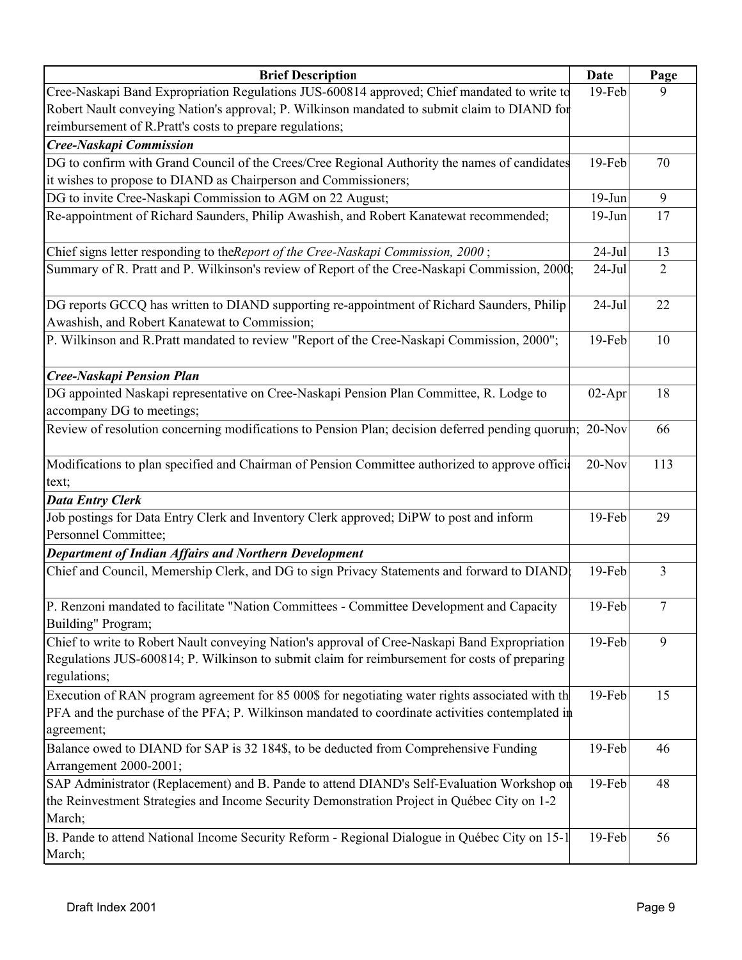| <b>Brief Description</b>                                                                                | Date      | Page           |
|---------------------------------------------------------------------------------------------------------|-----------|----------------|
| Cree-Naskapi Band Expropriation Regulations JUS-600814 approved; Chief mandated to write to             | 19-Feb    | 9              |
| Robert Nault conveying Nation's approval; P. Wilkinson mandated to submit claim to DIAND for            |           |                |
| reimbursement of R.Pratt's costs to prepare regulations;                                                |           |                |
| Cree-Naskapi Commission                                                                                 |           |                |
| DG to confirm with Grand Council of the Crees/Cree Regional Authority the names of candidates           | 19-Feb    | 70             |
| it wishes to propose to DIAND as Chairperson and Commissioners;                                         |           |                |
| DG to invite Cree-Naskapi Commission to AGM on 22 August;                                               | $19-Jun$  | 9              |
| Re-appointment of Richard Saunders, Philip Awashish, and Robert Kanatewat recommended;                  | $19-Jun$  | 17             |
|                                                                                                         |           |                |
| Chief signs letter responding to the Report of the Cree-Naskapi Commission, 2000;                       | $24-Jul$  | 13             |
| Summary of R. Pratt and P. Wilkinson's review of Report of the Cree-Naskapi Commission, 2000;           | $24-Jul$  | $\overline{2}$ |
|                                                                                                         |           |                |
| DG reports GCCQ has written to DIAND supporting re-appointment of Richard Saunders, Philip              | $24-Jul$  | 22             |
| Awashish, and Robert Kanatewat to Commission;                                                           |           |                |
| P. Wilkinson and R.Pratt mandated to review "Report of the Cree-Naskapi Commission, 2000";              | 19-Feb    | 10             |
|                                                                                                         |           |                |
| <b>Cree-Naskapi Pension Plan</b>                                                                        |           |                |
| DG appointed Naskapi representative on Cree-Naskapi Pension Plan Committee, R. Lodge to                 | $02-Apr$  | 18             |
| accompany DG to meetings;                                                                               |           |                |
| Review of resolution concerning modifications to Pension Plan; decision deferred pending quorum; 20-Nov |           | 66             |
|                                                                                                         |           |                |
| Modifications to plan specified and Chairman of Pension Committee authorized to approve official        | $20-Nov$  | 113            |
| text;                                                                                                   |           |                |
| <b>Data Entry Clerk</b>                                                                                 |           |                |
| Job postings for Data Entry Clerk and Inventory Clerk approved; DiPW to post and inform                 | 19-Feb    | 29             |
| Personnel Committee;                                                                                    |           |                |
| Department of Indian Affairs and Northern Development                                                   |           |                |
| Chief and Council, Memership Clerk, and DG to sign Privacy Statements and forward to DIAND;             | 19-Feb    | 3              |
|                                                                                                         |           |                |
| P. Renzoni mandated to facilitate "Nation Committees - Committee Development and Capacity               | 19-Feb    | $\tau$         |
| Building" Program;                                                                                      |           |                |
| Chief to write to Robert Nault conveying Nation's approval of Cree-Naskapi Band Expropriation           | 19-Feb    | 9              |
| Regulations JUS-600814; P. Wilkinson to submit claim for reimbursement for costs of preparing           |           |                |
| regulations;                                                                                            |           |                |
| Execution of RAN program agreement for 85 000\$ for negotiating water rights associated with th         | 19-Feb    | 15             |
| PFA and the purchase of the PFA; P. Wilkinson mandated to coordinate activities contemplated in         |           |                |
| agreement;                                                                                              |           |                |
| Balance owed to DIAND for SAP is 32 184\$, to be deducted from Comprehensive Funding                    | $19$ -Feb | 46             |
| Arrangement 2000-2001;                                                                                  |           |                |
| SAP Administrator (Replacement) and B. Pande to attend DIAND's Self-Evaluation Workshop on              | 19-Feb    | 48             |
| the Reinvestment Strategies and Income Security Demonstration Project in Québec City on 1-2             |           |                |
| March;                                                                                                  |           |                |
| B. Pande to attend National Income Security Reform - Regional Dialogue in Québec City on 15-1           | 19-Feb    | 56             |
| March;                                                                                                  |           |                |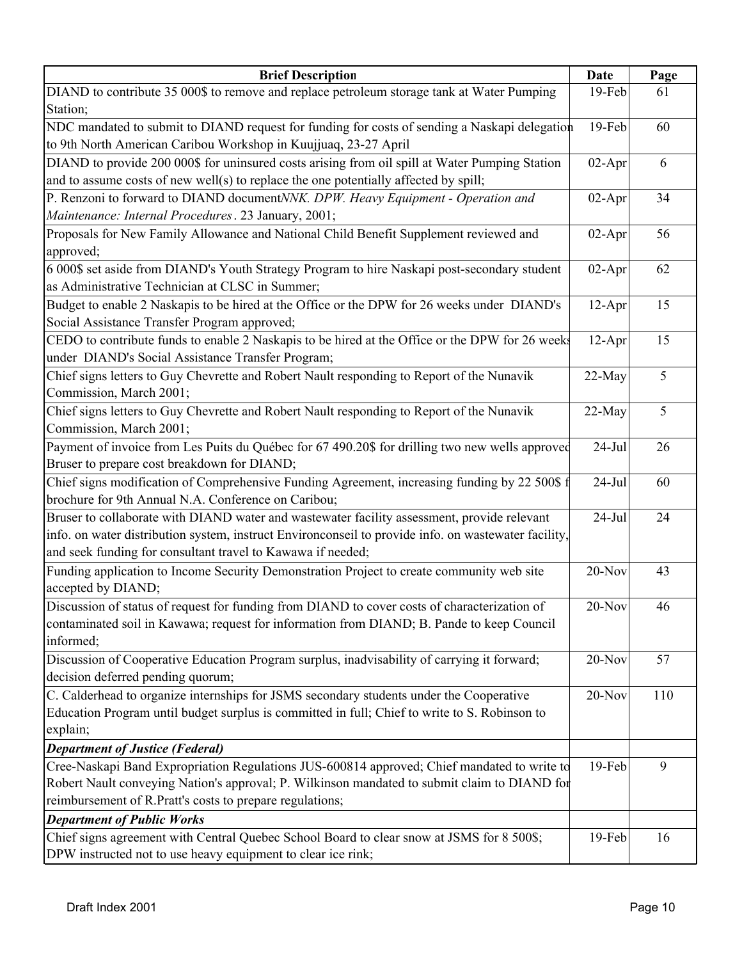| <b>Brief Description</b>                                                                             | Date     | Page |
|------------------------------------------------------------------------------------------------------|----------|------|
| DIAND to contribute 35 000\$ to remove and replace petroleum storage tank at Water Pumping           | 19-Feb   | 61   |
| Station;                                                                                             |          |      |
| NDC mandated to submit to DIAND request for funding for costs of sending a Naskapi delegation        | 19-Feb   | 60   |
| to 9th North American Caribou Workshop in Kuujjuaq, 23-27 April                                      |          |      |
| DIAND to provide 200 000\$ for uninsured costs arising from oil spill at Water Pumping Station       | $02-Apr$ | 6    |
| and to assume costs of new well(s) to replace the one potentially affected by spill;                 |          |      |
| P. Renzoni to forward to DIAND documentNNK. DPW. Heavy Equipment - Operation and                     | $02-Apr$ | 34   |
| Maintenance: Internal Procedures. 23 January, 2001;                                                  |          |      |
| Proposals for New Family Allowance and National Child Benefit Supplement reviewed and                | $02-Apr$ | 56   |
| approved;                                                                                            |          |      |
| 6 000\$ set aside from DIAND's Youth Strategy Program to hire Naskapi post-secondary student         | $02-Apr$ | 62   |
| as Administrative Technician at CLSC in Summer;                                                      |          |      |
| Budget to enable 2 Naskapis to be hired at the Office or the DPW for 26 weeks under DIAND's          | $12-Apr$ | 15   |
| Social Assistance Transfer Program approved;                                                         |          |      |
| CEDO to contribute funds to enable 2 Naskapis to be hired at the Office or the DPW for 26 weeks      | $12-Apr$ | 15   |
| under DIAND's Social Assistance Transfer Program;                                                    |          |      |
| Chief signs letters to Guy Chevrette and Robert Nault responding to Report of the Nunavik            | 22-May   | 5    |
| Commission, March 2001;                                                                              |          |      |
| Chief signs letters to Guy Chevrette and Robert Nault responding to Report of the Nunavik            | 22-May   | 5    |
| Commission, March 2001;                                                                              |          |      |
| Payment of invoice from Les Puits du Québec for 67 490.20\$ for drilling two new wells approved      | $24-Jul$ | 26   |
| Bruser to prepare cost breakdown for DIAND;                                                          |          |      |
| Chief signs modification of Comprehensive Funding Agreement, increasing funding by 22 500\$ f        | $24-Jul$ | 60   |
| brochure for 9th Annual N.A. Conference on Caribou;                                                  |          |      |
| Bruser to collaborate with DIAND water and wastewater facility assessment, provide relevant          | $24-Jul$ | 24   |
| info. on water distribution system, instruct Environconseil to provide info. on wastewater facility, |          |      |
| and seek funding for consultant travel to Kawawa if needed;                                          |          |      |
| Funding application to Income Security Demonstration Project to create community web site            | 20-Nov   | 43   |
| accepted by DIAND;                                                                                   |          |      |
| Discussion of status of request for funding from DIAND to cover costs of characterization of         | 20-Nov   | 46   |
| contaminated soil in Kawawa; request for information from DIAND; B. Pande to keep Council            |          |      |
| informed;                                                                                            |          |      |
| Discussion of Cooperative Education Program surplus, inadvisability of carrying it forward;          | 20-Nov   | 57   |
| decision deferred pending quorum;                                                                    |          |      |
| C. Calderhead to organize internships for JSMS secondary students under the Cooperative              | 20-Nov   | 110  |
| Education Program until budget surplus is committed in full; Chief to write to S. Robinson to        |          |      |
| explain;                                                                                             |          |      |
| <b>Department of Justice (Federal)</b>                                                               |          |      |
| Cree-Naskapi Band Expropriation Regulations JUS-600814 approved; Chief mandated to write to          | 19-Feb   | 9    |
| Robert Nault conveying Nation's approval; P. Wilkinson mandated to submit claim to DIAND for         |          |      |
| reimbursement of R.Pratt's costs to prepare regulations;                                             |          |      |
| <b>Department of Public Works</b>                                                                    |          |      |
| Chief signs agreement with Central Quebec School Board to clear snow at JSMS for 8 500\$;            | 19-Feb   | 16   |
| DPW instructed not to use heavy equipment to clear ice rink;                                         |          |      |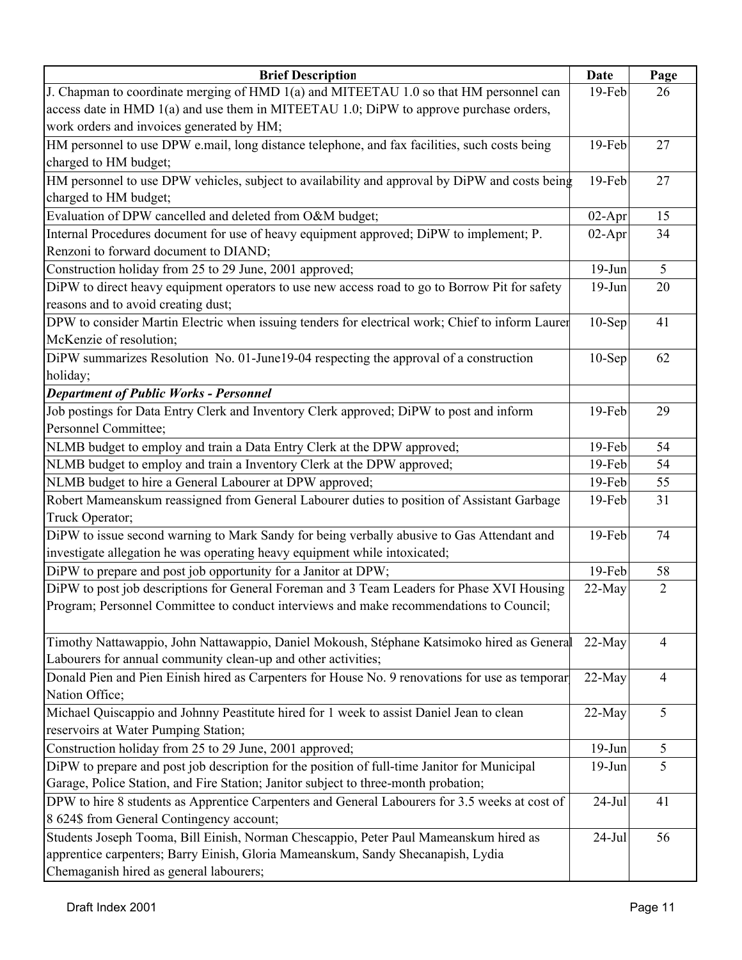| <b>Brief Description</b>                                                                         | <b>Date</b> | Page           |
|--------------------------------------------------------------------------------------------------|-------------|----------------|
| J. Chapman to coordinate merging of HMD 1(a) and MITEETAU 1.0 so that HM personnel can           | 19-Feb      | 26             |
| access date in HMD 1(a) and use them in MITEETAU 1.0; DiPW to approve purchase orders,           |             |                |
| work orders and invoices generated by HM;                                                        |             |                |
| HM personnel to use DPW e.mail, long distance telephone, and fax facilities, such costs being    | $19-Feb$    | 27             |
| charged to HM budget;                                                                            |             |                |
| HM personnel to use DPW vehicles, subject to availability and approval by DiPW and costs being   | 19-Feb      | 27             |
| charged to HM budget;                                                                            |             |                |
| Evaluation of DPW cancelled and deleted from O&M budget;                                         | $02-Apr$    | 15             |
| Internal Procedures document for use of heavy equipment approved; DiPW to implement; P.          | $02-Apr$    | 34             |
| Renzoni to forward document to DIAND;                                                            |             |                |
| Construction holiday from 25 to 29 June, 2001 approved;                                          | $19-Jun$    | 5              |
| DiPW to direct heavy equipment operators to use new access road to go to Borrow Pit for safety   | $19-Jun$    | 20             |
| reasons and to avoid creating dust;                                                              |             |                |
| DPW to consider Martin Electric when issuing tenders for electrical work; Chief to inform Laurer | $10-$ Sep   | 41             |
| McKenzie of resolution;                                                                          |             |                |
| DiPW summarizes Resolution No. 01-June19-04 respecting the approval of a construction            | $10-$ Sep   | 62             |
| holiday;                                                                                         |             |                |
| <b>Department of Public Works - Personnel</b>                                                    |             |                |
| Job postings for Data Entry Clerk and Inventory Clerk approved; DiPW to post and inform          | 19-Feb      | 29             |
| Personnel Committee;                                                                             |             |                |
| NLMB budget to employ and train a Data Entry Clerk at the DPW approved;                          | 19-Feb      | 54             |
| NLMB budget to employ and train a Inventory Clerk at the DPW approved;                           | 19-Feb      | 54             |
| NLMB budget to hire a General Labourer at DPW approved;                                          | 19-Feb      | 55             |
| Robert Mameanskum reassigned from General Labourer duties to position of Assistant Garbage       | 19-Feb      | 31             |
| Truck Operator;                                                                                  |             |                |
| DiPW to issue second warning to Mark Sandy for being verbally abusive to Gas Attendant and       | 19-Feb      | 74             |
| investigate allegation he was operating heavy equipment while intoxicated;                       |             |                |
| DiPW to prepare and post job opportunity for a Janitor at DPW;                                   | 19-Feb      | 58             |
| DiPW to post job descriptions for General Foreman and 3 Team Leaders for Phase XVI Housing       | 22-May      | $\overline{2}$ |
| Program; Personnel Committee to conduct interviews and make recommendations to Council;          |             |                |
|                                                                                                  |             |                |
| Timothy Nattawappio, John Nattawappio, Daniel Mokoush, Stéphane Katsimoko hired as General       | $22-May$    | $\overline{4}$ |
| Labourers for annual community clean-up and other activities;                                    |             |                |
| Donald Pien and Pien Einish hired as Carpenters for House No. 9 renovations for use as temporar  | 22-May      | 4              |
| Nation Office;                                                                                   |             |                |
| Michael Quiscappio and Johnny Peastitute hired for 1 week to assist Daniel Jean to clean         | 22-May      | 5              |
| reservoirs at Water Pumping Station;                                                             |             |                |
| Construction holiday from 25 to 29 June, 2001 approved;                                          | $19-Jun$    | 5              |
| DiPW to prepare and post job description for the position of full-time Janitor for Municipal     | $19-Jun$    | 5              |
| Garage, Police Station, and Fire Station; Janitor subject to three-month probation;              |             |                |
| DPW to hire 8 students as Apprentice Carpenters and General Labourers for 3.5 weeks at cost of   | $24-Jul$    | 41             |
| 8 624\$ from General Contingency account;                                                        |             |                |
| Students Joseph Tooma, Bill Einish, Norman Chescappio, Peter Paul Mameanskum hired as            | $24-Jul$    | 56             |
| apprentice carpenters; Barry Einish, Gloria Mameanskum, Sandy Shecanapish, Lydia                 |             |                |
| Chemaganish hired as general labourers;                                                          |             |                |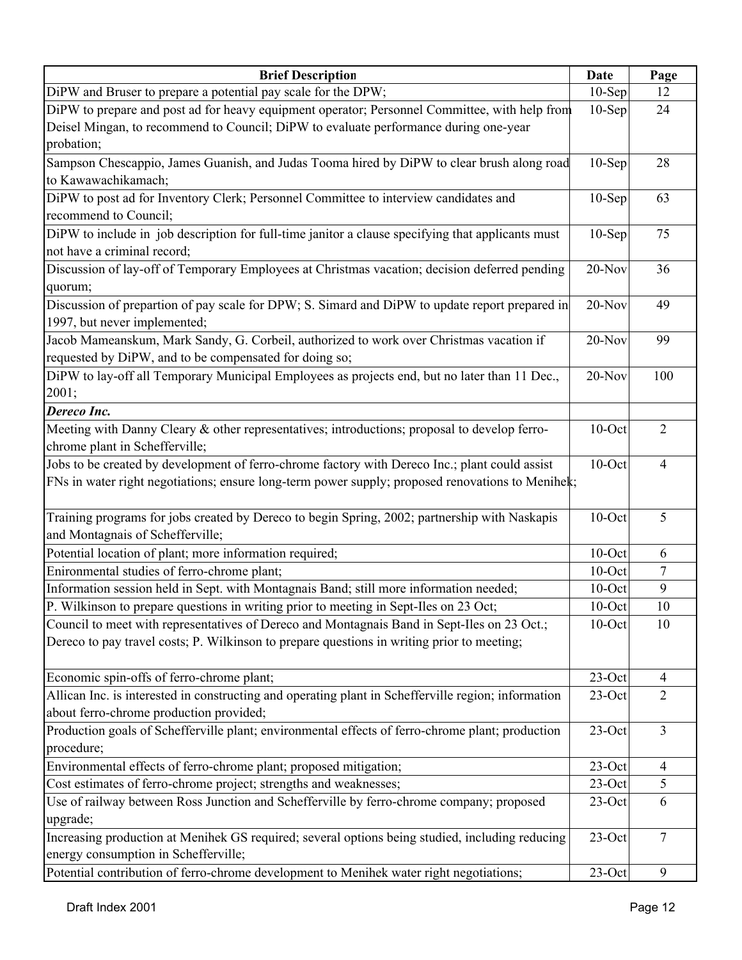| <b>Brief Description</b>                                                                            | <b>Date</b> | Page           |
|-----------------------------------------------------------------------------------------------------|-------------|----------------|
| DiPW and Bruser to prepare a potential pay scale for the DPW;                                       | $10-$ Sep   | 12             |
| DiPW to prepare and post ad for heavy equipment operator; Personnel Committee, with help from       | $10-$ Sep   | 24             |
| Deisel Mingan, to recommend to Council; DiPW to evaluate performance during one-year                |             |                |
| probation;                                                                                          |             |                |
| Sampson Chescappio, James Guanish, and Judas Tooma hired by DiPW to clear brush along road          | $10-$ Sep   | 28             |
| to Kawawachikamach;                                                                                 |             |                |
| DiPW to post ad for Inventory Clerk; Personnel Committee to interview candidates and                | $10-Sep$    | 63             |
| recommend to Council;                                                                               |             |                |
| DiPW to include in job description for full-time janitor a clause specifying that applicants must   | $10-$ Sep   | 75             |
| not have a criminal record;                                                                         |             |                |
| Discussion of lay-off of Temporary Employees at Christmas vacation; decision deferred pending       | 20-Nov      | 36             |
| quorum;                                                                                             |             |                |
| Discussion of prepartion of pay scale for DPW; S. Simard and DiPW to update report prepared in      | 20-Nov      | 49             |
| 1997, but never implemented;                                                                        |             |                |
| Jacob Mameanskum, Mark Sandy, G. Corbeil, authorized to work over Christmas vacation if             | $20-Nov$    | 99             |
| requested by DiPW, and to be compensated for doing so;                                              |             |                |
| DiPW to lay-off all Temporary Municipal Employees as projects end, but no later than 11 Dec.,       | $20-Nov$    | 100            |
| 2001;                                                                                               |             |                |
| Dereco Inc.                                                                                         |             |                |
| Meeting with Danny Cleary & other representatives; introductions; proposal to develop ferro-        | $10$ -Oct   | $\overline{2}$ |
| chrome plant in Schefferville;                                                                      |             |                |
| Jobs to be created by development of ferro-chrome factory with Dereco Inc.; plant could assist      | $10$ -Oct   | $\overline{4}$ |
| FNs in water right negotiations; ensure long-term power supply; proposed renovations to Menihek;    |             |                |
|                                                                                                     |             |                |
| Training programs for jobs created by Dereco to begin Spring, 2002; partnership with Naskapis       | $10$ -Oct   | 5              |
| and Montagnais of Schefferville;                                                                    |             |                |
| Potential location of plant; more information required;                                             | $10$ -Oct   | 6              |
| Enironmental studies of ferro-chrome plant;                                                         | $10$ -Oct   | 7              |
| Information session held in Sept. with Montagnais Band; still more information needed;              | $10$ -Oct   | 9              |
| P. Wilkinson to prepare questions in writing prior to meeting in Sept-Iles on 23 Oct;               | $10$ -Oct   | 10             |
| Council to meet with representatives of Dereco and Montagnais Band in Sept-Iles on 23 Oct.;         | $10$ -Oct   | 10             |
| Dereco to pay travel costs; P. Wilkinson to prepare questions in writing prior to meeting;          |             |                |
|                                                                                                     |             |                |
| Economic spin-offs of ferro-chrome plant;                                                           | $23$ -Oct   | $\overline{4}$ |
| Allican Inc. is interested in constructing and operating plant in Schefferville region; information | 23-Oct      | $\overline{2}$ |
| about ferro-chrome production provided;                                                             |             |                |
| Production goals of Schefferville plant; environmental effects of ferro-chrome plant; production    | $23$ -Oct   | $\overline{3}$ |
| procedure;                                                                                          |             |                |
| Environmental effects of ferro-chrome plant; proposed mitigation;                                   | $23$ -Oct   | $\overline{4}$ |
| Cost estimates of ferro-chrome project; strengths and weaknesses;                                   | $23$ -Oct   | 5              |
| Use of railway between Ross Junction and Schefferville by ferro-chrome company; proposed            | $23$ -Oct   | 6              |
| upgrade;                                                                                            |             |                |
| Increasing production at Menihek GS required; several options being studied, including reducing     | $23$ -Oct   | $\overline{7}$ |
| energy consumption in Schefferville;                                                                |             |                |
| Potential contribution of ferro-chrome development to Menihek water right negotiations;             | $23$ -Oct   | 9              |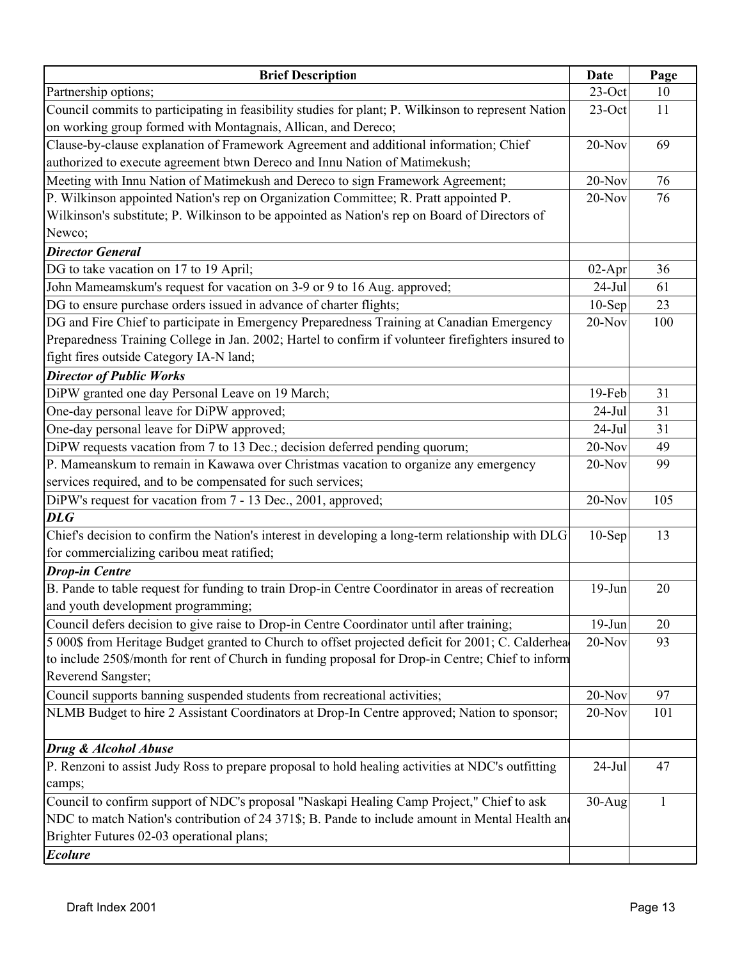| <b>Brief Description</b>                                                                            | <b>Date</b> | Page |
|-----------------------------------------------------------------------------------------------------|-------------|------|
| Partnership options;                                                                                | $23$ -Oct   | 10   |
| Council commits to participating in feasibility studies for plant; P. Wilkinson to represent Nation | $23$ -Oct   | 11   |
| on working group formed with Montagnais, Allican, and Dereco;                                       |             |      |
| Clause-by-clause explanation of Framework Agreement and additional information; Chief               | 20-Nov      | 69   |
| authorized to execute agreement btwn Dereco and Innu Nation of Matimekush;                          |             |      |
| Meeting with Innu Nation of Matimekush and Dereco to sign Framework Agreement;                      | $20-Nov$    | 76   |
| P. Wilkinson appointed Nation's rep on Organization Committee; R. Pratt appointed P.                | $20-Nov$    | 76   |
| Wilkinson's substitute; P. Wilkinson to be appointed as Nation's rep on Board of Directors of       |             |      |
| Newco;                                                                                              |             |      |
| <b>Director General</b>                                                                             |             |      |
| DG to take vacation on 17 to 19 April;                                                              | $02-Apr$    | 36   |
| John Mameamskum's request for vacation on 3-9 or 9 to 16 Aug. approved;                             | $24-Jul$    | 61   |
| DG to ensure purchase orders issued in advance of charter flights;                                  | $10-Sep$    | 23   |
| DG and Fire Chief to participate in Emergency Preparedness Training at Canadian Emergency           | $20-Nov$    | 100  |
| Preparedness Training College in Jan. 2002; Hartel to confirm if volunteer firefighters insured to  |             |      |
| fight fires outside Category IA-N land;                                                             |             |      |
| <b>Director of Public Works</b>                                                                     |             |      |
| DiPW granted one day Personal Leave on 19 March;                                                    | $19$ -Feb   | 31   |
| One-day personal leave for DiPW approved;                                                           | $24-Jul$    | 31   |
| One-day personal leave for DiPW approved;                                                           | $24-Jul$    | 31   |
| DiPW requests vacation from 7 to 13 Dec.; decision deferred pending quorum;                         | $20-Nov$    | 49   |
| P. Mameanskum to remain in Kawawa over Christmas vacation to organize any emergency                 | 20-Nov      | 99   |
| services required, and to be compensated for such services;                                         |             |      |
| DiPW's request for vacation from 7 - 13 Dec., 2001, approved;                                       | $20-Nov$    | 105  |
| <b>DLG</b>                                                                                          |             |      |
| Chief's decision to confirm the Nation's interest in developing a long-term relationship with DLG   | $10-Sep$    | 13   |
| for commercializing caribou meat ratified;                                                          |             |      |
| <b>Drop-in Centre</b>                                                                               |             |      |
| B. Pande to table request for funding to train Drop-in Centre Coordinator in areas of recreation    | $19-J$ un   | 20   |
| and youth development programming;                                                                  |             |      |
| Council defers decision to give raise to Drop-in Centre Coordinator until after training;           | $19-Jun$    | 20   |
| 5 000\$ from Heritage Budget granted to Church to offset projected deficit for 2001; C. Calderhea   | $20$ -Nov   | 93   |
| to include 250\$/month for rent of Church in funding proposal for Drop-in Centre; Chief to inform   |             |      |
| Reverend Sangster;                                                                                  |             |      |
| Council supports banning suspended students from recreational activities;                           | 20-Nov      | 97   |
| NLMB Budget to hire 2 Assistant Coordinators at Drop-In Centre approved; Nation to sponsor;         | 20-Nov      | 101  |
| Drug & Alcohol Abuse                                                                                |             |      |
| P. Renzoni to assist Judy Ross to prepare proposal to hold healing activities at NDC's outfitting   | $24$ -Jul   | 47   |
| camps;                                                                                              |             |      |
| Council to confirm support of NDC's proposal "Naskapi Healing Camp Project," Chief to ask           | $30-Aug$    | 1    |
| NDC to match Nation's contribution of 24 371\$; B. Pande to include amount in Mental Health and     |             |      |
| Brighter Futures 02-03 operational plans;                                                           |             |      |
| <b>Ecolure</b>                                                                                      |             |      |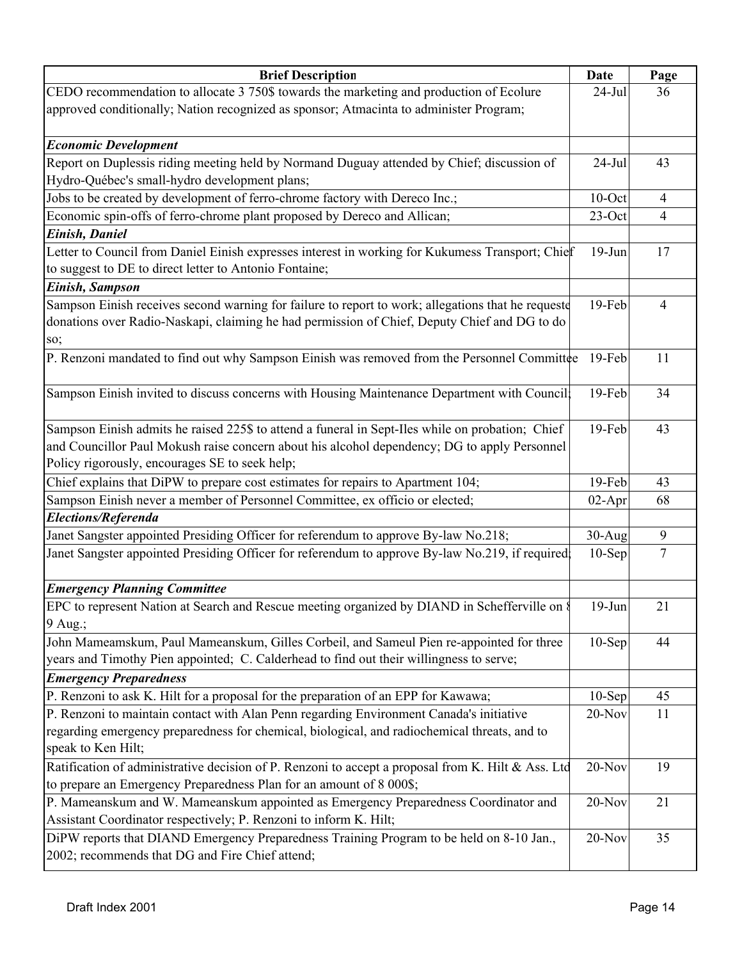| <b>Brief Description</b>                                                                           | <b>Date</b> | Page           |
|----------------------------------------------------------------------------------------------------|-------------|----------------|
| CEDO recommendation to allocate 3 750\$ towards the marketing and production of Ecolure            | $24-Jul$    | 36             |
| approved conditionally; Nation recognized as sponsor; Atmacinta to administer Program;             |             |                |
|                                                                                                    |             |                |
| <b>Economic Development</b>                                                                        |             |                |
| Report on Duplessis riding meeting held by Normand Duguay attended by Chief; discussion of         | $24$ -Jul   | 43             |
| Hydro-Québec's small-hydro development plans;                                                      |             |                |
| Jobs to be created by development of ferro-chrome factory with Dereco Inc.;                        | $10$ -Oct   | $\overline{4}$ |
| Economic spin-offs of ferro-chrome plant proposed by Dereco and Allican;                           | $23$ -Oct   | $\overline{4}$ |
| Einish, Daniel                                                                                     |             |                |
| Letter to Council from Daniel Einish expresses interest in working for Kukumess Transport; Chief   | $19-Jun$    | 17             |
| to suggest to DE to direct letter to Antonio Fontaine;                                             |             |                |
| Einish, Sampson                                                                                    |             |                |
| Sampson Einish receives second warning for failure to report to work; allegations that he requeste | $19$ -Feb   | 4              |
| donations over Radio-Naskapi, claiming he had permission of Chief, Deputy Chief and DG to do       |             |                |
| SO;                                                                                                |             |                |
| P. Renzoni mandated to find out why Sampson Einish was removed from the Personnel Committee        | $19$ -Feb   | 11             |
|                                                                                                    |             |                |
| Sampson Einish invited to discuss concerns with Housing Maintenance Department with Council:       | 19-Feb      | 34             |
|                                                                                                    |             |                |
| Sampson Einish admits he raised 225\$ to attend a funeral in Sept-Iles while on probation; Chief   | 19-Feb      | 43             |
| and Councillor Paul Mokush raise concern about his alcohol dependency; DG to apply Personnel       |             |                |
| Policy rigorously, encourages SE to seek help;                                                     |             |                |
| Chief explains that DiPW to prepare cost estimates for repairs to Apartment 104;                   | 19-Feb      | 43             |
| Sampson Einish never a member of Personnel Committee, ex officio or elected;                       | $02-Apr$    | 68             |
| Elections/Referenda                                                                                |             |                |
| Janet Sangster appointed Presiding Officer for referendum to approve By-law No.218;                | $30-Aug$    | 9              |
| Janet Sangster appointed Presiding Officer for referendum to approve By-law No.219, if required;   | $10-Sep$    | 7              |
|                                                                                                    |             |                |
| <b>Emergency Planning Committee</b>                                                                |             |                |
| EPC to represent Nation at Search and Rescue meeting organized by DIAND in Schefferville on §      | $19-Jun$    | 21             |
| $9$ Aug.;                                                                                          |             |                |
| John Mameamskum, Paul Mameanskum, Gilles Corbeil, and Sameul Pien re-appointed for three           | $10-Sep$    | 44             |
| years and Timothy Pien appointed; C. Calderhead to find out their willingness to serve;            |             |                |
| <b>Emergency Preparedness</b>                                                                      |             |                |
| P. Renzoni to ask K. Hilt for a proposal for the preparation of an EPP for Kawawa;                 | $10-Sep$    | 45             |
| P. Renzoni to maintain contact with Alan Penn regarding Environment Canada's initiative            | $20$ -Nov   | 11             |
| regarding emergency preparedness for chemical, biological, and radiochemical threats, and to       |             |                |
| speak to Ken Hilt;                                                                                 |             |                |
| Ratification of administrative decision of P. Renzoni to accept a proposal from K. Hilt & Ass. Ltd | $20$ -Nov   | 19             |
| to prepare an Emergency Preparedness Plan for an amount of 8 000\$;                                |             |                |
| P. Mameanskum and W. Mameanskum appointed as Emergency Preparedness Coordinator and                | $20$ -Nov   | 21             |
| Assistant Coordinator respectively; P. Renzoni to inform K. Hilt;                                  |             |                |
| DiPW reports that DIAND Emergency Preparedness Training Program to be held on 8-10 Jan.,           | $20$ -Nov   | 35             |
| 2002; recommends that DG and Fire Chief attend;                                                    |             |                |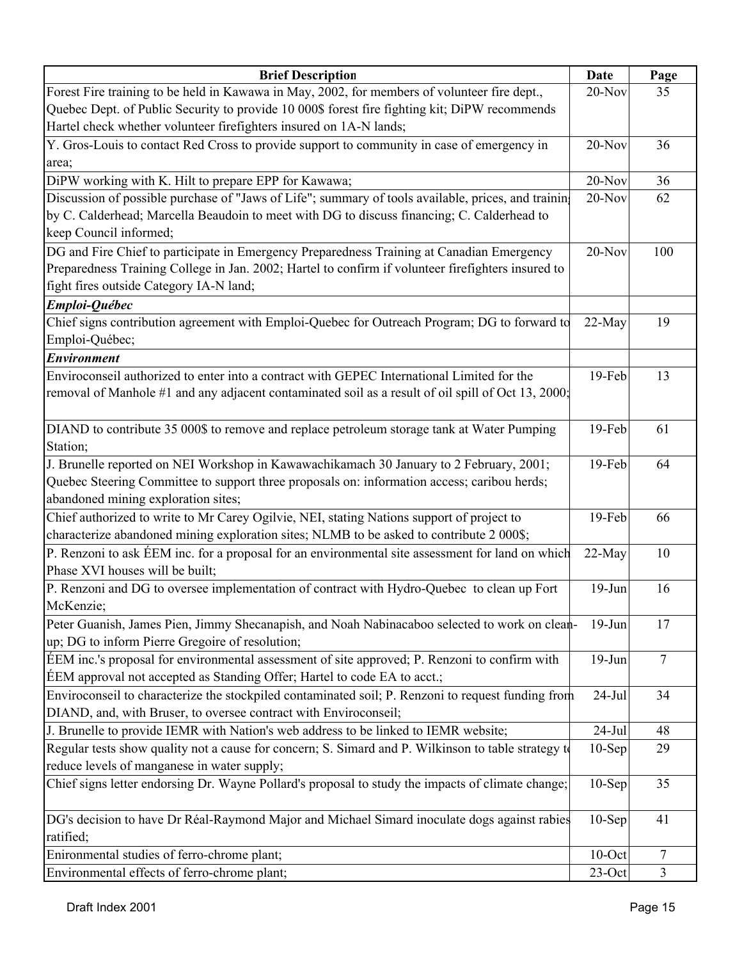| <b>Brief Description</b>                                                                            | Date      | Page   |
|-----------------------------------------------------------------------------------------------------|-----------|--------|
| Forest Fire training to be held in Kawawa in May, 2002, for members of volunteer fire dept.,        | $20-Nov$  | 35     |
| Quebec Dept. of Public Security to provide 10 000\$ forest fire fighting kit; DiPW recommends       |           |        |
| Hartel check whether volunteer firefighters insured on 1A-N lands;                                  |           |        |
| Y. Gros-Louis to contact Red Cross to provide support to community in case of emergency in          | $20$ -Nov | 36     |
| area;                                                                                               |           |        |
| DiPW working with K. Hilt to prepare EPP for Kawawa;                                                | $20-Nov$  | 36     |
| Discussion of possible purchase of "Jaws of Life"; summary of tools available, prices, and training | $20-Nov$  | 62     |
| by C. Calderhead; Marcella Beaudoin to meet with DG to discuss financing; C. Calderhead to          |           |        |
| keep Council informed;                                                                              |           |        |
| DG and Fire Chief to participate in Emergency Preparedness Training at Canadian Emergency           | $20-Nov$  | 100    |
| Preparedness Training College in Jan. 2002; Hartel to confirm if volunteer firefighters insured to  |           |        |
| fight fires outside Category IA-N land;                                                             |           |        |
| Emploi-Québec                                                                                       |           |        |
| Chief signs contribution agreement with Emploi-Quebec for Outreach Program; DG to forward to        | $22-May$  | 19     |
| Emploi-Québec;                                                                                      |           |        |
| <b>Environment</b>                                                                                  |           |        |
| Enviroconseil authorized to enter into a contract with GEPEC International Limited for the          | 19-Feb    | 13     |
| removal of Manhole #1 and any adjacent contaminated soil as a result of oil spill of Oct 13, 2000;  |           |        |
|                                                                                                     |           |        |
| DIAND to contribute 35 000\$ to remove and replace petroleum storage tank at Water Pumping          | 19-Feb    | 61     |
| Station;                                                                                            |           |        |
| J. Brunelle reported on NEI Workshop in Kawawachikamach 30 January to 2 February, 2001;             | 19-Feb    | 64     |
| Quebec Steering Committee to support three proposals on: information access; caribou herds;         |           |        |
| abandoned mining exploration sites;                                                                 |           |        |
| Chief authorized to write to Mr Carey Ogilvie, NEI, stating Nations support of project to           | 19-Feb    | 66     |
| characterize abandoned mining exploration sites; NLMB to be asked to contribute 2 000\$;            |           |        |
| P. Renzoni to ask ÉEM inc. for a proposal for an environmental site assessment for land on which    | $22-May$  | 10     |
| Phase XVI houses will be built;                                                                     |           |        |
| P. Renzoni and DG to oversee implementation of contract with Hydro-Quebec to clean up Fort          | $19-Jun$  | 16     |
| McKenzie;                                                                                           |           |        |
| Peter Guanish, James Pien, Jimmy Shecanapish, and Noah Nabinacaboo selected to work on clean-       | $19-Jun$  | 17     |
| up; DG to inform Pierre Gregoire of resolution;                                                     |           |        |
| EEM inc.'s proposal for environmental assessment of site approved; P. Renzoni to confirm with       | $19-Jun$  | $\tau$ |
| EEM approval not accepted as Standing Offer; Hartel to code EA to acct.;                            |           |        |
| Enviroconseil to characterize the stockpiled contaminated soil; P. Renzoni to request funding from  | $24-Jul$  | 34     |
| DIAND, and, with Bruser, to oversee contract with Enviroconseil;                                    |           |        |
| J. Brunelle to provide IEMR with Nation's web address to be linked to IEMR website;                 | $24-Jul$  | 48     |
| Regular tests show quality not a cause for concern; S. Simard and P. Wilkinson to table strategy to | $10-Sep$  | 29     |
| reduce levels of manganese in water supply;                                                         |           |        |
| Chief signs letter endorsing Dr. Wayne Pollard's proposal to study the impacts of climate change;   | $10-Sep$  | 35     |
|                                                                                                     |           |        |
| DG's decision to have Dr Réal-Raymond Major and Michael Simard inoculate dogs against rabies        | $10-Sep$  | 41     |
| ratified;                                                                                           |           |        |
| Enironmental studies of ferro-chrome plant;                                                         | $10$ -Oct | 7      |
| Environmental effects of ferro-chrome plant;                                                        | $23$ -Oct | 3      |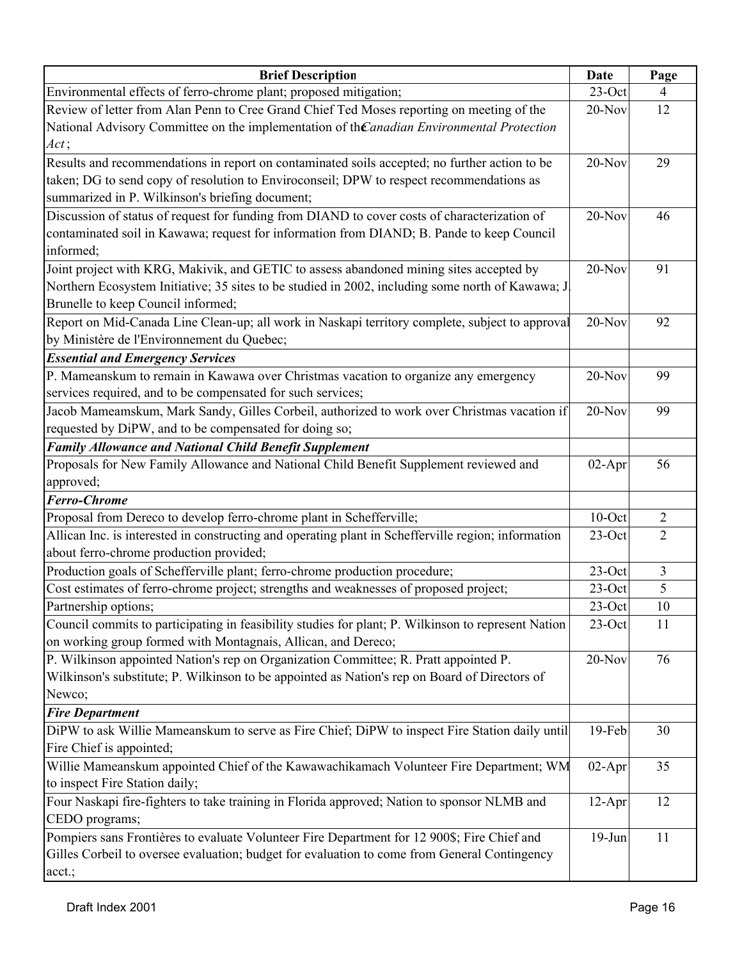| <b>Brief Description</b>                                                                            | <b>Date</b> | Page           |
|-----------------------------------------------------------------------------------------------------|-------------|----------------|
| Environmental effects of ferro-chrome plant; proposed mitigation;                                   | $23$ -Oct   | $\overline{4}$ |
| Review of letter from Alan Penn to Cree Grand Chief Ted Moses reporting on meeting of the           | 20-Nov      | 12             |
| National Advisory Committee on the implementation of the anadian Environmental Protection           |             |                |
| Act;                                                                                                |             |                |
| Results and recommendations in report on contaminated soils accepted; no further action to be       | $20-Nov$    | 29             |
| taken; DG to send copy of resolution to Enviroconseil; DPW to respect recommendations as            |             |                |
| summarized in P. Wilkinson's briefing document;                                                     |             |                |
| Discussion of status of request for funding from DIAND to cover costs of characterization of        | $20-Nov$    | 46             |
| contaminated soil in Kawawa; request for information from DIAND; B. Pande to keep Council           |             |                |
| informed;                                                                                           |             |                |
| Joint project with KRG, Makivik, and GETIC to assess abandoned mining sites accepted by             | $20-Nov$    | 91             |
| Northern Ecosystem Initiative; 35 sites to be studied in 2002, including some north of Kawawa; J.   |             |                |
| Brunelle to keep Council informed;                                                                  |             |                |
| Report on Mid-Canada Line Clean-up; all work in Naskapi territory complete, subject to approval     | $20-Nov$    | 92             |
| by Ministère de l'Environnement du Quebec;                                                          |             |                |
| <b>Essential and Emergency Services</b>                                                             |             |                |
| P. Mameanskum to remain in Kawawa over Christmas vacation to organize any emergency                 | $20-Nov$    | 99             |
| services required, and to be compensated for such services;                                         |             |                |
| Jacob Mameamskum, Mark Sandy, Gilles Corbeil, authorized to work over Christmas vacation if         | $20-Nov$    | 99             |
| requested by DiPW, and to be compensated for doing so;                                              |             |                |
| <b>Family Allowance and National Child Benefit Supplement</b>                                       |             |                |
| Proposals for New Family Allowance and National Child Benefit Supplement reviewed and               | $02-Apr$    | 56             |
| approved;                                                                                           |             |                |
| <b>Ferro-Chrome</b>                                                                                 |             |                |
| Proposal from Dereco to develop ferro-chrome plant in Schefferville;                                | $10$ -Oct   | $\overline{2}$ |
| Allican Inc. is interested in constructing and operating plant in Schefferville region; information | 23-Oct      | $\overline{2}$ |
| about ferro-chrome production provided;                                                             |             |                |
| Production goals of Schefferville plant; ferro-chrome production procedure;                         | $23$ -Oct   | $\mathfrak{Z}$ |
| Cost estimates of ferro-chrome project; strengths and weaknesses of proposed project;               | $23$ -Oct   | 5              |
| Partnership options;                                                                                | $23$ -Oct   | $10\,$         |
| Council commits to participating in feasibility studies for plant; P. Wilkinson to represent Nation | $23$ -Oct   | 11             |
| on working group formed with Montagnais, Allican, and Dereco;                                       |             |                |
| P. Wilkinson appointed Nation's rep on Organization Committee; R. Pratt appointed P.                | 20-Nov      | 76             |
| Wilkinson's substitute; P. Wilkinson to be appointed as Nation's rep on Board of Directors of       |             |                |
| Newco;                                                                                              |             |                |
| <b>Fire Department</b>                                                                              |             |                |
| DiPW to ask Willie Mameanskum to serve as Fire Chief; DiPW to inspect Fire Station daily until      | 19-Feb      | 30             |
| Fire Chief is appointed;                                                                            |             |                |
| Willie Mameanskum appointed Chief of the Kawawachikamach Volunteer Fire Department; WM              | $02-Apr$    | 35             |
| to inspect Fire Station daily;                                                                      |             |                |
| Four Naskapi fire-fighters to take training in Florida approved; Nation to sponsor NLMB and         | $12-Apr$    | 12             |
| CEDO programs;                                                                                      |             |                |
| Pompiers sans Frontières to evaluate Volunteer Fire Department for 12 900\$; Fire Chief and         | $19-Jun$    | 11             |
| Gilles Corbeil to oversee evaluation; budget for evaluation to come from General Contingency        |             |                |
| acct.;                                                                                              |             |                |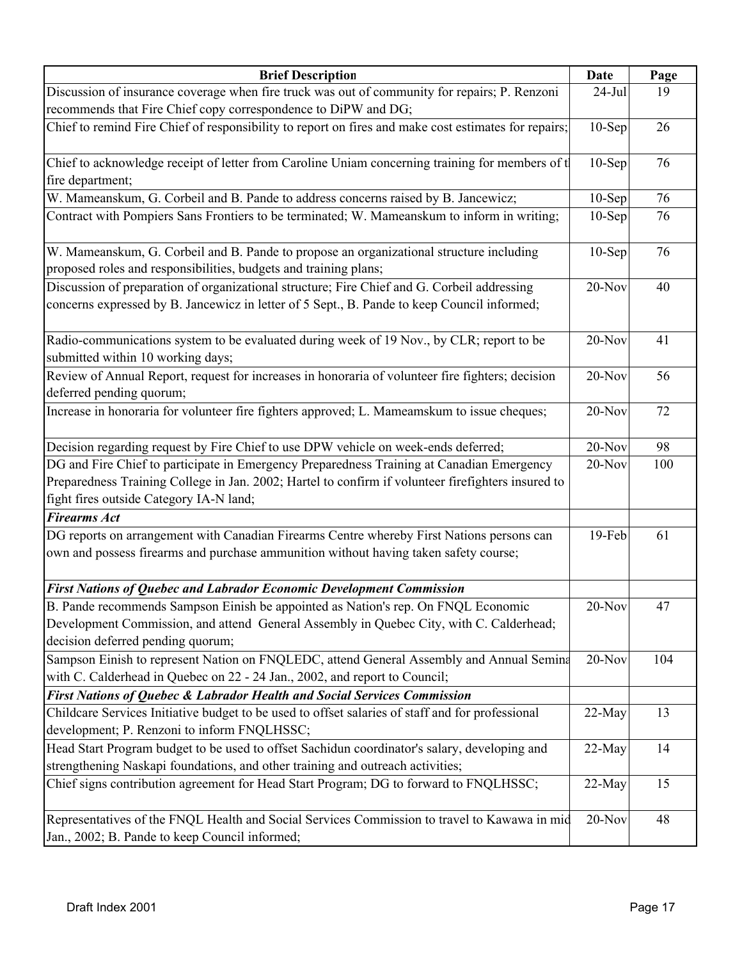| <b>Brief Description</b>                                                                                                                                                                                                                   | Date      | Page |
|--------------------------------------------------------------------------------------------------------------------------------------------------------------------------------------------------------------------------------------------|-----------|------|
| Discussion of insurance coverage when fire truck was out of community for repairs; P. Renzoni                                                                                                                                              | $24$ -Jul | 19   |
| recommends that Fire Chief copy correspondence to DiPW and DG;                                                                                                                                                                             |           |      |
| Chief to remind Fire Chief of responsibility to report on fires and make cost estimates for repairs;                                                                                                                                       | $10-Sep$  | 26   |
| Chief to acknowledge receipt of letter from Caroline Uniam concerning training for members of t<br>fire department;                                                                                                                        | $10-Sep$  | 76   |
| W. Mameanskum, G. Corbeil and B. Pande to address concerns raised by B. Jancewicz;                                                                                                                                                         | $10-Sep$  | 76   |
| Contract with Pompiers Sans Frontiers to be terminated; W. Mameanskum to inform in writing;                                                                                                                                                | $10-Sep$  | 76   |
| W. Mameanskum, G. Corbeil and B. Pande to propose an organizational structure including<br>proposed roles and responsibilities, budgets and training plans;                                                                                | $10-$ Sep | 76   |
| Discussion of preparation of organizational structure; Fire Chief and G. Corbeil addressing<br>concerns expressed by B. Jancewicz in letter of 5 Sept., B. Pande to keep Council informed;                                                 | $20-Nov$  | 40   |
| Radio-communications system to be evaluated during week of 19 Nov., by CLR; report to be<br>submitted within 10 working days;                                                                                                              | $20-Nov$  | 41   |
| Review of Annual Report, request for increases in honoraria of volunteer fire fighters; decision<br>deferred pending quorum;                                                                                                               | $20-Nov$  | 56   |
| Increase in honoraria for volunteer fire fighters approved; L. Mameamskum to issue cheques;                                                                                                                                                | $20-Nov$  | 72   |
| Decision regarding request by Fire Chief to use DPW vehicle on week-ends deferred;                                                                                                                                                         | $20-Nov$  | 98   |
| DG and Fire Chief to participate in Emergency Preparedness Training at Canadian Emergency<br>Preparedness Training College in Jan. 2002; Hartel to confirm if volunteer firefighters insured to<br>fight fires outside Category IA-N land; | 20-Nov    | 100  |
| <b>Firearms Act</b>                                                                                                                                                                                                                        |           |      |
| DG reports on arrangement with Canadian Firearms Centre whereby First Nations persons can<br>own and possess firearms and purchase ammunition without having taken safety course;                                                          | $19$ -Feb | 61   |
| First Nations of Quebec and Labrador Economic Development Commission                                                                                                                                                                       |           |      |
| B. Pande recommends Sampson Einish be appointed as Nation's rep. On FNQL Economic<br>Development Commission, and attend General Assembly in Quebec City, with C. Calderhead;<br>decision deferred pending quorum;                          | $20$ -Nov | 47   |
| Sampson Einish to represent Nation on FNQLEDC, attend General Assembly and Annual Semina<br>with C. Calderhead in Quebec on 22 - 24 Jan., 2002, and report to Council;                                                                     | 20-Nov    | 104  |
| <b>First Nations of Quebec &amp; Labrador Health and Social Services Commission</b>                                                                                                                                                        |           |      |
| Childcare Services Initiative budget to be used to offset salaries of staff and for professional<br>development; P. Renzoni to inform FNQLHSSC;                                                                                            | 22-May    | 13   |
| Head Start Program budget to be used to offset Sachidun coordinator's salary, developing and<br>strengthening Naskapi foundations, and other training and outreach activities;                                                             | 22-May    | 14   |
| Chief signs contribution agreement for Head Start Program; DG to forward to FNQLHSSC;                                                                                                                                                      | 22-May    | 15   |
| Representatives of the FNQL Health and Social Services Commission to travel to Kawawa in mid<br>Jan., 2002; B. Pande to keep Council informed;                                                                                             | 20-Nov    | 48   |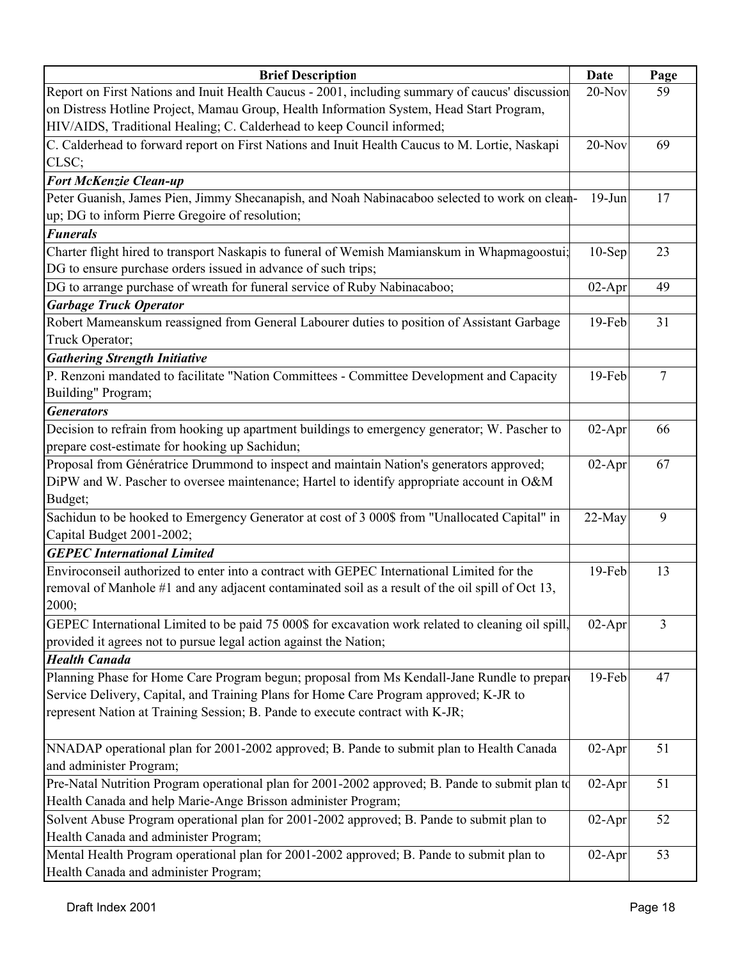| <b>Brief Description</b>                                                                           | Date      | Page            |
|----------------------------------------------------------------------------------------------------|-----------|-----------------|
| Report on First Nations and Inuit Health Caucus - 2001, including summary of caucus' discussion    | $20-Nov$  | 59              |
| on Distress Hotline Project, Mamau Group, Health Information System, Head Start Program,           |           |                 |
| HIV/AIDS, Traditional Healing; C. Calderhead to keep Council informed;                             |           |                 |
| C. Calderhead to forward report on First Nations and Inuit Health Caucus to M. Lortie, Naskapi     | $20-Nov$  | 69              |
| CLSC;                                                                                              |           |                 |
| <b>Fort McKenzie Clean-up</b>                                                                      |           |                 |
| Peter Guanish, James Pien, Jimmy Shecanapish, and Noah Nabinacaboo selected to work on clean-      | $19-J$ un | 17              |
| up; DG to inform Pierre Gregoire of resolution;                                                    |           |                 |
| <b>Funerals</b>                                                                                    |           |                 |
| Charter flight hired to transport Naskapis to funeral of Wemish Mamianskum in Whapmagoostui;       | $10-$ Sep | 23              |
| DG to ensure purchase orders issued in advance of such trips;                                      |           |                 |
| DG to arrange purchase of wreath for funeral service of Ruby Nabinacaboo;                          | $02-Apr$  | 49              |
| <b>Garbage Truck Operator</b>                                                                      |           |                 |
| Robert Mameanskum reassigned from General Labourer duties to position of Assistant Garbage         | 19-Feb    | 31              |
| Truck Operator;                                                                                    |           |                 |
| <b>Gathering Strength Initiative</b>                                                               |           |                 |
| P. Renzoni mandated to facilitate "Nation Committees - Committee Development and Capacity          | 19-Feb    | $7\phantom{.0}$ |
| Building" Program;                                                                                 |           |                 |
| <b>Generators</b>                                                                                  |           |                 |
| Decision to refrain from hooking up apartment buildings to emergency generator; W. Pascher to      | $02-Apr$  | 66              |
| prepare cost-estimate for hooking up Sachidun;                                                     |           |                 |
| Proposal from Génératrice Drummond to inspect and maintain Nation's generators approved;           | $02-Apr$  | 67              |
| DiPW and W. Pascher to oversee maintenance; Hartel to identify appropriate account in O&M          |           |                 |
| Budget;                                                                                            |           |                 |
| Sachidun to be hooked to Emergency Generator at cost of 3 000\$ from "Unallocated Capital" in      | 22-May    | 9               |
| Capital Budget 2001-2002;                                                                          |           |                 |
| <b>GEPEC International Limited</b>                                                                 |           |                 |
| Enviroconseil authorized to enter into a contract with GEPEC International Limited for the         | 19-Feb    | 13              |
| removal of Manhole #1 and any adjacent contaminated soil as a result of the oil spill of Oct 13,   |           |                 |
| 2000;                                                                                              |           |                 |
| GEPEC International Limited to be paid 75 000\$ for excavation work related to cleaning oil spill, | $02-Apr$  | $\overline{3}$  |
| provided it agrees not to pursue legal action against the Nation;                                  |           |                 |
| <b>Health Canada</b>                                                                               |           |                 |
| Planning Phase for Home Care Program begun; proposal from Ms Kendall-Jane Rundle to prepare        | $19$ -Feb | 47              |
| Service Delivery, Capital, and Training Plans for Home Care Program approved; K-JR to              |           |                 |
| represent Nation at Training Session; B. Pande to execute contract with K-JR;                      |           |                 |
|                                                                                                    |           |                 |
| NNADAP operational plan for 2001-2002 approved; B. Pande to submit plan to Health Canada           | $02-Apr$  | 51              |
| and administer Program;                                                                            |           |                 |
| Pre-Natal Nutrition Program operational plan for 2001-2002 approved; B. Pande to submit plan to    | $02-Apr$  | 51              |
| Health Canada and help Marie-Ange Brisson administer Program;                                      |           |                 |
| Solvent Abuse Program operational plan for 2001-2002 approved; B. Pande to submit plan to          | $02-Apr$  | 52              |
| Health Canada and administer Program;                                                              |           |                 |
| Mental Health Program operational plan for 2001-2002 approved; B. Pande to submit plan to          | $02-Apr$  | 53              |
| Health Canada and administer Program;                                                              |           |                 |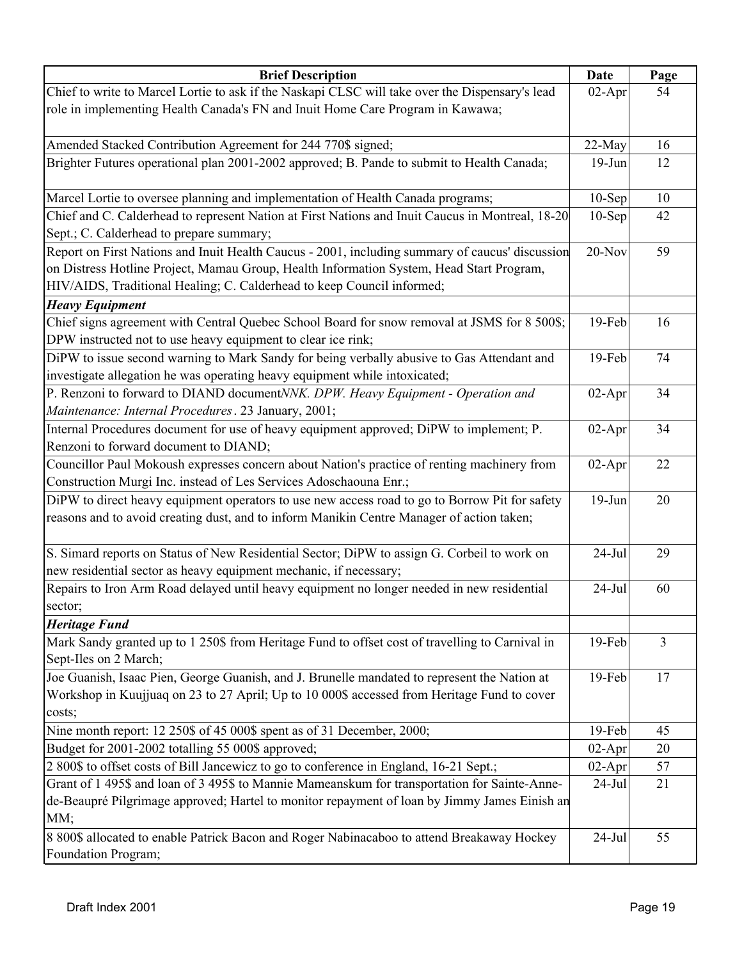| <b>Brief Description</b>                                                                                                                                                                    | Date      | Page |
|---------------------------------------------------------------------------------------------------------------------------------------------------------------------------------------------|-----------|------|
| Chief to write to Marcel Lortie to ask if the Naskapi CLSC will take over the Dispensary's lead                                                                                             | $02-Apr$  | 54   |
| role in implementing Health Canada's FN and Inuit Home Care Program in Kawawa;                                                                                                              |           |      |
| Amended Stacked Contribution Agreement for 244 770\$ signed;                                                                                                                                | 22-May    | 16   |
| Brighter Futures operational plan 2001-2002 approved; B. Pande to submit to Health Canada;                                                                                                  | $19-Jun$  | 12   |
|                                                                                                                                                                                             |           |      |
| Marcel Lortie to oversee planning and implementation of Health Canada programs;                                                                                                             | $10-Sep$  | 10   |
| Chief and C. Calderhead to represent Nation at First Nations and Inuit Caucus in Montreal, 18-20                                                                                            | $10-Sep$  | 42   |
| Sept.; C. Calderhead to prepare summary;                                                                                                                                                    |           |      |
| Report on First Nations and Inuit Health Caucus - 2001, including summary of caucus' discussion                                                                                             | $20-Nov$  | 59   |
| on Distress Hotline Project, Mamau Group, Health Information System, Head Start Program,                                                                                                    |           |      |
| HIV/AIDS, Traditional Healing; C. Calderhead to keep Council informed;                                                                                                                      |           |      |
| <b>Heavy Equipment</b>                                                                                                                                                                      |           |      |
| Chief signs agreement with Central Quebec School Board for snow removal at JSMS for 8 500\$;                                                                                                | 19-Feb    | 16   |
| DPW instructed not to use heavy equipment to clear ice rink;                                                                                                                                |           |      |
| DiPW to issue second warning to Mark Sandy for being verbally abusive to Gas Attendant and                                                                                                  | 19-Feb    | 74   |
| investigate allegation he was operating heavy equipment while intoxicated;                                                                                                                  |           |      |
| P. Renzoni to forward to DIAND documentNNK. DPW. Heavy Equipment - Operation and                                                                                                            | $02-Apr$  | 34   |
| Maintenance: Internal Procedures. 23 January, 2001;                                                                                                                                         |           |      |
| Internal Procedures document for use of heavy equipment approved; DiPW to implement; P.                                                                                                     | $02-Apr$  | 34   |
| Renzoni to forward document to DIAND;                                                                                                                                                       |           |      |
| Councillor Paul Mokoush expresses concern about Nation's practice of renting machinery from                                                                                                 | $02-Apr$  | 22   |
| Construction Murgi Inc. instead of Les Services Adoschaouna Enr.;                                                                                                                           |           |      |
| DiPW to direct heavy equipment operators to use new access road to go to Borrow Pit for safety<br>reasons and to avoid creating dust, and to inform Manikin Centre Manager of action taken; | $19-Jun$  | 20   |
|                                                                                                                                                                                             |           |      |
| S. Simard reports on Status of New Residential Sector; DiPW to assign G. Corbeil to work on                                                                                                 | $24-Jul$  | 29   |
| new residential sector as heavy equipment mechanic, if necessary;                                                                                                                           |           |      |
| Repairs to Iron Arm Road delayed until heavy equipment no longer needed in new residential                                                                                                  | $24-Jul$  | 60   |
| sector;                                                                                                                                                                                     |           |      |
| <b>Heritage Fund</b>                                                                                                                                                                        |           |      |
| Mark Sandy granted up to 1 250\$ from Heritage Fund to offset cost of travelling to Carnival in                                                                                             | $19-Feb$  | 3    |
| Sept-Iles on 2 March;                                                                                                                                                                       |           |      |
| Joe Guanish, Isaac Pien, George Guanish, and J. Brunelle mandated to represent the Nation at                                                                                                | $19$ -Feb | 17   |
| Workshop in Kuujjuaq on 23 to 27 April; Up to 10 000\$ accessed from Heritage Fund to cover                                                                                                 |           |      |
| costs;                                                                                                                                                                                      |           |      |
| Nine month report: 12 250\$ of 45 000\$ spent as of 31 December, 2000;                                                                                                                      | $19$ -Feb | 45   |
| Budget for 2001-2002 totalling 55 000\$ approved;                                                                                                                                           | $02-Apr$  | 20   |
| 2 800\$ to offset costs of Bill Jancewicz to go to conference in England, 16-21 Sept.;                                                                                                      | $02-Apr$  | 57   |
| Grant of 1 495\$ and loan of 3 495\$ to Mannie Mameanskum for transportation for Sainte-Anne-                                                                                               | $24-Jul$  | 21   |
| de-Beaupré Pilgrimage approved; Hartel to monitor repayment of loan by Jimmy James Einish an                                                                                                |           |      |
| MM;                                                                                                                                                                                         |           |      |
| 8 800\$ allocated to enable Patrick Bacon and Roger Nabinacaboo to attend Breakaway Hockey<br>Foundation Program;                                                                           | $24$ -Jul | 55   |
|                                                                                                                                                                                             |           |      |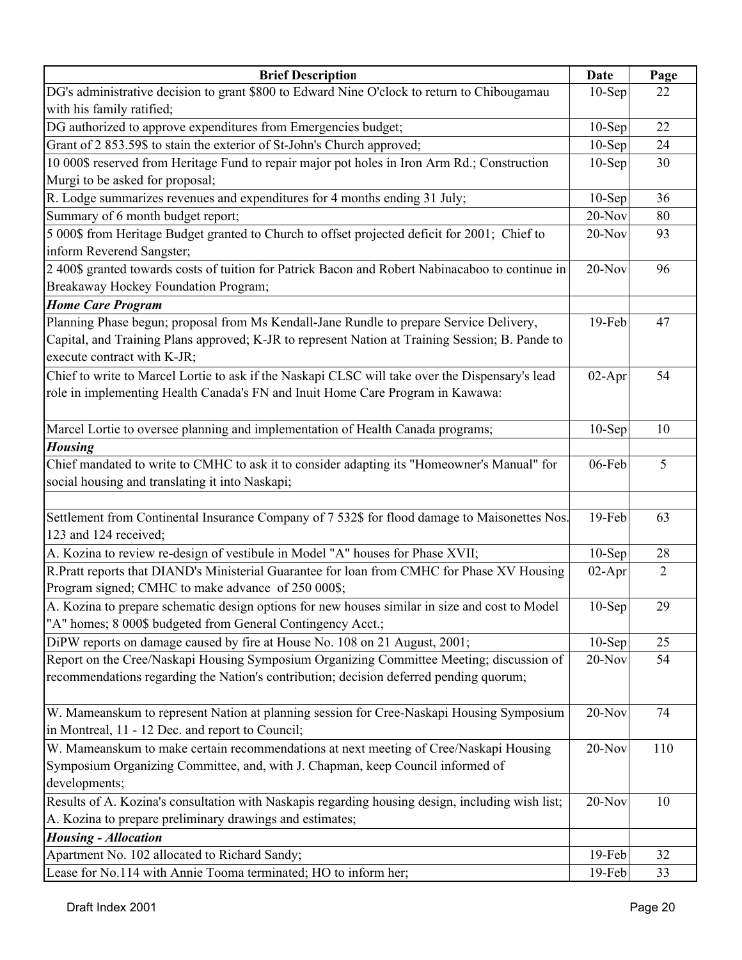| DG's administrative decision to grant \$800 to Edward Nine O'clock to return to Chibougamau<br>$10-$ Sep<br>22<br>with his family ratified;<br>DG authorized to approve expenditures from Emergencies budget;<br>$10-Sep$<br>22<br>Grant of 2 853.59\$ to stain the exterior of St-John's Church approved;<br>24<br>$10-Sep$<br>10 000\$ reserved from Heritage Fund to repair major pot holes in Iron Arm Rd.; Construction<br>30<br>$10-Sep$<br>Murgi to be asked for proposal;<br>R. Lodge summarizes revenues and expenditures for 4 months ending 31 July;<br>$10-Sep$<br>36<br>Summary of 6 month budget report;<br>80<br>$20 - Nov$<br>5 000\$ from Heritage Budget granted to Church to offset projected deficit for 2001; Chief to<br>20-Nov<br>93<br>2 400\$ granted towards costs of tuition for Patrick Bacon and Robert Nabinacaboo to continue in<br>$20-Nov$<br>96<br>Breakaway Hockey Foundation Program;<br><b>Home Care Program</b><br>Planning Phase begun; proposal from Ms Kendall-Jane Rundle to prepare Service Delivery,<br>19-Feb<br>47<br>Capital, and Training Plans approved; K-JR to represent Nation at Training Session; B. Pande to<br>54<br>$02-Apr$<br>role in implementing Health Canada's FN and Inuit Home Care Program in Kawawa:<br>Marcel Lortie to oversee planning and implementation of Health Canada programs;<br>10<br>$10-Sep$<br><b>Housing</b><br>Chief mandated to write to CMHC to ask it to consider adapting its "Homeowner's Manual" for<br>5<br>06-Feb<br>social housing and translating it into Naskapi;<br>Settlement from Continental Insurance Company of 7 532\$ for flood damage to Maisonettes Nos.<br>19-Feb<br>63<br>123 and 124 received;<br>A. Kozina to review re-design of vestibule in Model "A" houses for Phase XVII;<br>$10-Sep$<br>28<br>$\overline{2}$<br>$02-Apr$<br>Program signed; CMHC to make advance of 250 000\$;<br>$10-Sep$<br>29<br>A. Kozina to prepare schematic design options for new houses similar in size and cost to Model<br>"A" homes; 8 000\$ budgeted from General Contingency Acct.;<br>DiPW reports on damage caused by fire at House No. 108 on 21 August, 2001;<br>$10-Sep$<br>25<br>Report on the Cree/Naskapi Housing Symposium Organizing Committee Meeting; discussion of<br>54<br>20-Nov<br>recommendations regarding the Nation's contribution; decision deferred pending quorum;<br>W. Mameanskum to represent Nation at planning session for Cree-Naskapi Housing Symposium<br>$20-Nov$<br>74<br>W. Mameanskum to make certain recommendations at next meeting of Cree/Naskapi Housing<br>20-Nov<br>110<br>Symposium Organizing Committee, and, with J. Chapman, keep Council informed of<br>developments;<br>Results of A. Kozina's consultation with Naskapis regarding housing design, including wish list;<br>20-Nov<br>10<br>A. Kozina to prepare preliminary drawings and estimates;<br><b>Housing - Allocation</b><br>Apartment No. 102 allocated to Richard Sandy;<br>19-Feb<br>32 | <b>Brief Description</b>                                                                        | Date   | Page |
|-------------------------------------------------------------------------------------------------------------------------------------------------------------------------------------------------------------------------------------------------------------------------------------------------------------------------------------------------------------------------------------------------------------------------------------------------------------------------------------------------------------------------------------------------------------------------------------------------------------------------------------------------------------------------------------------------------------------------------------------------------------------------------------------------------------------------------------------------------------------------------------------------------------------------------------------------------------------------------------------------------------------------------------------------------------------------------------------------------------------------------------------------------------------------------------------------------------------------------------------------------------------------------------------------------------------------------------------------------------------------------------------------------------------------------------------------------------------------------------------------------------------------------------------------------------------------------------------------------------------------------------------------------------------------------------------------------------------------------------------------------------------------------------------------------------------------------------------------------------------------------------------------------------------------------------------------------------------------------------------------------------------------------------------------------------------------------------------------------------------------------------------------------------------------------------------------------------------------------------------------------------------------------------------------------------------------------------------------------------------------------------------------------------------------------------------------------------------------------------------------------------------------------------------------------------------------------------------------------------------------------------------------------------------------------------------------------------------------------------------------------------------------------------------------------------------------------------------------------------------------------------------------------------------------------------------------------------------------------------------------------|-------------------------------------------------------------------------------------------------|--------|------|
|                                                                                                                                                                                                                                                                                                                                                                                                                                                                                                                                                                                                                                                                                                                                                                                                                                                                                                                                                                                                                                                                                                                                                                                                                                                                                                                                                                                                                                                                                                                                                                                                                                                                                                                                                                                                                                                                                                                                                                                                                                                                                                                                                                                                                                                                                                                                                                                                                                                                                                                                                                                                                                                                                                                                                                                                                                                                                                                                                                                                       |                                                                                                 |        |      |
|                                                                                                                                                                                                                                                                                                                                                                                                                                                                                                                                                                                                                                                                                                                                                                                                                                                                                                                                                                                                                                                                                                                                                                                                                                                                                                                                                                                                                                                                                                                                                                                                                                                                                                                                                                                                                                                                                                                                                                                                                                                                                                                                                                                                                                                                                                                                                                                                                                                                                                                                                                                                                                                                                                                                                                                                                                                                                                                                                                                                       |                                                                                                 |        |      |
|                                                                                                                                                                                                                                                                                                                                                                                                                                                                                                                                                                                                                                                                                                                                                                                                                                                                                                                                                                                                                                                                                                                                                                                                                                                                                                                                                                                                                                                                                                                                                                                                                                                                                                                                                                                                                                                                                                                                                                                                                                                                                                                                                                                                                                                                                                                                                                                                                                                                                                                                                                                                                                                                                                                                                                                                                                                                                                                                                                                                       |                                                                                                 |        |      |
|                                                                                                                                                                                                                                                                                                                                                                                                                                                                                                                                                                                                                                                                                                                                                                                                                                                                                                                                                                                                                                                                                                                                                                                                                                                                                                                                                                                                                                                                                                                                                                                                                                                                                                                                                                                                                                                                                                                                                                                                                                                                                                                                                                                                                                                                                                                                                                                                                                                                                                                                                                                                                                                                                                                                                                                                                                                                                                                                                                                                       |                                                                                                 |        |      |
|                                                                                                                                                                                                                                                                                                                                                                                                                                                                                                                                                                                                                                                                                                                                                                                                                                                                                                                                                                                                                                                                                                                                                                                                                                                                                                                                                                                                                                                                                                                                                                                                                                                                                                                                                                                                                                                                                                                                                                                                                                                                                                                                                                                                                                                                                                                                                                                                                                                                                                                                                                                                                                                                                                                                                                                                                                                                                                                                                                                                       |                                                                                                 |        |      |
|                                                                                                                                                                                                                                                                                                                                                                                                                                                                                                                                                                                                                                                                                                                                                                                                                                                                                                                                                                                                                                                                                                                                                                                                                                                                                                                                                                                                                                                                                                                                                                                                                                                                                                                                                                                                                                                                                                                                                                                                                                                                                                                                                                                                                                                                                                                                                                                                                                                                                                                                                                                                                                                                                                                                                                                                                                                                                                                                                                                                       |                                                                                                 |        |      |
|                                                                                                                                                                                                                                                                                                                                                                                                                                                                                                                                                                                                                                                                                                                                                                                                                                                                                                                                                                                                                                                                                                                                                                                                                                                                                                                                                                                                                                                                                                                                                                                                                                                                                                                                                                                                                                                                                                                                                                                                                                                                                                                                                                                                                                                                                                                                                                                                                                                                                                                                                                                                                                                                                                                                                                                                                                                                                                                                                                                                       |                                                                                                 |        |      |
|                                                                                                                                                                                                                                                                                                                                                                                                                                                                                                                                                                                                                                                                                                                                                                                                                                                                                                                                                                                                                                                                                                                                                                                                                                                                                                                                                                                                                                                                                                                                                                                                                                                                                                                                                                                                                                                                                                                                                                                                                                                                                                                                                                                                                                                                                                                                                                                                                                                                                                                                                                                                                                                                                                                                                                                                                                                                                                                                                                                                       |                                                                                                 |        |      |
|                                                                                                                                                                                                                                                                                                                                                                                                                                                                                                                                                                                                                                                                                                                                                                                                                                                                                                                                                                                                                                                                                                                                                                                                                                                                                                                                                                                                                                                                                                                                                                                                                                                                                                                                                                                                                                                                                                                                                                                                                                                                                                                                                                                                                                                                                                                                                                                                                                                                                                                                                                                                                                                                                                                                                                                                                                                                                                                                                                                                       |                                                                                                 |        |      |
|                                                                                                                                                                                                                                                                                                                                                                                                                                                                                                                                                                                                                                                                                                                                                                                                                                                                                                                                                                                                                                                                                                                                                                                                                                                                                                                                                                                                                                                                                                                                                                                                                                                                                                                                                                                                                                                                                                                                                                                                                                                                                                                                                                                                                                                                                                                                                                                                                                                                                                                                                                                                                                                                                                                                                                                                                                                                                                                                                                                                       | inform Reverend Sangster;                                                                       |        |      |
|                                                                                                                                                                                                                                                                                                                                                                                                                                                                                                                                                                                                                                                                                                                                                                                                                                                                                                                                                                                                                                                                                                                                                                                                                                                                                                                                                                                                                                                                                                                                                                                                                                                                                                                                                                                                                                                                                                                                                                                                                                                                                                                                                                                                                                                                                                                                                                                                                                                                                                                                                                                                                                                                                                                                                                                                                                                                                                                                                                                                       |                                                                                                 |        |      |
|                                                                                                                                                                                                                                                                                                                                                                                                                                                                                                                                                                                                                                                                                                                                                                                                                                                                                                                                                                                                                                                                                                                                                                                                                                                                                                                                                                                                                                                                                                                                                                                                                                                                                                                                                                                                                                                                                                                                                                                                                                                                                                                                                                                                                                                                                                                                                                                                                                                                                                                                                                                                                                                                                                                                                                                                                                                                                                                                                                                                       |                                                                                                 |        |      |
|                                                                                                                                                                                                                                                                                                                                                                                                                                                                                                                                                                                                                                                                                                                                                                                                                                                                                                                                                                                                                                                                                                                                                                                                                                                                                                                                                                                                                                                                                                                                                                                                                                                                                                                                                                                                                                                                                                                                                                                                                                                                                                                                                                                                                                                                                                                                                                                                                                                                                                                                                                                                                                                                                                                                                                                                                                                                                                                                                                                                       |                                                                                                 |        |      |
|                                                                                                                                                                                                                                                                                                                                                                                                                                                                                                                                                                                                                                                                                                                                                                                                                                                                                                                                                                                                                                                                                                                                                                                                                                                                                                                                                                                                                                                                                                                                                                                                                                                                                                                                                                                                                                                                                                                                                                                                                                                                                                                                                                                                                                                                                                                                                                                                                                                                                                                                                                                                                                                                                                                                                                                                                                                                                                                                                                                                       |                                                                                                 |        |      |
|                                                                                                                                                                                                                                                                                                                                                                                                                                                                                                                                                                                                                                                                                                                                                                                                                                                                                                                                                                                                                                                                                                                                                                                                                                                                                                                                                                                                                                                                                                                                                                                                                                                                                                                                                                                                                                                                                                                                                                                                                                                                                                                                                                                                                                                                                                                                                                                                                                                                                                                                                                                                                                                                                                                                                                                                                                                                                                                                                                                                       |                                                                                                 |        |      |
|                                                                                                                                                                                                                                                                                                                                                                                                                                                                                                                                                                                                                                                                                                                                                                                                                                                                                                                                                                                                                                                                                                                                                                                                                                                                                                                                                                                                                                                                                                                                                                                                                                                                                                                                                                                                                                                                                                                                                                                                                                                                                                                                                                                                                                                                                                                                                                                                                                                                                                                                                                                                                                                                                                                                                                                                                                                                                                                                                                                                       | execute contract with K-JR;                                                                     |        |      |
|                                                                                                                                                                                                                                                                                                                                                                                                                                                                                                                                                                                                                                                                                                                                                                                                                                                                                                                                                                                                                                                                                                                                                                                                                                                                                                                                                                                                                                                                                                                                                                                                                                                                                                                                                                                                                                                                                                                                                                                                                                                                                                                                                                                                                                                                                                                                                                                                                                                                                                                                                                                                                                                                                                                                                                                                                                                                                                                                                                                                       | Chief to write to Marcel Lortie to ask if the Naskapi CLSC will take over the Dispensary's lead |        |      |
|                                                                                                                                                                                                                                                                                                                                                                                                                                                                                                                                                                                                                                                                                                                                                                                                                                                                                                                                                                                                                                                                                                                                                                                                                                                                                                                                                                                                                                                                                                                                                                                                                                                                                                                                                                                                                                                                                                                                                                                                                                                                                                                                                                                                                                                                                                                                                                                                                                                                                                                                                                                                                                                                                                                                                                                                                                                                                                                                                                                                       |                                                                                                 |        |      |
|                                                                                                                                                                                                                                                                                                                                                                                                                                                                                                                                                                                                                                                                                                                                                                                                                                                                                                                                                                                                                                                                                                                                                                                                                                                                                                                                                                                                                                                                                                                                                                                                                                                                                                                                                                                                                                                                                                                                                                                                                                                                                                                                                                                                                                                                                                                                                                                                                                                                                                                                                                                                                                                                                                                                                                                                                                                                                                                                                                                                       |                                                                                                 |        |      |
|                                                                                                                                                                                                                                                                                                                                                                                                                                                                                                                                                                                                                                                                                                                                                                                                                                                                                                                                                                                                                                                                                                                                                                                                                                                                                                                                                                                                                                                                                                                                                                                                                                                                                                                                                                                                                                                                                                                                                                                                                                                                                                                                                                                                                                                                                                                                                                                                                                                                                                                                                                                                                                                                                                                                                                                                                                                                                                                                                                                                       |                                                                                                 |        |      |
|                                                                                                                                                                                                                                                                                                                                                                                                                                                                                                                                                                                                                                                                                                                                                                                                                                                                                                                                                                                                                                                                                                                                                                                                                                                                                                                                                                                                                                                                                                                                                                                                                                                                                                                                                                                                                                                                                                                                                                                                                                                                                                                                                                                                                                                                                                                                                                                                                                                                                                                                                                                                                                                                                                                                                                                                                                                                                                                                                                                                       |                                                                                                 |        |      |
|                                                                                                                                                                                                                                                                                                                                                                                                                                                                                                                                                                                                                                                                                                                                                                                                                                                                                                                                                                                                                                                                                                                                                                                                                                                                                                                                                                                                                                                                                                                                                                                                                                                                                                                                                                                                                                                                                                                                                                                                                                                                                                                                                                                                                                                                                                                                                                                                                                                                                                                                                                                                                                                                                                                                                                                                                                                                                                                                                                                                       |                                                                                                 |        |      |
|                                                                                                                                                                                                                                                                                                                                                                                                                                                                                                                                                                                                                                                                                                                                                                                                                                                                                                                                                                                                                                                                                                                                                                                                                                                                                                                                                                                                                                                                                                                                                                                                                                                                                                                                                                                                                                                                                                                                                                                                                                                                                                                                                                                                                                                                                                                                                                                                                                                                                                                                                                                                                                                                                                                                                                                                                                                                                                                                                                                                       |                                                                                                 |        |      |
|                                                                                                                                                                                                                                                                                                                                                                                                                                                                                                                                                                                                                                                                                                                                                                                                                                                                                                                                                                                                                                                                                                                                                                                                                                                                                                                                                                                                                                                                                                                                                                                                                                                                                                                                                                                                                                                                                                                                                                                                                                                                                                                                                                                                                                                                                                                                                                                                                                                                                                                                                                                                                                                                                                                                                                                                                                                                                                                                                                                                       |                                                                                                 |        |      |
|                                                                                                                                                                                                                                                                                                                                                                                                                                                                                                                                                                                                                                                                                                                                                                                                                                                                                                                                                                                                                                                                                                                                                                                                                                                                                                                                                                                                                                                                                                                                                                                                                                                                                                                                                                                                                                                                                                                                                                                                                                                                                                                                                                                                                                                                                                                                                                                                                                                                                                                                                                                                                                                                                                                                                                                                                                                                                                                                                                                                       |                                                                                                 |        |      |
|                                                                                                                                                                                                                                                                                                                                                                                                                                                                                                                                                                                                                                                                                                                                                                                                                                                                                                                                                                                                                                                                                                                                                                                                                                                                                                                                                                                                                                                                                                                                                                                                                                                                                                                                                                                                                                                                                                                                                                                                                                                                                                                                                                                                                                                                                                                                                                                                                                                                                                                                                                                                                                                                                                                                                                                                                                                                                                                                                                                                       |                                                                                                 |        |      |
|                                                                                                                                                                                                                                                                                                                                                                                                                                                                                                                                                                                                                                                                                                                                                                                                                                                                                                                                                                                                                                                                                                                                                                                                                                                                                                                                                                                                                                                                                                                                                                                                                                                                                                                                                                                                                                                                                                                                                                                                                                                                                                                                                                                                                                                                                                                                                                                                                                                                                                                                                                                                                                                                                                                                                                                                                                                                                                                                                                                                       |                                                                                                 |        |      |
|                                                                                                                                                                                                                                                                                                                                                                                                                                                                                                                                                                                                                                                                                                                                                                                                                                                                                                                                                                                                                                                                                                                                                                                                                                                                                                                                                                                                                                                                                                                                                                                                                                                                                                                                                                                                                                                                                                                                                                                                                                                                                                                                                                                                                                                                                                                                                                                                                                                                                                                                                                                                                                                                                                                                                                                                                                                                                                                                                                                                       | R. Pratt reports that DIAND's Ministerial Guarantee for loan from CMHC for Phase XV Housing     |        |      |
|                                                                                                                                                                                                                                                                                                                                                                                                                                                                                                                                                                                                                                                                                                                                                                                                                                                                                                                                                                                                                                                                                                                                                                                                                                                                                                                                                                                                                                                                                                                                                                                                                                                                                                                                                                                                                                                                                                                                                                                                                                                                                                                                                                                                                                                                                                                                                                                                                                                                                                                                                                                                                                                                                                                                                                                                                                                                                                                                                                                                       |                                                                                                 |        |      |
|                                                                                                                                                                                                                                                                                                                                                                                                                                                                                                                                                                                                                                                                                                                                                                                                                                                                                                                                                                                                                                                                                                                                                                                                                                                                                                                                                                                                                                                                                                                                                                                                                                                                                                                                                                                                                                                                                                                                                                                                                                                                                                                                                                                                                                                                                                                                                                                                                                                                                                                                                                                                                                                                                                                                                                                                                                                                                                                                                                                                       |                                                                                                 |        |      |
|                                                                                                                                                                                                                                                                                                                                                                                                                                                                                                                                                                                                                                                                                                                                                                                                                                                                                                                                                                                                                                                                                                                                                                                                                                                                                                                                                                                                                                                                                                                                                                                                                                                                                                                                                                                                                                                                                                                                                                                                                                                                                                                                                                                                                                                                                                                                                                                                                                                                                                                                                                                                                                                                                                                                                                                                                                                                                                                                                                                                       |                                                                                                 |        |      |
|                                                                                                                                                                                                                                                                                                                                                                                                                                                                                                                                                                                                                                                                                                                                                                                                                                                                                                                                                                                                                                                                                                                                                                                                                                                                                                                                                                                                                                                                                                                                                                                                                                                                                                                                                                                                                                                                                                                                                                                                                                                                                                                                                                                                                                                                                                                                                                                                                                                                                                                                                                                                                                                                                                                                                                                                                                                                                                                                                                                                       |                                                                                                 |        |      |
|                                                                                                                                                                                                                                                                                                                                                                                                                                                                                                                                                                                                                                                                                                                                                                                                                                                                                                                                                                                                                                                                                                                                                                                                                                                                                                                                                                                                                                                                                                                                                                                                                                                                                                                                                                                                                                                                                                                                                                                                                                                                                                                                                                                                                                                                                                                                                                                                                                                                                                                                                                                                                                                                                                                                                                                                                                                                                                                                                                                                       |                                                                                                 |        |      |
|                                                                                                                                                                                                                                                                                                                                                                                                                                                                                                                                                                                                                                                                                                                                                                                                                                                                                                                                                                                                                                                                                                                                                                                                                                                                                                                                                                                                                                                                                                                                                                                                                                                                                                                                                                                                                                                                                                                                                                                                                                                                                                                                                                                                                                                                                                                                                                                                                                                                                                                                                                                                                                                                                                                                                                                                                                                                                                                                                                                                       |                                                                                                 |        |      |
|                                                                                                                                                                                                                                                                                                                                                                                                                                                                                                                                                                                                                                                                                                                                                                                                                                                                                                                                                                                                                                                                                                                                                                                                                                                                                                                                                                                                                                                                                                                                                                                                                                                                                                                                                                                                                                                                                                                                                                                                                                                                                                                                                                                                                                                                                                                                                                                                                                                                                                                                                                                                                                                                                                                                                                                                                                                                                                                                                                                                       |                                                                                                 |        |      |
|                                                                                                                                                                                                                                                                                                                                                                                                                                                                                                                                                                                                                                                                                                                                                                                                                                                                                                                                                                                                                                                                                                                                                                                                                                                                                                                                                                                                                                                                                                                                                                                                                                                                                                                                                                                                                                                                                                                                                                                                                                                                                                                                                                                                                                                                                                                                                                                                                                                                                                                                                                                                                                                                                                                                                                                                                                                                                                                                                                                                       |                                                                                                 |        |      |
|                                                                                                                                                                                                                                                                                                                                                                                                                                                                                                                                                                                                                                                                                                                                                                                                                                                                                                                                                                                                                                                                                                                                                                                                                                                                                                                                                                                                                                                                                                                                                                                                                                                                                                                                                                                                                                                                                                                                                                                                                                                                                                                                                                                                                                                                                                                                                                                                                                                                                                                                                                                                                                                                                                                                                                                                                                                                                                                                                                                                       | in Montreal, 11 - 12 Dec. and report to Council;                                                |        |      |
|                                                                                                                                                                                                                                                                                                                                                                                                                                                                                                                                                                                                                                                                                                                                                                                                                                                                                                                                                                                                                                                                                                                                                                                                                                                                                                                                                                                                                                                                                                                                                                                                                                                                                                                                                                                                                                                                                                                                                                                                                                                                                                                                                                                                                                                                                                                                                                                                                                                                                                                                                                                                                                                                                                                                                                                                                                                                                                                                                                                                       |                                                                                                 |        |      |
|                                                                                                                                                                                                                                                                                                                                                                                                                                                                                                                                                                                                                                                                                                                                                                                                                                                                                                                                                                                                                                                                                                                                                                                                                                                                                                                                                                                                                                                                                                                                                                                                                                                                                                                                                                                                                                                                                                                                                                                                                                                                                                                                                                                                                                                                                                                                                                                                                                                                                                                                                                                                                                                                                                                                                                                                                                                                                                                                                                                                       |                                                                                                 |        |      |
|                                                                                                                                                                                                                                                                                                                                                                                                                                                                                                                                                                                                                                                                                                                                                                                                                                                                                                                                                                                                                                                                                                                                                                                                                                                                                                                                                                                                                                                                                                                                                                                                                                                                                                                                                                                                                                                                                                                                                                                                                                                                                                                                                                                                                                                                                                                                                                                                                                                                                                                                                                                                                                                                                                                                                                                                                                                                                                                                                                                                       |                                                                                                 |        |      |
|                                                                                                                                                                                                                                                                                                                                                                                                                                                                                                                                                                                                                                                                                                                                                                                                                                                                                                                                                                                                                                                                                                                                                                                                                                                                                                                                                                                                                                                                                                                                                                                                                                                                                                                                                                                                                                                                                                                                                                                                                                                                                                                                                                                                                                                                                                                                                                                                                                                                                                                                                                                                                                                                                                                                                                                                                                                                                                                                                                                                       |                                                                                                 |        |      |
|                                                                                                                                                                                                                                                                                                                                                                                                                                                                                                                                                                                                                                                                                                                                                                                                                                                                                                                                                                                                                                                                                                                                                                                                                                                                                                                                                                                                                                                                                                                                                                                                                                                                                                                                                                                                                                                                                                                                                                                                                                                                                                                                                                                                                                                                                                                                                                                                                                                                                                                                                                                                                                                                                                                                                                                                                                                                                                                                                                                                       |                                                                                                 |        |      |
|                                                                                                                                                                                                                                                                                                                                                                                                                                                                                                                                                                                                                                                                                                                                                                                                                                                                                                                                                                                                                                                                                                                                                                                                                                                                                                                                                                                                                                                                                                                                                                                                                                                                                                                                                                                                                                                                                                                                                                                                                                                                                                                                                                                                                                                                                                                                                                                                                                                                                                                                                                                                                                                                                                                                                                                                                                                                                                                                                                                                       |                                                                                                 |        |      |
|                                                                                                                                                                                                                                                                                                                                                                                                                                                                                                                                                                                                                                                                                                                                                                                                                                                                                                                                                                                                                                                                                                                                                                                                                                                                                                                                                                                                                                                                                                                                                                                                                                                                                                                                                                                                                                                                                                                                                                                                                                                                                                                                                                                                                                                                                                                                                                                                                                                                                                                                                                                                                                                                                                                                                                                                                                                                                                                                                                                                       |                                                                                                 |        |      |
|                                                                                                                                                                                                                                                                                                                                                                                                                                                                                                                                                                                                                                                                                                                                                                                                                                                                                                                                                                                                                                                                                                                                                                                                                                                                                                                                                                                                                                                                                                                                                                                                                                                                                                                                                                                                                                                                                                                                                                                                                                                                                                                                                                                                                                                                                                                                                                                                                                                                                                                                                                                                                                                                                                                                                                                                                                                                                                                                                                                                       | Lease for No.114 with Annie Tooma terminated; HO to inform her;                                 | 19-Feb | 33   |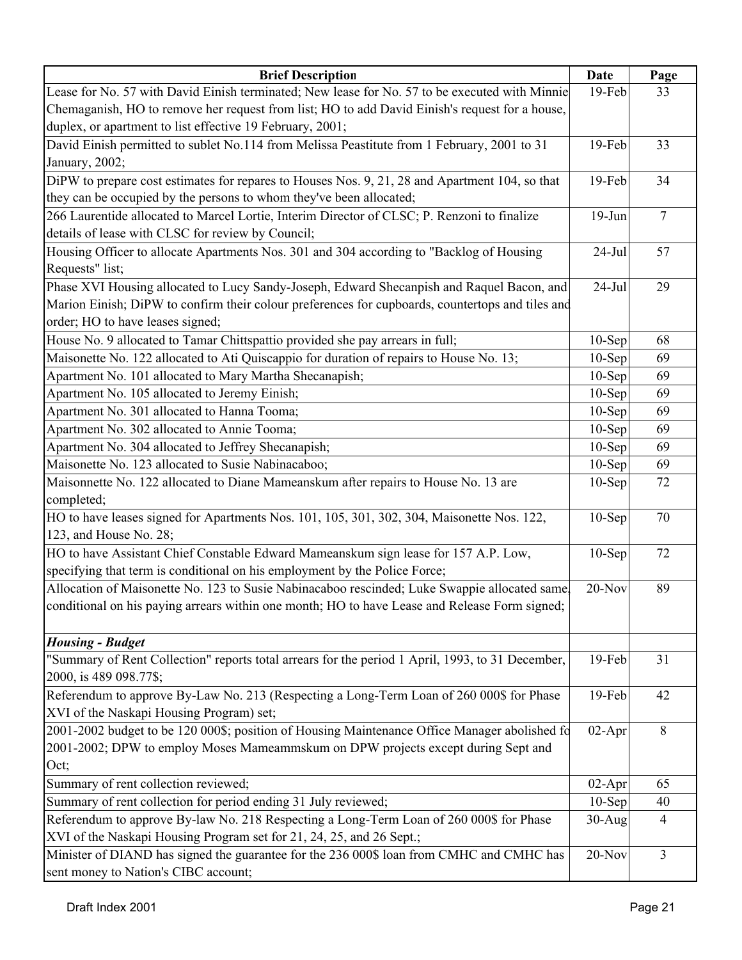| <b>Brief Description</b>                                                                         | Date      | Page           |
|--------------------------------------------------------------------------------------------------|-----------|----------------|
| Lease for No. 57 with David Einish terminated; New lease for No. 57 to be executed with Minnie   | 19-Feb    | 33             |
| Chemaganish, HO to remove her request from list; HO to add David Einish's request for a house,   |           |                |
| duplex, or apartment to list effective 19 February, 2001;                                        |           |                |
| David Einish permitted to sublet No.114 from Melissa Peastitute from 1 February, 2001 to 31      | 19-Feb    | 33             |
| January, 2002;                                                                                   |           |                |
| DiPW to prepare cost estimates for repares to Houses Nos. 9, 21, 28 and Apartment 104, so that   | 19-Feb    | 34             |
| they can be occupied by the persons to whom they've been allocated;                              |           |                |
| 266 Laurentide allocated to Marcel Lortie, Interim Director of CLSC; P. Renzoni to finalize      | $19-Jun$  | $\overline{7}$ |
| details of lease with CLSC for review by Council;                                                |           |                |
| Housing Officer to allocate Apartments Nos. 301 and 304 according to "Backlog of Housing         | $24-Jul$  | 57             |
| Requests" list;                                                                                  |           |                |
| Phase XVI Housing allocated to Lucy Sandy-Joseph, Edward Shecanpish and Raquel Bacon, and        | $24-Jul$  | 29             |
| Marion Einish; DiPW to confirm their colour preferences for cupboards, countertops and tiles and |           |                |
| order; HO to have leases signed;                                                                 |           |                |
| House No. 9 allocated to Tamar Chittspattio provided she pay arrears in full;                    | $10-Sep$  | 68             |
| Maisonette No. 122 allocated to Ati Quiscappio for duration of repairs to House No. 13;          | $10-Sep$  | 69             |
| Apartment No. 101 allocated to Mary Martha Shecanapish;                                          | $10-Sep$  | 69             |
| Apartment No. 105 allocated to Jeremy Einish;                                                    | $10-Sep$  | 69             |
| Apartment No. 301 allocated to Hanna Tooma;                                                      | $10-Sep$  | 69             |
| Apartment No. 302 allocated to Annie Tooma;                                                      | $10-Sep$  | 69             |
| Apartment No. 304 allocated to Jeffrey Shecanapish;                                              | $10-Sep$  | 69             |
| Maisonette No. 123 allocated to Susie Nabinacaboo;                                               | $10-Sep$  | 69             |
| Maisonnette No. 122 allocated to Diane Mameanskum after repairs to House No. 13 are              | $10-Sep$  | 72             |
| completed;                                                                                       |           |                |
| HO to have leases signed for Apartments Nos. 101, 105, 301, 302, 304, Maisonette Nos. 122,       | $10-$ Sep | 70             |
| 123, and House No. 28;                                                                           |           |                |
| HO to have Assistant Chief Constable Edward Mameanskum sign lease for 157 A.P. Low,              | $10-$ Sep | 72             |
| specifying that term is conditional on his employment by the Police Force;                       |           |                |
| Allocation of Maisonette No. 123 to Susie Nabinacaboo rescinded; Luke Swappie allocated same,    | $20-Nov$  | 89             |
| conditional on his paying arrears within one month; HO to have Lease and Release Form signed;    |           |                |
|                                                                                                  |           |                |
| <b>Housing - Budget</b>                                                                          |           |                |
| "Summary of Rent Collection" reports total arrears for the period 1 April, 1993, to 31 December, | 19-Feb    | 31             |
| 2000, is 489 098.77\$;                                                                           |           |                |
| Referendum to approve By-Law No. 213 (Respecting a Long-Term Loan of 260 000\$ for Phase         | 19-Feb    | 42             |
| XVI of the Naskapi Housing Program) set;                                                         |           |                |
| 2001-2002 budget to be 120 000\$; position of Housing Maintenance Office Manager abolished fo    | $02-Apr$  | 8              |
| 2001-2002; DPW to employ Moses Mameammskum on DPW projects except during Sept and                |           |                |
| Oct;                                                                                             |           |                |
| Summary of rent collection reviewed;                                                             | $02-Apr$  | 65             |
| Summary of rent collection for period ending 31 July reviewed;                                   | $10-Sep$  | 40             |
| Referendum to approve By-law No. 218 Respecting a Long-Term Loan of 260 000\$ for Phase          | $30-Aug$  | $\overline{4}$ |
| XVI of the Naskapi Housing Program set for 21, 24, 25, and 26 Sept.;                             |           |                |
| Minister of DIAND has signed the guarantee for the 236 000\$ loan from CMHC and CMHC has         | $20-Nov$  | $\overline{3}$ |
| sent money to Nation's CIBC account;                                                             |           |                |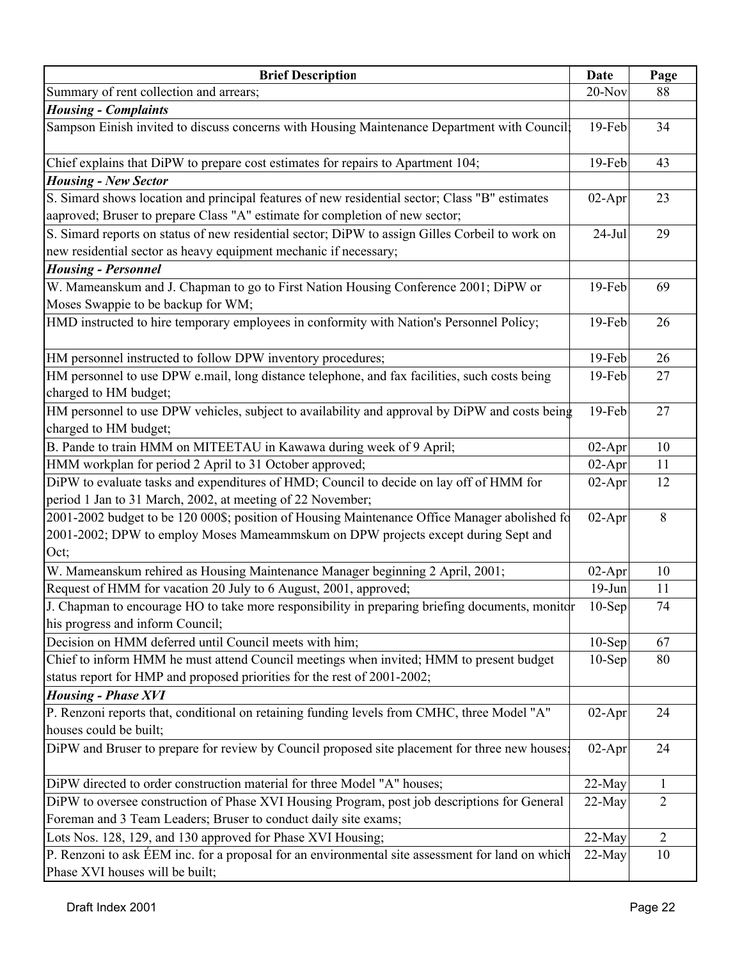| <b>Brief Description</b>                                                                                                                                                                          | Date      | Page           |
|---------------------------------------------------------------------------------------------------------------------------------------------------------------------------------------------------|-----------|----------------|
| Summary of rent collection and arrears;                                                                                                                                                           | 20-Nov    | 88             |
| <b>Housing - Complaints</b>                                                                                                                                                                       |           |                |
| Sampson Einish invited to discuss concerns with Housing Maintenance Department with Council:                                                                                                      | 19-Feb    | 34             |
| Chief explains that DiPW to prepare cost estimates for repairs to Apartment 104;                                                                                                                  | 19-Feb    | 43             |
| <b>Housing - New Sector</b>                                                                                                                                                                       |           |                |
| S. Simard shows location and principal features of new residential sector; Class "B" estimates<br>aaproved; Bruser to prepare Class "A" estimate for completion of new sector;                    | $02-Apr$  | 23             |
| S. Simard reports on status of new residential sector; DiPW to assign Gilles Corbeil to work on<br>new residential sector as heavy equipment mechanic if necessary;<br><b>Housing - Personnel</b> | $24-Jul$  | 29             |
| W. Mameanskum and J. Chapman to go to First Nation Housing Conference 2001; DiPW or<br>Moses Swappie to be backup for WM;                                                                         | 19-Feb    | 69             |
| HMD instructed to hire temporary employees in conformity with Nation's Personnel Policy;                                                                                                          | 19-Feb    | 26             |
| HM personnel instructed to follow DPW inventory procedures;                                                                                                                                       | 19-Feb    | 26             |
| HM personnel to use DPW e.mail, long distance telephone, and fax facilities, such costs being<br>charged to HM budget;                                                                            | 19-Feb    | 27             |
| HM personnel to use DPW vehicles, subject to availability and approval by DiPW and costs being<br>charged to HM budget;                                                                           | 19-Feb    | 27             |
| B. Pande to train HMM on MITEETAU in Kawawa during week of 9 April;                                                                                                                               | $02-Apr$  | 10             |
| HMM workplan for period 2 April to 31 October approved;                                                                                                                                           | $02-Apr$  | 11             |
| DiPW to evaluate tasks and expenditures of HMD; Council to decide on lay off of HMM for<br>period 1 Jan to 31 March, 2002, at meeting of 22 November;                                             | $02-Apr$  | 12             |
| 2001-2002 budget to be 120 000\$; position of Housing Maintenance Office Manager abolished fo<br>2001-2002; DPW to employ Moses Mameammskum on DPW projects except during Sept and<br>Oct;        | $02-Apr$  | 8              |
| W. Mameanskum rehired as Housing Maintenance Manager beginning 2 April, 2001;                                                                                                                     | $02$ -Apr | 10             |
| Request of HMM for vacation 20 July to 6 August, 2001, approved;                                                                                                                                  | $19-Jun$  | 11             |
| J. Chapman to encourage HO to take more responsibility in preparing briefing documents, monitor<br>his progress and inform Council;                                                               | $10-Sep$  | 74             |
| Decision on HMM deferred until Council meets with him;                                                                                                                                            | $10-Sep$  | 67             |
| Chief to inform HMM he must attend Council meetings when invited; HMM to present budget<br>status report for HMP and proposed priorities for the rest of 2001-2002;                               | $10-Sep$  | 80             |
| <b>Housing - Phase XVI</b>                                                                                                                                                                        |           |                |
| P. Renzoni reports that, conditional on retaining funding levels from CMHC, three Model "A"<br>houses could be built;                                                                             | $02-Apr$  | 24             |
| DiPW and Bruser to prepare for review by Council proposed site placement for three new houses.                                                                                                    | $02-Apr$  | 24             |
| DiPW directed to order construction material for three Model "A" houses;                                                                                                                          | 22-May    | 1              |
| DiPW to oversee construction of Phase XVI Housing Program, post job descriptions for General                                                                                                      | 22-May    | $\overline{2}$ |
| Foreman and 3 Team Leaders; Bruser to conduct daily site exams;                                                                                                                                   |           |                |
| Lots Nos. 128, 129, and 130 approved for Phase XVI Housing;                                                                                                                                       | $22-May$  | $\overline{2}$ |
| P. Renzoni to ask ÉEM inc. for a proposal for an environmental site assessment for land on which<br>Phase XVI houses will be built;                                                               | 22-May    | 10             |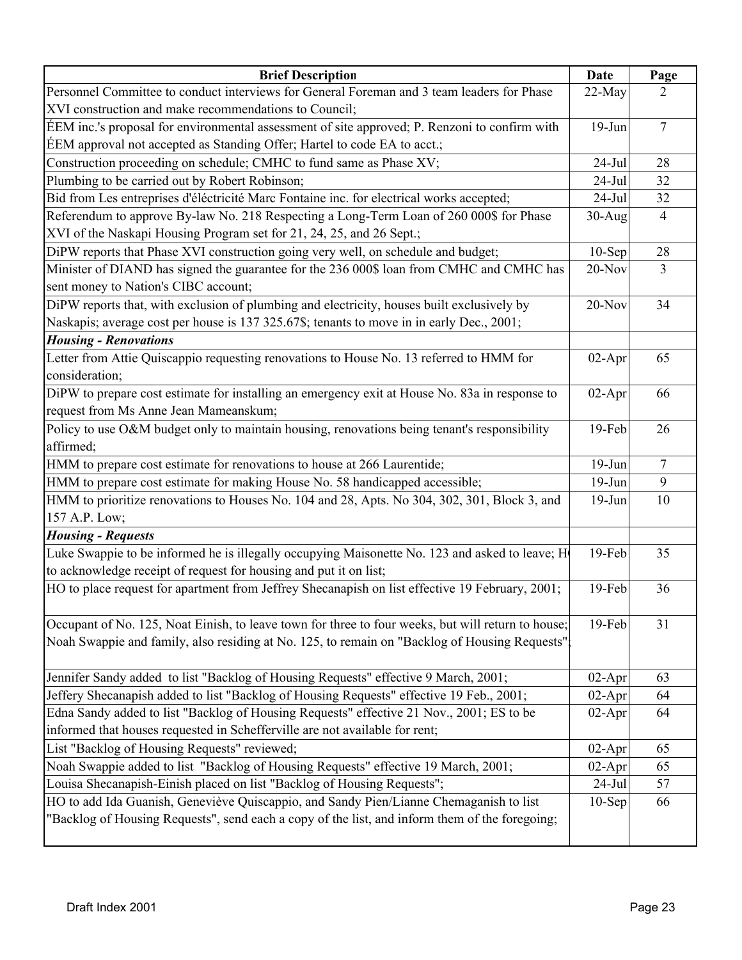| <b>Brief Description</b>                                                                           | Date      | Page           |
|----------------------------------------------------------------------------------------------------|-----------|----------------|
| Personnel Committee to conduct interviews for General Foreman and 3 team leaders for Phase         | 22-May    | 2              |
| XVI construction and make recommendations to Council;                                              |           |                |
| EEM inc.'s proposal for environmental assessment of site approved; P. Renzoni to confirm with      | $19-Jun$  | $\overline{7}$ |
| EEM approval not accepted as Standing Offer; Hartel to code EA to acct.;                           |           |                |
| Construction proceeding on schedule; CMHC to fund same as Phase XV;                                | $24-Jul$  | 28             |
| Plumbing to be carried out by Robert Robinson;                                                     | $24-Jul$  | 32             |
| Bid from Les entreprises d'éléctricité Marc Fontaine inc. for electrical works accepted;           | $24-Jul$  | 32             |
| Referendum to approve By-law No. 218 Respecting a Long-Term Loan of 260 000\$ for Phase            | $30-Aug$  | $\overline{4}$ |
| XVI of the Naskapi Housing Program set for 21, 24, 25, and 26 Sept.;                               |           |                |
| DiPW reports that Phase XVI construction going very well, on schedule and budget;                  | $10-$ Sep | 28             |
| Minister of DIAND has signed the guarantee for the 236 000\$ loan from CMHC and CMHC has           | 20-Nov    | $\overline{3}$ |
| sent money to Nation's CIBC account;                                                               |           |                |
| DiPW reports that, with exclusion of plumbing and electricity, houses built exclusively by         | $20-Nov$  | 34             |
| Naskapis; average cost per house is 137 325.67\$; tenants to move in in early Dec., 2001;          |           |                |
| <b>Housing - Renovations</b>                                                                       |           |                |
| Letter from Attie Quiscappio requesting renovations to House No. 13 referred to HMM for            | $02-Apr$  | 65             |
| consideration;                                                                                     |           |                |
| DiPW to prepare cost estimate for installing an emergency exit at House No. 83a in response to     | $02-Apr$  | 66             |
| request from Ms Anne Jean Mameanskum;                                                              |           |                |
| Policy to use O&M budget only to maintain housing, renovations being tenant's responsibility       | 19-Feb    | 26             |
| affirmed;                                                                                          |           |                |
| HMM to prepare cost estimate for renovations to house at 266 Laurentide;                           | $19-Jun$  | $\tau$         |
| HMM to prepare cost estimate for making House No. 58 handicapped accessible;                       | $19-Jun$  | 9              |
| HMM to prioritize renovations to Houses No. 104 and 28, Apts. No 304, 302, 301, Block 3, and       | $19-Jun$  | 10             |
| 157 A.P. Low;                                                                                      |           |                |
| <b>Housing - Requests</b>                                                                          |           |                |
| Luke Swappie to be informed he is illegally occupying Maisonette No. 123 and asked to leave; Ho    | 19-Feb    | 35             |
| to acknowledge receipt of request for housing and put it on list;                                  |           |                |
| HO to place request for apartment from Jeffrey Shecanapish on list effective 19 February, 2001;    | 19-Feb    | 36             |
|                                                                                                    |           |                |
| Occupant of No. 125, Noat Einish, to leave town for three to four weeks, but will return to house; | 19-Feb    | 31             |
| Noah Swappie and family, also residing at No. 125, to remain on "Backlog of Housing Requests"      |           |                |
|                                                                                                    |           |                |
| Jennifer Sandy added to list "Backlog of Housing Requests" effective 9 March, 2001;                | $02-Apr$  | 63             |
| Jeffery Shecanapish added to list "Backlog of Housing Requests" effective 19 Feb., 2001;           | $02-Apr$  | 64             |
| Edna Sandy added to list "Backlog of Housing Requests" effective 21 Nov., 2001; ES to be           | $02-Apr$  | 64             |
| informed that houses requested in Schefferville are not available for rent;                        |           |                |
| List "Backlog of Housing Requests" reviewed;                                                       | $02-Apr$  | 65             |
| Noah Swappie added to list "Backlog of Housing Requests" effective 19 March, 2001;                 | 02-Apr    | 65             |
| Louisa Shecanapish-Einish placed on list "Backlog of Housing Requests";                            | $24-Jul$  | 57             |
| HO to add Ida Guanish, Geneviève Quiscappio, and Sandy Pien/Lianne Chemaganish to list             | $10-Sep$  | 66             |
| "Backlog of Housing Requests", send each a copy of the list, and inform them of the foregoing;     |           |                |
|                                                                                                    |           |                |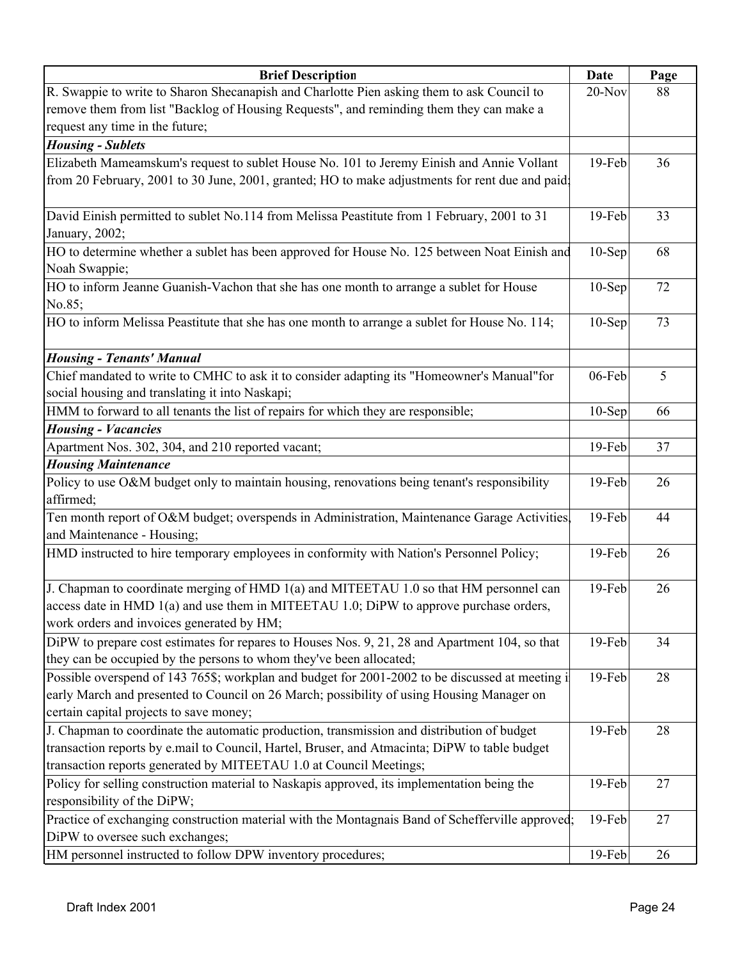| <b>Brief Description</b>                                                                                                   | <b>Date</b> | Page |
|----------------------------------------------------------------------------------------------------------------------------|-------------|------|
| R. Swappie to write to Sharon Shecanapish and Charlotte Pien asking them to ask Council to                                 | $20-Nov$    | 88   |
| remove them from list "Backlog of Housing Requests", and reminding them they can make a                                    |             |      |
| request any time in the future;                                                                                            |             |      |
| <b>Housing - Sublets</b>                                                                                                   |             |      |
| Elizabeth Mameamskum's request to sublet House No. 101 to Jeremy Einish and Annie Vollant                                  | 19-Feb      | 36   |
| from 20 February, 2001 to 30 June, 2001, granted; HO to make adjustments for rent due and paid;                            |             |      |
|                                                                                                                            |             |      |
| David Einish permitted to sublet No.114 from Melissa Peastitute from 1 February, 2001 to 31                                | 19-Feb      | 33   |
| January, 2002;                                                                                                             |             |      |
| HO to determine whether a sublet has been approved for House No. 125 between Noat Einish and                               | $10-$ Sep   | 68   |
| Noah Swappie;                                                                                                              |             |      |
| HO to inform Jeanne Guanish-Vachon that she has one month to arrange a sublet for House                                    | $10-$ Sep   | 72   |
| No.85;                                                                                                                     |             |      |
| HO to inform Melissa Peastitute that she has one month to arrange a sublet for House No. 114;                              | $10-Sep$    | 73   |
|                                                                                                                            |             |      |
| <b>Housing - Tenants' Manual</b>                                                                                           |             |      |
| Chief mandated to write to CMHC to ask it to consider adapting its "Homeowner's Manual" for                                | 06-Feb      | 5    |
| social housing and translating it into Naskapi;                                                                            |             |      |
| HMM to forward to all tenants the list of repairs for which they are responsible;                                          | $10-Sep$    | 66   |
| <b>Housing - Vacancies</b>                                                                                                 |             |      |
| Apartment Nos. 302, 304, and 210 reported vacant;                                                                          | 19-Feb      | 37   |
| <b>Housing Maintenance</b><br>Policy to use O&M budget only to maintain housing, renovations being tenant's responsibility | 19-Feb      | 26   |
| affirmed;                                                                                                                  |             |      |
| Ten month report of O&M budget; overspends in Administration, Maintenance Garage Activities,                               | 19-Feb      | 44   |
| and Maintenance - Housing;                                                                                                 |             |      |
| HMD instructed to hire temporary employees in conformity with Nation's Personnel Policy;                                   | $19$ -Feb   | 26   |
|                                                                                                                            |             |      |
| J. Chapman to coordinate merging of HMD 1(a) and MITEETAU 1.0 so that HM personnel can                                     | 19-Feb      | 26   |
| access date in HMD $1(a)$ and use them in MITEETAU 1.0; DiPW to approve purchase orders,                                   |             |      |
| work orders and invoices generated by HM;                                                                                  |             |      |
| DiPW to prepare cost estimates for repares to Houses Nos. 9, 21, 28 and Apartment 104, so that                             | 19-Feb      | 34   |
| they can be occupied by the persons to whom they've been allocated;                                                        |             |      |
| Possible overspend of 143 765\$; workplan and budget for 2001-2002 to be discussed at meeting i                            | 19-Feb      | 28   |
| early March and presented to Council on 26 March; possibility of using Housing Manager on                                  |             |      |
| certain capital projects to save money;                                                                                    |             |      |
| J. Chapman to coordinate the automatic production, transmission and distribution of budget                                 | 19-Feb      | 28   |
| transaction reports by e.mail to Council, Hartel, Bruser, and Atmacinta; DiPW to table budget                              |             |      |
| transaction reports generated by MITEETAU 1.0 at Council Meetings;                                                         |             |      |
| Policy for selling construction material to Naskapis approved, its implementation being the                                | 19-Feb      | 27   |
| responsibility of the DiPW;                                                                                                |             |      |
| Practice of exchanging construction material with the Montagnais Band of Schefferville approved;                           | 19-Feb      | 27   |
| DiPW to oversee such exchanges;                                                                                            |             |      |
| HM personnel instructed to follow DPW inventory procedures;                                                                | 19-Feb      | 26   |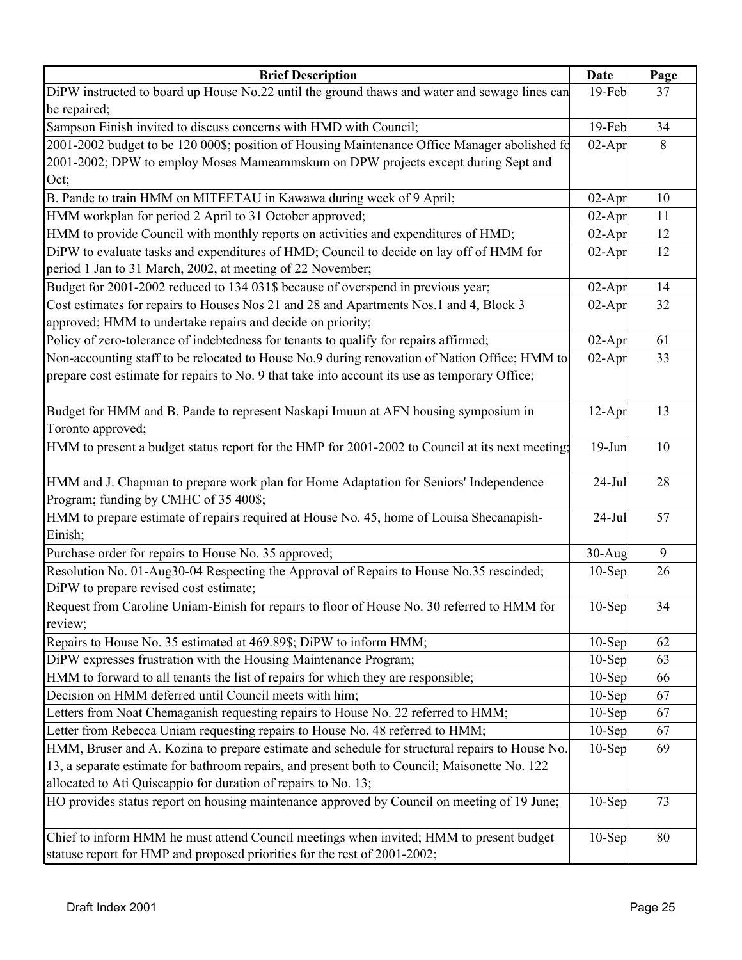| <b>Brief Description</b>                                                                        | Date      | Page |
|-------------------------------------------------------------------------------------------------|-----------|------|
| DiPW instructed to board up House No.22 until the ground thaws and water and sewage lines can   | 19-Feb    | 37   |
| be repaired;                                                                                    |           |      |
| Sampson Einish invited to discuss concerns with HMD with Council;                               | 19-Feb    | 34   |
| 2001-2002 budget to be 120 000\$; position of Housing Maintenance Office Manager abolished fo   | $02-Apr$  | 8    |
| 2001-2002; DPW to employ Moses Mameammskum on DPW projects except during Sept and               |           |      |
| Oct;                                                                                            |           |      |
| B. Pande to train HMM on MITEETAU in Kawawa during week of 9 April;                             | $02-Apr$  | 10   |
| HMM workplan for period 2 April to 31 October approved;                                         | $02-Apr$  | 11   |
| HMM to provide Council with monthly reports on activities and expenditures of HMD;              | $02$ -Apr | 12   |
| DiPW to evaluate tasks and expenditures of HMD; Council to decide on lay off of HMM for         | $02-Apr$  | 12   |
| period 1 Jan to 31 March, 2002, at meeting of 22 November;                                      |           |      |
| Budget for 2001-2002 reduced to 134 031\$ because of overspend in previous year;                | $02-Apr$  | 14   |
| Cost estimates for repairs to Houses Nos 21 and 28 and Apartments Nos.1 and 4, Block 3          | $02-Apr$  | 32   |
| approved; HMM to undertake repairs and decide on priority;                                      |           |      |
| Policy of zero-tolerance of indebtedness for tenants to qualify for repairs affirmed;           | $02-Apr$  | 61   |
| Non-accounting staff to be relocated to House No.9 during renovation of Nation Office; HMM to   | $02-Apr$  | 33   |
| prepare cost estimate for repairs to No. 9 that take into account its use as temporary Office;  |           |      |
|                                                                                                 |           |      |
| Budget for HMM and B. Pande to represent Naskapi Imuun at AFN housing symposium in              | $12-Apr$  | 13   |
| Toronto approved;                                                                               |           |      |
| HMM to present a budget status report for the HMP for 2001-2002 to Council at its next meeting; | $19-Jun$  | 10   |
|                                                                                                 |           |      |
| HMM and J. Chapman to prepare work plan for Home Adaptation for Seniors' Independence           | $24-Jul$  | 28   |
| Program; funding by CMHC of 35 400\$;                                                           |           |      |
| HMM to prepare estimate of repairs required at House No. 45, home of Louisa Shecanapish-        | $24-Jul$  | 57   |
| Einish;                                                                                         |           |      |
| Purchase order for repairs to House No. 35 approved;                                            | $30-Aug$  | 9    |
| Resolution No. 01-Aug30-04 Respecting the Approval of Repairs to House No.35 rescinded;         | $10-Sep$  | 26   |
| DiPW to prepare revised cost estimate;                                                          |           |      |
| Request from Caroline Uniam-Einish for repairs to floor of House No. 30 referred to HMM for     | $10-Sep$  | 34   |
| review;                                                                                         |           |      |
| Repairs to House No. 35 estimated at 469.89\$; DiPW to inform HMM;                              | $10-Sep$  | 62   |
| DiPW expresses frustration with the Housing Maintenance Program;                                | $10-Sep$  | 63   |
| HMM to forward to all tenants the list of repairs for which they are responsible;               | $10-Sep$  | 66   |
| Decision on HMM deferred until Council meets with him;                                          | $10-Sep$  | 67   |
| Letters from Noat Chemaganish requesting repairs to House No. 22 referred to HMM;               | $10-Sep$  | 67   |
| Letter from Rebecca Uniam requesting repairs to House No. 48 referred to HMM;                   | $10-Sep$  | 67   |
| HMM, Bruser and A. Kozina to prepare estimate and schedule for structural repairs to House No.  | $10-Sep$  | 69   |
| 13, a separate estimate for bathroom repairs, and present both to Council; Maisonette No. 122   |           |      |
| allocated to Ati Quiscappio for duration of repairs to No. 13;                                  |           |      |
| HO provides status report on housing maintenance approved by Council on meeting of 19 June;     | $10-Sep$  | 73   |
|                                                                                                 |           |      |
| Chief to inform HMM he must attend Council meetings when invited; HMM to present budget         | $10-Sep$  | 80   |
| statuse report for HMP and proposed priorities for the rest of 2001-2002;                       |           |      |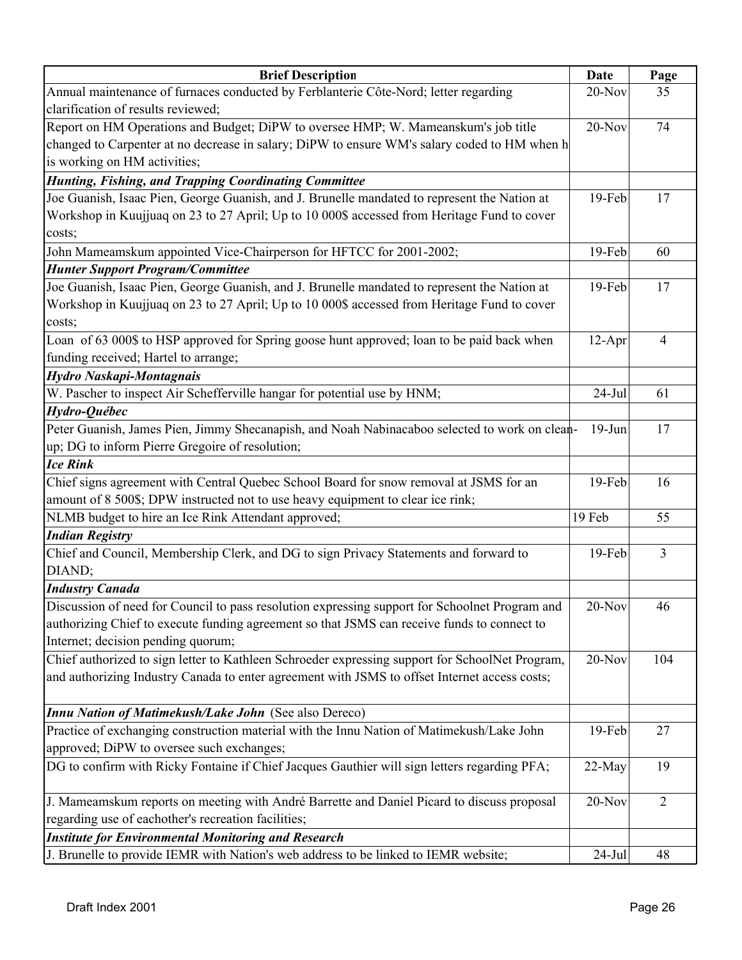| <b>Brief Description</b>                                                                        | Date     | Page           |
|-------------------------------------------------------------------------------------------------|----------|----------------|
| Annual maintenance of furnaces conducted by Ferblanterie Côte-Nord; letter regarding            | 20-Nov   | 35             |
| clarification of results reviewed;                                                              |          |                |
| Report on HM Operations and Budget; DiPW to oversee HMP; W. Mameanskum's job title              | $20-Nov$ | 74             |
| changed to Carpenter at no decrease in salary; DiPW to ensure WM's salary coded to HM when h    |          |                |
| is working on HM activities;                                                                    |          |                |
| <b>Hunting, Fishing, and Trapping Coordinating Committee</b>                                    |          |                |
| Joe Guanish, Isaac Pien, George Guanish, and J. Brunelle mandated to represent the Nation at    | 19-Feb   | 17             |
| Workshop in Kuujjuaq on 23 to 27 April; Up to 10 000\$ accessed from Heritage Fund to cover     |          |                |
| costs;                                                                                          |          |                |
| John Mameamskum appointed Vice-Chairperson for HFTCC for 2001-2002;                             | 19-Feb   | 60             |
| <b>Hunter Support Program/Committee</b>                                                         |          |                |
| Joe Guanish, Isaac Pien, George Guanish, and J. Brunelle mandated to represent the Nation at    | 19-Feb   | 17             |
| Workshop in Kuujjuaq on 23 to 27 April; Up to 10 000\$ accessed from Heritage Fund to cover     |          |                |
| costs;                                                                                          |          |                |
| Loan of 63 000\$ to HSP approved for Spring goose hunt approved; loan to be paid back when      | $12-Apr$ | 4              |
| funding received; Hartel to arrange;                                                            |          |                |
| Hydro Naskapi-Montagnais                                                                        |          |                |
| W. Pascher to inspect Air Schefferville hangar for potential use by HNM;                        | $24-Jul$ | 61             |
| Hydro-Québec                                                                                    |          |                |
| Peter Guanish, James Pien, Jimmy Shecanapish, and Noah Nabinacaboo selected to work on clean-   | $19-Jun$ | 17             |
| up; DG to inform Pierre Gregoire of resolution;                                                 |          |                |
| <b>Ice Rink</b>                                                                                 |          |                |
| Chief signs agreement with Central Quebec School Board for snow removal at JSMS for an          | $19-Feb$ | 16             |
| amount of 8 500\$; DPW instructed not to use heavy equipment to clear ice rink;                 |          |                |
| NLMB budget to hire an Ice Rink Attendant approved;                                             | 19 Feb   | 55             |
| <b>Indian Registry</b>                                                                          |          |                |
| Chief and Council, Membership Clerk, and DG to sign Privacy Statements and forward to           | 19-Feb   | 3              |
| DIAND;                                                                                          |          |                |
| <b>Industry Canada</b>                                                                          |          |                |
| Discussion of need for Council to pass resolution expressing support for Schoolnet Program and  | $20-Nov$ | 46             |
| authorizing Chief to execute funding agreement so that JSMS can receive funds to connect to     |          |                |
| Internet; decision pending quorum;                                                              |          |                |
| Chief authorized to sign letter to Kathleen Schroeder expressing support for SchoolNet Program, | 20-Nov   | 104            |
| and authorizing Industry Canada to enter agreement with JSMS to offset Internet access costs;   |          |                |
|                                                                                                 |          |                |
| Innu Nation of Matimekush/Lake John (See also Dereco)                                           |          |                |
| Practice of exchanging construction material with the Innu Nation of Matimekush/Lake John       | 19-Feb   | 27             |
| approved; DiPW to oversee such exchanges;                                                       |          |                |
| DG to confirm with Ricky Fontaine if Chief Jacques Gauthier will sign letters regarding PFA;    | 22-May   | 19             |
|                                                                                                 |          |                |
| J. Mameamskum reports on meeting with André Barrette and Daniel Picard to discuss proposal      | 20-Nov   | $\overline{2}$ |
| regarding use of eachother's recreation facilities;                                             |          |                |
| <b>Institute for Environmental Monitoring and Research</b>                                      |          |                |
| J. Brunelle to provide IEMR with Nation's web address to be linked to IEMR website;             | $24-Jul$ | 48             |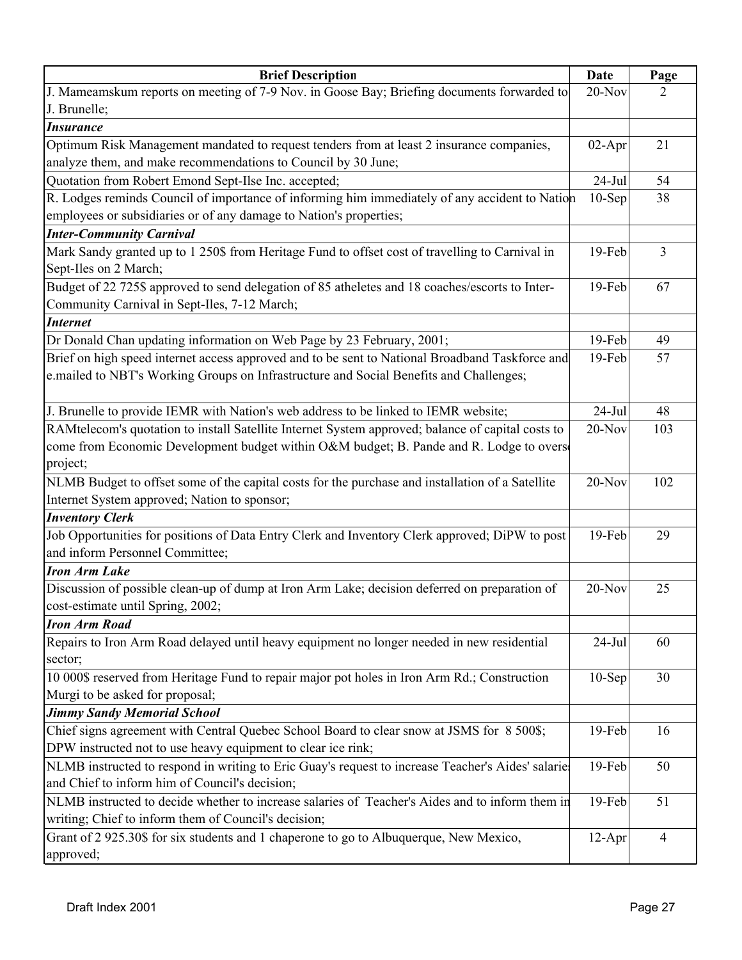| <b>Brief Description</b>                                                                                           | Date      | Page |
|--------------------------------------------------------------------------------------------------------------------|-----------|------|
| J. Mameamskum reports on meeting of 7-9 Nov. in Goose Bay; Briefing documents forwarded to                         | $20-Nov$  | 2    |
| J. Brunelle;                                                                                                       |           |      |
| <b>Insurance</b>                                                                                                   |           |      |
| Optimum Risk Management mandated to request tenders from at least 2 insurance companies,                           | $02-Apr$  | 21   |
| analyze them, and make recommendations to Council by 30 June;                                                      |           |      |
| Quotation from Robert Emond Sept-Ilse Inc. accepted;                                                               | $24-Jul$  | 54   |
| R. Lodges reminds Council of importance of informing him immediately of any accident to Nation                     | $10-Sep$  | 38   |
| employees or subsidiaries or of any damage to Nation's properties;                                                 |           |      |
| <b>Inter-Community Carnival</b>                                                                                    |           |      |
| Mark Sandy granted up to 1 250\$ from Heritage Fund to offset cost of travelling to Carnival in                    | 19-Feb    | 3    |
| Sept-Iles on 2 March;                                                                                              |           |      |
| Budget of 22 725\$ approved to send delegation of 85 atheletes and 18 coaches/escorts to Inter-                    | 19-Feb    | 67   |
| Community Carnival in Sept-Iles, 7-12 March;                                                                       |           |      |
| <b>Internet</b>                                                                                                    |           |      |
| Dr Donald Chan updating information on Web Page by 23 February, 2001;                                              | 19-Feb    | 49   |
| Brief on high speed internet access approved and to be sent to National Broadband Taskforce and                    | 19-Feb    | 57   |
| e.mailed to NBT's Working Groups on Infrastructure and Social Benefits and Challenges;                             |           |      |
|                                                                                                                    |           |      |
| J. Brunelle to provide IEMR with Nation's web address to be linked to IEMR website;                                | $24-Jul$  | 48   |
| RAMtelecom's quotation to install Satellite Internet System approved; balance of capital costs to                  | $20-Nov$  | 103  |
| come from Economic Development budget within O&M budget; B. Pande and R. Lodge to overs                            |           |      |
| project;                                                                                                           |           |      |
| NLMB Budget to offset some of the capital costs for the purchase and installation of a Satellite                   | $20$ -Nov | 102  |
| Internet System approved; Nation to sponsor;                                                                       |           |      |
| <b>Inventory Clerk</b>                                                                                             |           |      |
| Job Opportunities for positions of Data Entry Clerk and Inventory Clerk approved; DiPW to post                     | 19-Feb    | 29   |
| and inform Personnel Committee;                                                                                    |           |      |
| <b>Iron Arm Lake</b>                                                                                               |           |      |
| Discussion of possible clean-up of dump at Iron Arm Lake; decision deferred on preparation of                      | 20-Nov    | 25   |
| cost-estimate until Spring, 2002;                                                                                  |           |      |
| <b>Iron Arm Road</b><br>Repairs to Iron Arm Road delayed until heavy equipment no longer needed in new residential | $24$ -Jul | 60   |
| sector;                                                                                                            |           |      |
| 10 000\$ reserved from Heritage Fund to repair major pot holes in Iron Arm Rd.; Construction                       | $10-Sep$  | 30   |
| Murgi to be asked for proposal;                                                                                    |           |      |
| <b>Jimmy Sandy Memorial School</b>                                                                                 |           |      |
| Chief signs agreement with Central Quebec School Board to clear snow at JSMS for 8 500\$;                          | 19-Feb    | 16   |
| DPW instructed not to use heavy equipment to clear ice rink;                                                       |           |      |
| NLMB instructed to respond in writing to Eric Guay's request to increase Teacher's Aides' salarie                  | 19-Feb    | 50   |
| and Chief to inform him of Council's decision;                                                                     |           |      |
| NLMB instructed to decide whether to increase salaries of Teacher's Aides and to inform them in                    | 19-Feb    | 51   |
| writing; Chief to inform them of Council's decision;                                                               |           |      |
| Grant of 2 925.30\$ for six students and 1 chaperone to go to Albuquerque, New Mexico,                             | $12-Apr$  | 4    |
| approved;                                                                                                          |           |      |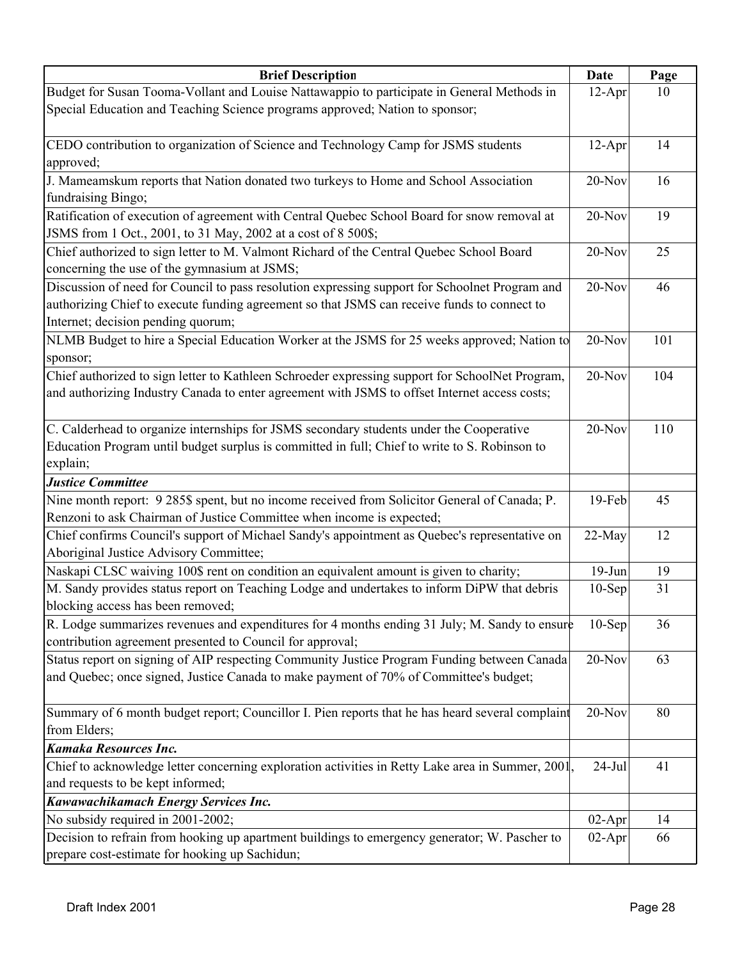| <b>Brief Description</b>                                                                                                                                                                                                            | <b>Date</b> | Page |
|-------------------------------------------------------------------------------------------------------------------------------------------------------------------------------------------------------------------------------------|-------------|------|
| Budget for Susan Tooma-Vollant and Louise Nattawappio to participate in General Methods in                                                                                                                                          | $12-Apr$    | 10   |
| Special Education and Teaching Science programs approved; Nation to sponsor;                                                                                                                                                        |             |      |
|                                                                                                                                                                                                                                     |             |      |
| CEDO contribution to organization of Science and Technology Camp for JSMS students                                                                                                                                                  | $12-Apr$    | 14   |
| approved;                                                                                                                                                                                                                           |             |      |
| J. Mameamskum reports that Nation donated two turkeys to Home and School Association                                                                                                                                                | $20-Nov$    | 16   |
| fundraising Bingo;                                                                                                                                                                                                                  |             |      |
| Ratification of execution of agreement with Central Quebec School Board for snow removal at<br>JSMS from 1 Oct., 2001, to 31 May, 2002 at a cost of 8 500\$;                                                                        | 20-Nov      | 19   |
| Chief authorized to sign letter to M. Valmont Richard of the Central Quebec School Board<br>concerning the use of the gymnasium at JSMS;                                                                                            | $20-Nov$    | 25   |
| Discussion of need for Council to pass resolution expressing support for Schoolnet Program and<br>authorizing Chief to execute funding agreement so that JSMS can receive funds to connect to<br>Internet; decision pending quorum; | $20-Nov$    | 46   |
| NLMB Budget to hire a Special Education Worker at the JSMS for 25 weeks approved; Nation to<br>sponsor;                                                                                                                             | 20-Nov      | 101  |
| Chief authorized to sign letter to Kathleen Schroeder expressing support for SchoolNet Program,<br>and authorizing Industry Canada to enter agreement with JSMS to offset Internet access costs;                                    | $20-Nov$    | 104  |
| C. Calderhead to organize internships for JSMS secondary students under the Cooperative<br>Education Program until budget surplus is committed in full; Chief to write to S. Robinson to<br>explain;                                | $20-Nov$    | 110  |
| <b>Justice Committee</b>                                                                                                                                                                                                            |             |      |
| Nine month report: 9 285\$ spent, but no income received from Solicitor General of Canada; P.                                                                                                                                       | 19-Feb      | 45   |
| Renzoni to ask Chairman of Justice Committee when income is expected;                                                                                                                                                               |             |      |
| Chief confirms Council's support of Michael Sandy's appointment as Quebec's representative on<br>Aboriginal Justice Advisory Committee;                                                                                             | 22-May      | 12   |
| Naskapi CLSC waiving 100\$ rent on condition an equivalent amount is given to charity;                                                                                                                                              | $19-Jun$    | 19   |
| M. Sandy provides status report on Teaching Lodge and undertakes to inform DiPW that debris<br>blocking access has been removed;                                                                                                    | $10-Sep$    | 31   |
| R. Lodge summarizes revenues and expenditures for 4 months ending 31 July; M. Sandy to ensure                                                                                                                                       | $10-$ Sep   | 36   |
| contribution agreement presented to Council for approval;                                                                                                                                                                           |             |      |
| Status report on signing of AIP respecting Community Justice Program Funding between Canada                                                                                                                                         | 20-Nov      | 63   |
| and Quebec; once signed, Justice Canada to make payment of 70% of Committee's budget;                                                                                                                                               |             |      |
| Summary of 6 month budget report; Councillor I. Pien reports that he has heard several complaint                                                                                                                                    | $20-Nov$    | 80   |
| from Elders;                                                                                                                                                                                                                        |             |      |
| Kamaka Resources Inc.                                                                                                                                                                                                               |             |      |
| Chief to acknowledge letter concerning exploration activities in Retty Lake area in Summer, 2001,                                                                                                                                   | $24$ -Jul   | 41   |
| and requests to be kept informed;                                                                                                                                                                                                   |             |      |
| Kawawachikamach Energy Services Inc.                                                                                                                                                                                                |             |      |
| No subsidy required in 2001-2002;                                                                                                                                                                                                   | $02-Apr$    | 14   |
| Decision to refrain from hooking up apartment buildings to emergency generator; W. Pascher to                                                                                                                                       | $02-Apr$    | 66   |
| prepare cost-estimate for hooking up Sachidun;                                                                                                                                                                                      |             |      |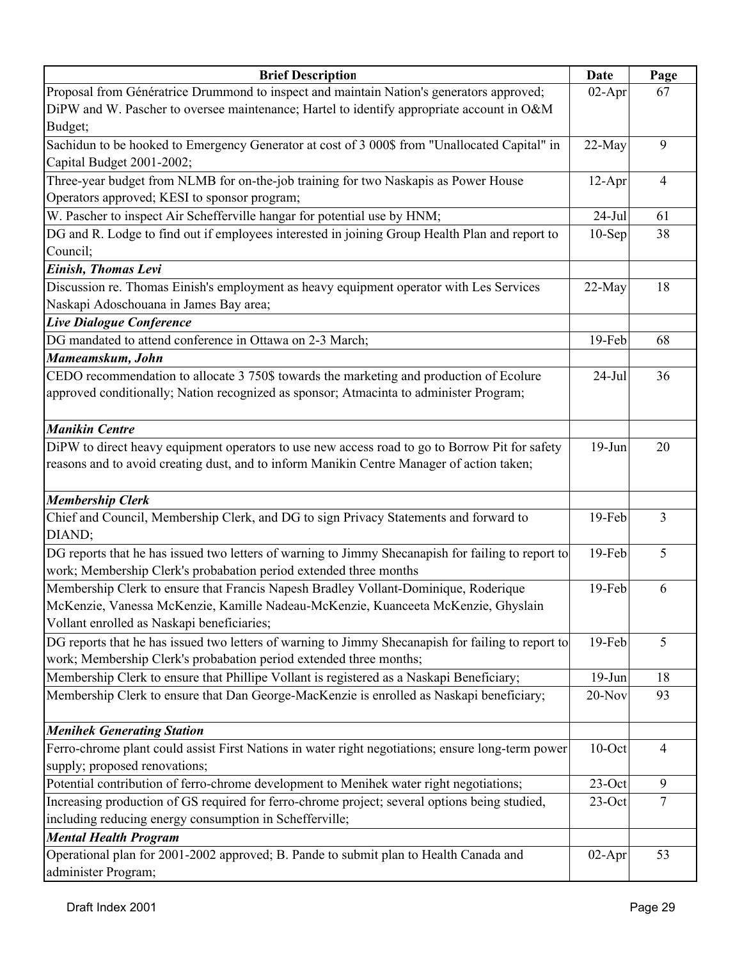| <b>Brief Description</b>                                                                           | <b>Date</b> | Page           |
|----------------------------------------------------------------------------------------------------|-------------|----------------|
| Proposal from Génératrice Drummond to inspect and maintain Nation's generators approved;           | $02-Apr$    | 67             |
| DiPW and W. Pascher to oversee maintenance; Hartel to identify appropriate account in O&M          |             |                |
| Budget;                                                                                            |             |                |
| Sachidun to be hooked to Emergency Generator at cost of 3 000\$ from "Unallocated Capital" in      | 22-May      | 9              |
| Capital Budget 2001-2002;                                                                          |             |                |
| Three-year budget from NLMB for on-the-job training for two Naskapis as Power House                | $12-Apr$    | 4              |
| Operators approved; KESI to sponsor program;                                                       |             |                |
| W. Pascher to inspect Air Schefferville hangar for potential use by HNM;                           | $24-Jul$    | 61             |
| DG and R. Lodge to find out if employees interested in joining Group Health Plan and report to     | $10-$ Sep   | 38             |
| Council;                                                                                           |             |                |
| Einish, Thomas Levi                                                                                |             |                |
| Discussion re. Thomas Einish's employment as heavy equipment operator with Les Services            | 22-May      | 18             |
| Naskapi Adoschouana in James Bay area;                                                             |             |                |
| Live Dialogue Conference                                                                           |             |                |
| DG mandated to attend conference in Ottawa on 2-3 March;                                           | 19-Feb      | 68             |
| Mameamskum, John                                                                                   |             |                |
| CEDO recommendation to allocate 3 750\$ towards the marketing and production of Ecolure            | $24-Jul$    | 36             |
| approved conditionally; Nation recognized as sponsor; Atmacinta to administer Program;             |             |                |
|                                                                                                    |             |                |
| <b>Manikin Centre</b>                                                                              |             |                |
| DiPW to direct heavy equipment operators to use new access road to go to Borrow Pit for safety     | $19-Jun$    | 20             |
| reasons and to avoid creating dust, and to inform Manikin Centre Manager of action taken;          |             |                |
|                                                                                                    |             |                |
| <b>Membership Clerk</b>                                                                            |             |                |
| Chief and Council, Membership Clerk, and DG to sign Privacy Statements and forward to              | 19-Feb      | 3              |
| DIAND;                                                                                             |             |                |
| DG reports that he has issued two letters of warning to Jimmy Shecanapish for failing to report to | 19-Feb      | 5              |
| work; Membership Clerk's probabation period extended three months                                  |             |                |
| Membership Clerk to ensure that Francis Napesh Bradley Vollant-Dominique, Roderique                | 19-Feb      | 6              |
| McKenzie, Vanessa McKenzie, Kamille Nadeau-McKenzie, Kuanceeta McKenzie, Ghyslain                  |             |                |
| Vollant enrolled as Naskapi beneficiaries;                                                         |             |                |
| DG reports that he has issued two letters of warning to Jimmy Shecanapish for failing to report to | $19-Feb$    | 5              |
| work; Membership Clerk's probabation period extended three months;                                 |             |                |
| Membership Clerk to ensure that Phillipe Vollant is registered as a Naskapi Beneficiary;           | $19-Jun$    | 18             |
| Membership Clerk to ensure that Dan George-MacKenzie is enrolled as Naskapi beneficiary;           | 20-Nov      | 93             |
|                                                                                                    |             |                |
| <b>Menihek Generating Station</b>                                                                  |             |                |
| Ferro-chrome plant could assist First Nations in water right negotiations; ensure long-term power  | $10$ -Oct   | $\overline{4}$ |
| supply; proposed renovations;                                                                      |             |                |
| Potential contribution of ferro-chrome development to Menihek water right negotiations;            | $23$ -Oct   | 9              |
| Increasing production of GS required for ferro-chrome project; several options being studied,      | $23$ -Oct   | $\overline{7}$ |
| including reducing energy consumption in Schefferville;                                            |             |                |
| <b>Mental Health Program</b>                                                                       |             |                |
| Operational plan for 2001-2002 approved; B. Pande to submit plan to Health Canada and              | $02-Apr$    | 53             |
| administer Program;                                                                                |             |                |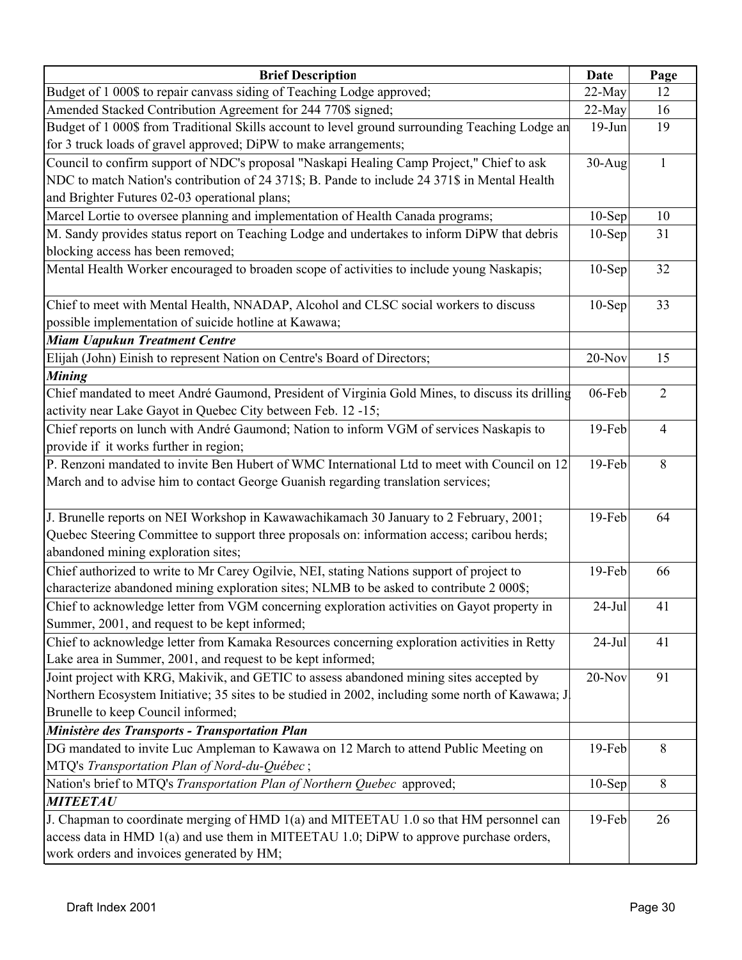| <b>Brief Description</b>                                                                          | <b>Date</b> | Page           |
|---------------------------------------------------------------------------------------------------|-------------|----------------|
| Budget of 1 000\$ to repair canvass siding of Teaching Lodge approved;                            | 22-May      | 12             |
| Amended Stacked Contribution Agreement for 244 770\$ signed;                                      | 22-May      | 16             |
| Budget of 1 000\$ from Traditional Skills account to level ground surrounding Teaching Lodge an   | $19-Jun$    | 19             |
| for 3 truck loads of gravel approved; DiPW to make arrangements;                                  |             |                |
| Council to confirm support of NDC's proposal "Naskapi Healing Camp Project," Chief to ask         | $30-Aug$    | 1              |
| NDC to match Nation's contribution of 24 371\$; B. Pande to include 24 371\$ in Mental Health     |             |                |
| and Brighter Futures 02-03 operational plans;                                                     |             |                |
| Marcel Lortie to oversee planning and implementation of Health Canada programs;                   | $10-Sep$    | 10             |
| M. Sandy provides status report on Teaching Lodge and undertakes to inform DiPW that debris       | $10-Sep$    | 31             |
| blocking access has been removed;                                                                 |             |                |
| Mental Health Worker encouraged to broaden scope of activities to include young Naskapis;         | $10-Sep$    | 32             |
| Chief to meet with Mental Health, NNADAP, Alcohol and CLSC social workers to discuss              | $10-Sep$    | 33             |
| possible implementation of suicide hotline at Kawawa;                                             |             |                |
| <b>Miam Uapukun Treatment Centre</b>                                                              |             |                |
| Elijah (John) Einish to represent Nation on Centre's Board of Directors;                          | 20-Nov      | 15             |
| <b>Mining</b>                                                                                     |             |                |
| Chief mandated to meet André Gaumond, President of Virginia Gold Mines, to discuss its drilling   | 06-Feb      | $\overline{2}$ |
| activity near Lake Gayot in Quebec City between Feb. 12 -15;                                      |             |                |
| Chief reports on lunch with André Gaumond; Nation to inform VGM of services Naskapis to           | 19-Feb      | $\overline{4}$ |
| provide if it works further in region;                                                            |             |                |
| P. Renzoni mandated to invite Ben Hubert of WMC International Ltd to meet with Council on 12      | 19-Feb      | 8              |
| March and to advise him to contact George Guanish regarding translation services;                 |             |                |
| J. Brunelle reports on NEI Workshop in Kawawachikamach 30 January to 2 February, 2001;            | 19-Feb      | 64             |
| Quebec Steering Committee to support three proposals on: information access; caribou herds;       |             |                |
| abandoned mining exploration sites;                                                               |             |                |
| Chief authorized to write to Mr Carey Ogilvie, NEI, stating Nations support of project to         | $19-Feb$    | 66             |
| characterize abandoned mining exploration sites; NLMB to be asked to contribute 2 000\$;          |             |                |
| Chief to acknowledge letter from VGM concerning exploration activities on Gayot property in       | $24-Jul$    | 41             |
| Summer, 2001, and request to be kept informed;                                                    |             |                |
| Chief to acknowledge letter from Kamaka Resources concerning exploration activities in Retty      | $24$ -Jul   | 41             |
| Lake area in Summer, 2001, and request to be kept informed;                                       |             |                |
| Joint project with KRG, Makivik, and GETIC to assess abandoned mining sites accepted by           | 20-Nov      | 91             |
| Northern Ecosystem Initiative; 35 sites to be studied in 2002, including some north of Kawawa; J. |             |                |
| Brunelle to keep Council informed;                                                                |             |                |
| Ministère des Transports - Transportation Plan                                                    |             |                |
| DG mandated to invite Luc Ampleman to Kawawa on 12 March to attend Public Meeting on              | 19-Feb      | 8              |
| MTQ's Transportation Plan of Nord-du-Québec;                                                      |             |                |
| Nation's brief to MTQ's Transportation Plan of Northern Quebec approved;                          | $10-Sep$    | 8              |
| <b>MITEETAU</b>                                                                                   |             |                |
| J. Chapman to coordinate merging of HMD 1(a) and MITEETAU 1.0 so that HM personnel can            | 19-Feb      | 26             |
| access data in HMD 1(a) and use them in MITEETAU 1.0; DiPW to approve purchase orders,            |             |                |
| work orders and invoices generated by HM;                                                         |             |                |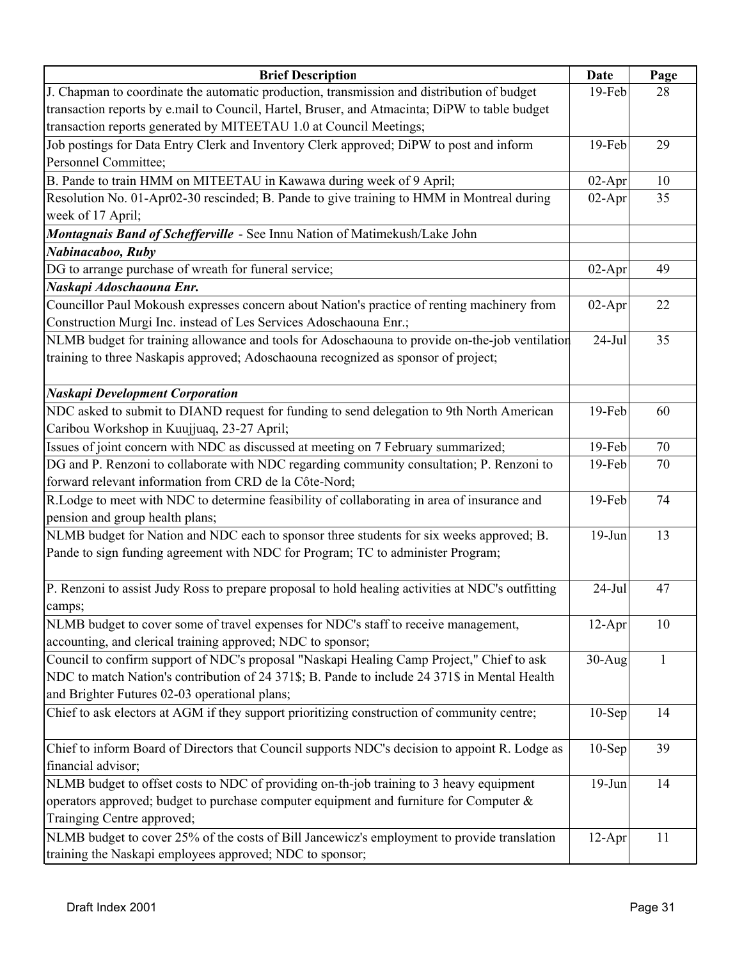| <b>Brief Description</b>                                                                          | Date     | Page |
|---------------------------------------------------------------------------------------------------|----------|------|
| J. Chapman to coordinate the automatic production, transmission and distribution of budget        | 19-Feb   | 28   |
| transaction reports by e.mail to Council, Hartel, Bruser, and Atmacinta; DiPW to table budget     |          |      |
| transaction reports generated by MITEETAU 1.0 at Council Meetings;                                |          |      |
| Job postings for Data Entry Clerk and Inventory Clerk approved; DiPW to post and inform           | 19-Feb   | 29   |
| Personnel Committee;                                                                              |          |      |
| B. Pande to train HMM on MITEETAU in Kawawa during week of 9 April;                               | $02-Apr$ | 10   |
| Resolution No. 01-Apr02-30 rescinded; B. Pande to give training to HMM in Montreal during         | $02-Apr$ | 35   |
| week of 17 April;                                                                                 |          |      |
| Montagnais Band of Schefferville - See Innu Nation of Matimekush/Lake John                        |          |      |
| Nabinacaboo, Ruby                                                                                 |          |      |
| DG to arrange purchase of wreath for funeral service;                                             | $02-Apr$ | 49   |
| Naskapi Adoschaouna Enr.                                                                          |          |      |
| Councillor Paul Mokoush expresses concern about Nation's practice of renting machinery from       | $02-Apr$ | 22   |
| Construction Murgi Inc. instead of Les Services Adoschaouna Enr.;                                 |          |      |
| NLMB budget for training allowance and tools for Adoschaouna to provide on-the-job ventilation    | $24-Jul$ | 35   |
| training to three Naskapis approved; Adoschaouna recognized as sponsor of project;                |          |      |
|                                                                                                   |          |      |
| <b>Naskapi Development Corporation</b>                                                            |          |      |
| NDC asked to submit to DIAND request for funding to send delegation to 9th North American         | 19-Feb   | 60   |
| Caribou Workshop in Kuujjuaq, 23-27 April;                                                        |          |      |
| Issues of joint concern with NDC as discussed at meeting on 7 February summarized;                | 19-Feb   | 70   |
| DG and P. Renzoni to collaborate with NDC regarding community consultation; P. Renzoni to         | 19-Feb   | 70   |
| forward relevant information from CRD de la Côte-Nord;                                            |          |      |
| R.Lodge to meet with NDC to determine feasibility of collaborating in area of insurance and       | 19-Feb   | 74   |
| pension and group health plans;                                                                   |          |      |
| NLMB budget for Nation and NDC each to sponsor three students for six weeks approved; B.          | $19-Jun$ | 13   |
| Pande to sign funding agreement with NDC for Program; TC to administer Program;                   |          |      |
|                                                                                                   |          |      |
| P. Renzoni to assist Judy Ross to prepare proposal to hold healing activities at NDC's outfitting | $24-Jul$ | 47   |
| camps;                                                                                            |          |      |
| NLMB budget to cover some of travel expenses for NDC's staff to receive management,               | $12-Apr$ | 10   |
| accounting, and clerical training approved; NDC to sponsor;                                       |          |      |
| Council to confirm support of NDC's proposal "Naskapi Healing Camp Project," Chief to ask         | $30-Aug$ |      |
| NDC to match Nation's contribution of 24 371\$; B. Pande to include 24 371\$ in Mental Health     |          |      |
| and Brighter Futures 02-03 operational plans;                                                     |          |      |
| Chief to ask electors at AGM if they support prioritizing construction of community centre;       | $10-Sep$ | 14   |
|                                                                                                   |          |      |
| Chief to inform Board of Directors that Council supports NDC's decision to appoint R. Lodge as    | $10-Sep$ | 39   |
| financial advisor;                                                                                |          |      |
| NLMB budget to offset costs to NDC of providing on-th-job training to 3 heavy equipment           | $19-Jun$ | 14   |
| operators approved; budget to purchase computer equipment and furniture for Computer $\&$         |          |      |
| Trainging Centre approved;                                                                        |          |      |
| NLMB budget to cover 25% of the costs of Bill Jancewicz's employment to provide translation       | $12-Apr$ | 11   |
| training the Naskapi employees approved; NDC to sponsor;                                          |          |      |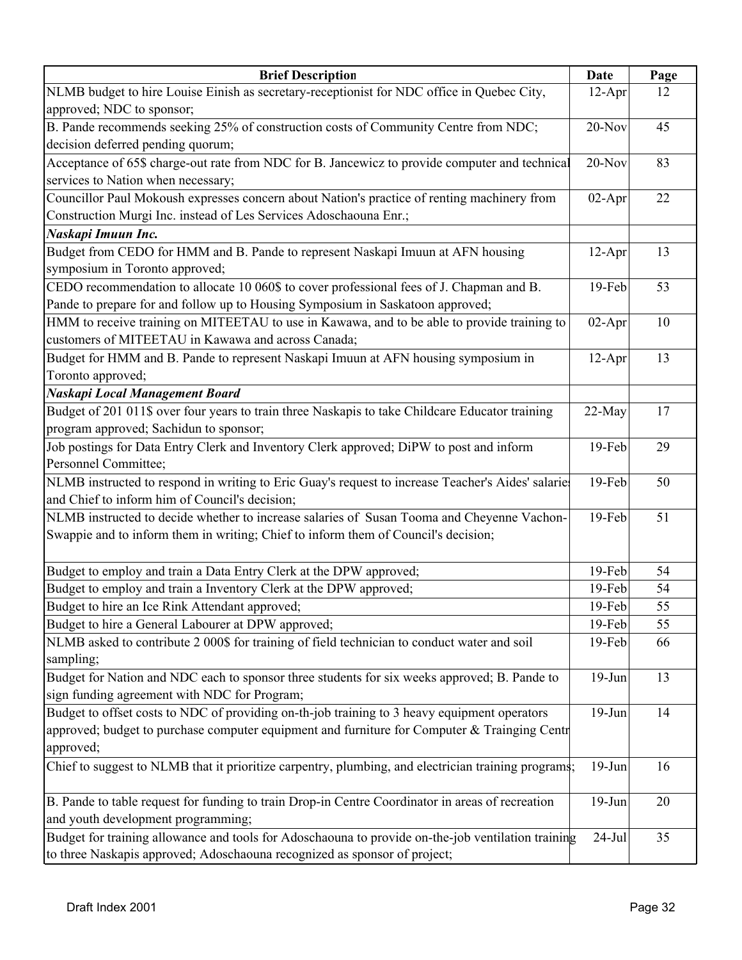| <b>Brief Description</b>                                                                                                                                                        | Date      | Page |
|---------------------------------------------------------------------------------------------------------------------------------------------------------------------------------|-----------|------|
| NLMB budget to hire Louise Einish as secretary-receptionist for NDC office in Quebec City,                                                                                      | $12-Apr$  | 12   |
| approved; NDC to sponsor;                                                                                                                                                       |           |      |
| B. Pande recommends seeking 25% of construction costs of Community Centre from NDC;                                                                                             | 20-Nov    | 45   |
| decision deferred pending quorum;                                                                                                                                               |           |      |
| Acceptance of 65\$ charge-out rate from NDC for B. Jancewicz to provide computer and technical                                                                                  | $20-Nov$  | 83   |
| services to Nation when necessary;                                                                                                                                              |           |      |
| Councillor Paul Mokoush expresses concern about Nation's practice of renting machinery from                                                                                     | $02-Apr$  | 22   |
| Construction Murgi Inc. instead of Les Services Adoschaouna Enr.;                                                                                                               |           |      |
| Naskapi Imuun Inc.                                                                                                                                                              |           |      |
| Budget from CEDO for HMM and B. Pande to represent Naskapi Imuun at AFN housing<br>symposium in Toronto approved;                                                               | $12-Apr$  | 13   |
| CEDO recommendation to allocate 10 060\$ to cover professional fees of J. Chapman and B.                                                                                        | 19-Feb    | 53   |
| Pande to prepare for and follow up to Housing Symposium in Saskatoon approved;                                                                                                  |           |      |
| HMM to receive training on MITEETAU to use in Kawawa, and to be able to provide training to                                                                                     | $02-Apr$  | 10   |
| customers of MITEETAU in Kawawa and across Canada;                                                                                                                              |           |      |
| Budget for HMM and B. Pande to represent Naskapi Imuun at AFN housing symposium in                                                                                              | $12-Apr$  | 13   |
| Toronto approved;                                                                                                                                                               |           |      |
| <b>Naskapi Local Management Board</b>                                                                                                                                           |           |      |
| Budget of 201 011\$ over four years to train three Naskapis to take Childcare Educator training                                                                                 | 22-May    | 17   |
| program approved; Sachidun to sponsor;                                                                                                                                          |           |      |
| Job postings for Data Entry Clerk and Inventory Clerk approved; DiPW to post and inform                                                                                         | 19-Feb    | 29   |
| Personnel Committee;                                                                                                                                                            |           |      |
| NLMB instructed to respond in writing to Eric Guay's request to increase Teacher's Aides' salaries<br>and Chief to inform him of Council's decision;                            | 19-Feb    | 50   |
| NLMB instructed to decide whether to increase salaries of Susan Tooma and Cheyenne Vachon-                                                                                      | 19-Feb    | 51   |
| Swappie and to inform them in writing; Chief to inform them of Council's decision;                                                                                              |           |      |
| Budget to employ and train a Data Entry Clerk at the DPW approved;                                                                                                              | 19-Feb    | 54   |
| Budget to employ and train a Inventory Clerk at the DPW approved;                                                                                                               | 19-Feb    | 54   |
| Budget to hire an Ice Rink Attendant approved;                                                                                                                                  | 19-Feb    | 55   |
| Budget to hire a General Labourer at DPW approved;                                                                                                                              | 19-Feb    | 55   |
| NLMB asked to contribute 2 000\$ for training of field technician to conduct water and soil                                                                                     | 19-Feb    | 66   |
| sampling;                                                                                                                                                                       |           |      |
| Budget for Nation and NDC each to sponsor three students for six weeks approved; B. Pande to                                                                                    | $19-Jun$  | 13   |
| sign funding agreement with NDC for Program;                                                                                                                                    |           |      |
| Budget to offset costs to NDC of providing on-th-job training to 3 heavy equipment operators                                                                                    | $19-Jun$  | 14   |
| approved; budget to purchase computer equipment and furniture for Computer & Trainging Centr                                                                                    |           |      |
| approved;                                                                                                                                                                       |           |      |
| Chief to suggest to NLMB that it prioritize carpentry, plumbing, and electrician training programs;                                                                             | $19-Jun$  | 16   |
| B. Pande to table request for funding to train Drop-in Centre Coordinator in areas of recreation                                                                                | $19-Jun$  | 20   |
| and youth development programming;                                                                                                                                              |           |      |
| Budget for training allowance and tools for Adoschaouna to provide on-the-job ventilation training<br>to three Naskapis approved; Adoschaouna recognized as sponsor of project; | $24$ -Jul | 35   |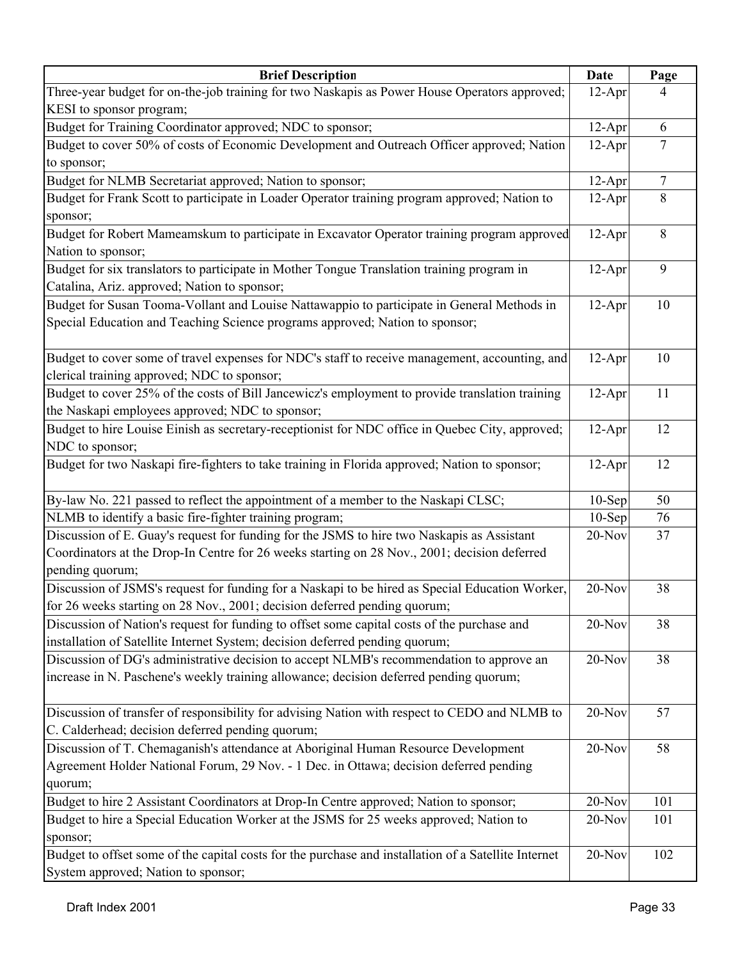| <b>Brief Description</b>                                                                             | Date     | Page            |
|------------------------------------------------------------------------------------------------------|----------|-----------------|
| Three-year budget for on-the-job training for two Naskapis as Power House Operators approved;        | $12-Apr$ | 4               |
| KESI to sponsor program;                                                                             |          |                 |
| Budget for Training Coordinator approved; NDC to sponsor;                                            | $12-Apr$ | 6               |
| Budget to cover 50% of costs of Economic Development and Outreach Officer approved; Nation           | $12-Apr$ | $\overline{7}$  |
| to sponsor;                                                                                          |          |                 |
| Budget for NLMB Secretariat approved; Nation to sponsor;                                             | $12-Apr$ | $7\phantom{.0}$ |
| Budget for Frank Scott to participate in Loader Operator training program approved; Nation to        | $12-Apr$ | $\,8\,$         |
| sponsor;                                                                                             |          |                 |
| Budget for Robert Mameamskum to participate in Excavator Operator training program approved          | $12-Apr$ | 8               |
| Nation to sponsor;                                                                                   |          |                 |
| Budget for six translators to participate in Mother Tongue Translation training program in           | $12-Apr$ | 9               |
| Catalina, Ariz. approved; Nation to sponsor;                                                         |          |                 |
| Budget for Susan Tooma-Vollant and Louise Nattawappio to participate in General Methods in           | $12-Apr$ | 10              |
| Special Education and Teaching Science programs approved; Nation to sponsor;                         |          |                 |
|                                                                                                      |          |                 |
| Budget to cover some of travel expenses for NDC's staff to receive management, accounting, and       | $12-Apr$ | 10              |
| clerical training approved; NDC to sponsor;                                                          |          |                 |
| Budget to cover 25% of the costs of Bill Jancewicz's employment to provide translation training      | $12-Apr$ | 11              |
| the Naskapi employees approved; NDC to sponsor;                                                      |          |                 |
| Budget to hire Louise Einish as secretary-receptionist for NDC office in Quebec City, approved;      | $12-Apr$ | 12              |
| NDC to sponsor;                                                                                      |          |                 |
| Budget for two Naskapi fire-fighters to take training in Florida approved; Nation to sponsor;        | $12-Apr$ | 12              |
|                                                                                                      |          |                 |
| By-law No. 221 passed to reflect the appointment of a member to the Naskapi CLSC;                    | $10-Sep$ | 50              |
| NLMB to identify a basic fire-fighter training program;                                              | $10-Sep$ | 76              |
| Discussion of E. Guay's request for funding for the JSMS to hire two Naskapis as Assistant           | 20-Nov   | 37              |
| Coordinators at the Drop-In Centre for 26 weeks starting on 28 Nov., 2001; decision deferred         |          |                 |
| pending quorum;                                                                                      |          |                 |
| Discussion of JSMS's request for funding for a Naskapi to be hired as Special Education Worker,      | 20-Nov   | 38              |
| for 26 weeks starting on 28 Nov., 2001; decision deferred pending quorum;                            |          |                 |
| Discussion of Nation's request for funding to offset some capital costs of the purchase and          | 20-Nov   | 38              |
| installation of Satellite Internet System; decision deferred pending quorum;                         |          |                 |
| Discussion of DG's administrative decision to accept NLMB's recommendation to approve an             | 20-Nov   | 38              |
| increase in N. Paschene's weekly training allowance; decision deferred pending quorum;               |          |                 |
|                                                                                                      |          |                 |
| Discussion of transfer of responsibility for advising Nation with respect to CEDO and NLMB to        | 20-Nov   | 57              |
| C. Calderhead; decision deferred pending quorum;                                                     |          |                 |
| Discussion of T. Chemaganish's attendance at Aboriginal Human Resource Development                   | 20-Nov   | 58              |
| Agreement Holder National Forum, 29 Nov. - 1 Dec. in Ottawa; decision deferred pending               |          |                 |
| quorum;                                                                                              |          |                 |
| Budget to hire 2 Assistant Coordinators at Drop-In Centre approved; Nation to sponsor;               | 20-Nov   | 101             |
| Budget to hire a Special Education Worker at the JSMS for 25 weeks approved; Nation to               | 20-Nov   | 101             |
| sponsor;                                                                                             |          |                 |
| Budget to offset some of the capital costs for the purchase and installation of a Satellite Internet | $20-Nov$ | 102             |
| System approved; Nation to sponsor;                                                                  |          |                 |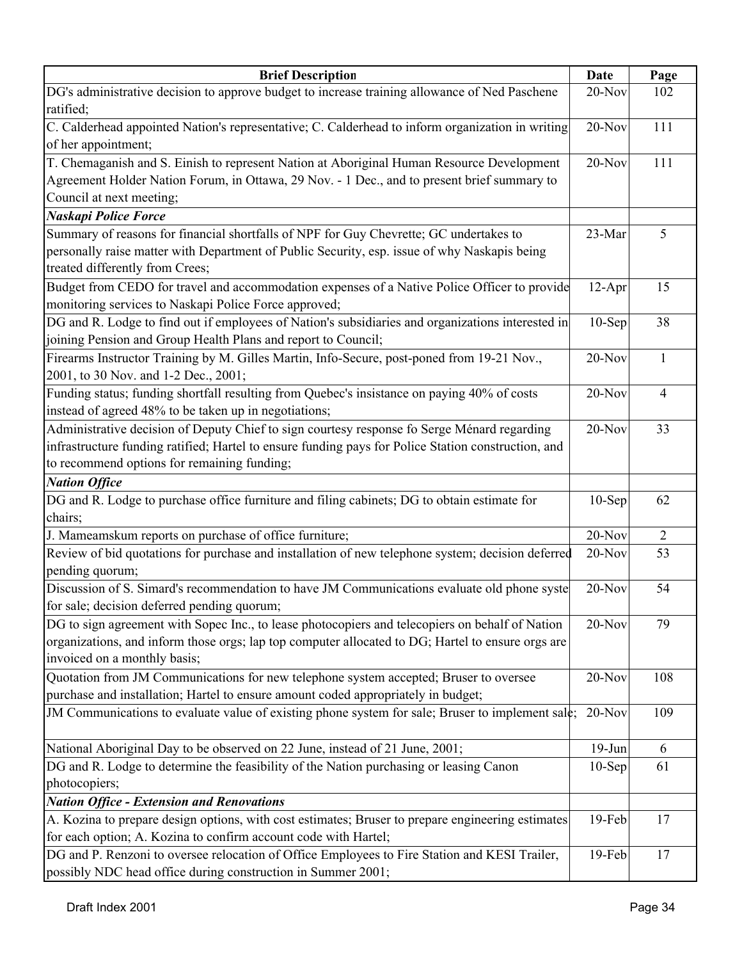| <b>Brief Description</b>                                                                            | Date      | Page           |
|-----------------------------------------------------------------------------------------------------|-----------|----------------|
| DG's administrative decision to approve budget to increase training allowance of Ned Paschene       | 20-Nov    | 102            |
| ratified;                                                                                           |           |                |
| C. Calderhead appointed Nation's representative; C. Calderhead to inform organization in writing    | $20-Nov$  | 111            |
| of her appointment;                                                                                 |           |                |
| T. Chemaganish and S. Einish to represent Nation at Aboriginal Human Resource Development           | $20-Nov$  | 111            |
| Agreement Holder Nation Forum, in Ottawa, 29 Nov. - 1 Dec., and to present brief summary to         |           |                |
| Council at next meeting;                                                                            |           |                |
| <b>Naskapi Police Force</b>                                                                         |           |                |
| Summary of reasons for financial shortfalls of NPF for Guy Chevrette; GC undertakes to              | 23-Mar    | 5              |
| personally raise matter with Department of Public Security, esp. issue of why Naskapis being        |           |                |
| treated differently from Crees;                                                                     |           |                |
| Budget from CEDO for travel and accommodation expenses of a Native Police Officer to provide        | $12-Apr$  | 15             |
| monitoring services to Naskapi Police Force approved;                                               |           |                |
| DG and R. Lodge to find out if employees of Nation's subsidiaries and organizations interested in   | $10-$ Sep | 38             |
| joining Pension and Group Health Plans and report to Council;                                       |           |                |
| Firearms Instructor Training by M. Gilles Martin, Info-Secure, post-poned from 19-21 Nov.,          | $20-Nov$  | $\mathbf{1}$   |
| 2001, to 30 Nov. and 1-2 Dec., 2001;                                                                |           |                |
| Funding status; funding shortfall resulting from Quebec's insistance on paying 40% of costs         | 20-Nov    | $\overline{4}$ |
| instead of agreed 48% to be taken up in negotiations;                                               |           |                |
| Administrative decision of Deputy Chief to sign courtesy response fo Serge Ménard regarding         | $20-Nov$  | 33             |
| infrastructure funding ratified; Hartel to ensure funding pays for Police Station construction, and |           |                |
| to recommend options for remaining funding;                                                         |           |                |
| <b>Nation Office</b>                                                                                |           |                |
| DG and R. Lodge to purchase office furniture and filing cabinets; DG to obtain estimate for         | $10-Sep$  | 62             |
| chairs;                                                                                             |           |                |
| J. Mameamskum reports on purchase of office furniture;                                              | 20-Nov    | $\overline{2}$ |
| Review of bid quotations for purchase and installation of new telephone system; decision deferred   | 20-Nov    | 53             |
| pending quorum;                                                                                     |           |                |
| Discussion of S. Simard's recommendation to have JM Communications evaluate old phone syste         | $20-Nov$  | 54             |
| for sale; decision deferred pending quorum;                                                         |           |                |
| DG to sign agreement with Sopec Inc., to lease photocopiers and telecopiers on behalf of Nation     | $20-Nov$  | 79             |
| organizations, and inform those orgs; lap top computer allocated to DG; Hartel to ensure orgs are   |           |                |
| invoiced on a monthly basis;                                                                        |           |                |
| Quotation from JM Communications for new telephone system accepted; Bruser to oversee               | 20-Nov    | 108            |
| purchase and installation; Hartel to ensure amount coded appropriately in budget;                   |           |                |
| JM Communications to evaluate value of existing phone system for sale; Bruser to implement sale;    | $20-Nov$  | 109            |
|                                                                                                     |           |                |
| National Aboriginal Day to be observed on 22 June, instead of 21 June, 2001;                        | $19-Jun$  | 6              |
| DG and R. Lodge to determine the feasibility of the Nation purchasing or leasing Canon              | $10-Sep$  | 61             |
| photocopiers;                                                                                       |           |                |
| <b>Nation Office - Extension and Renovations</b>                                                    |           |                |
| A. Kozina to prepare design options, with cost estimates; Bruser to prepare engineering estimates   | 19-Feb    | 17             |
|                                                                                                     |           |                |
| for each option; A. Kozina to confirm account code with Hartel;                                     |           |                |
| DG and P. Renzoni to oversee relocation of Office Employees to Fire Station and KESI Trailer,       | 19-Feb    | 17             |
| possibly NDC head office during construction in Summer 2001;                                        |           |                |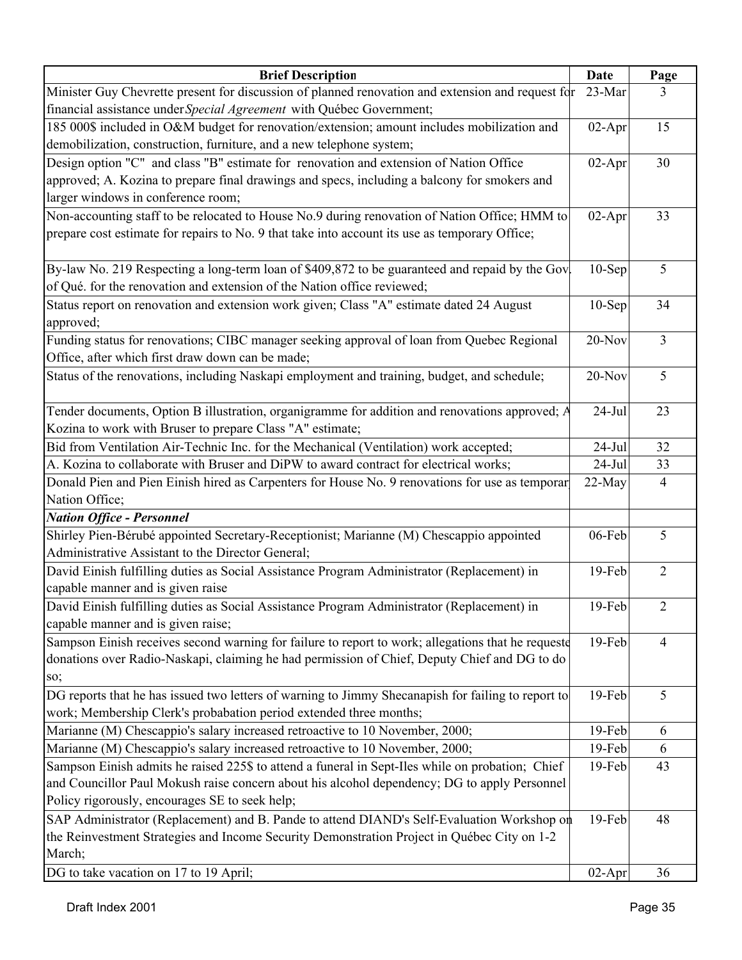| <b>Brief Description</b>                                                                           | Date      | Page           |
|----------------------------------------------------------------------------------------------------|-----------|----------------|
| Minister Guy Chevrette present for discussion of planned renovation and extension and request for  | 23-Mar    | 3              |
| financial assistance under Special Agreement with Québec Government;                               |           |                |
| 185 000\$ included in O&M budget for renovation/extension; amount includes mobilization and        | $02-Apr$  | 15             |
| demobilization, construction, furniture, and a new telephone system;                               |           |                |
| Design option "C" and class "B" estimate for renovation and extension of Nation Office             | $02-Apr$  | 30             |
| approved; A. Kozina to prepare final drawings and specs, including a balcony for smokers and       |           |                |
| larger windows in conference room;                                                                 |           |                |
| Non-accounting staff to be relocated to House No.9 during renovation of Nation Office; HMM to      | $02-Apr$  | 33             |
| prepare cost estimate for repairs to No. 9 that take into account its use as temporary Office;     |           |                |
|                                                                                                    |           |                |
| By-law No. 219 Respecting a long-term loan of \$409,872 to be guaranteed and repaid by the Gov.    | $10-$ Sep | 5              |
| of Qué. for the renovation and extension of the Nation office reviewed;                            |           |                |
| Status report on renovation and extension work given; Class "A" estimate dated 24 August           | $10-Sep$  | 34             |
| approved;                                                                                          |           |                |
| Funding status for renovations; CIBC manager seeking approval of loan from Quebec Regional         | 20-Nov    | $\overline{3}$ |
| Office, after which first draw down can be made;                                                   |           |                |
| Status of the renovations, including Naskapi employment and training, budget, and schedule;        | 20-Nov    | 5              |
|                                                                                                    |           |                |
| Tender documents, Option B illustration, organigramme for addition and renovations approved; A     | $24-Jul$  | 23             |
| Kozina to work with Bruser to prepare Class "A" estimate;                                          |           |                |
| Bid from Ventilation Air-Technic Inc. for the Mechanical (Ventilation) work accepted;              | $24-Jul$  | 32             |
| A. Kozina to collaborate with Bruser and DiPW to award contract for electrical works;              | $24-Jul$  | 33             |
| Donald Pien and Pien Einish hired as Carpenters for House No. 9 renovations for use as temporar    | 22-May    | $\overline{4}$ |
| Nation Office;                                                                                     |           |                |
| <b>Nation Office - Personnel</b>                                                                   |           |                |
| Shirley Pien-Bérubé appointed Secretary-Receptionist; Marianne (M) Chescappio appointed            | 06-Feb    | 5              |
| Administrative Assistant to the Director General;                                                  |           |                |
| David Einish fulfilling duties as Social Assistance Program Administrator (Replacement) in         | 19-Feb    | $\overline{2}$ |
| capable manner and is given raise                                                                  |           |                |
| David Einish fulfilling duties as Social Assistance Program Administrator (Replacement) in         | 19-Feb    | $\overline{2}$ |
| capable manner and is given raise;                                                                 |           |                |
| Sampson Einish receives second warning for failure to report to work; allegations that he requeste | 19-Feb    | $\overline{4}$ |
| donations over Radio-Naskapi, claiming he had permission of Chief, Deputy Chief and DG to do       |           |                |
| SO;                                                                                                |           |                |
| DG reports that he has issued two letters of warning to Jimmy Shecanapish for failing to report to | 19-Feb    | 5              |
| work; Membership Clerk's probabation period extended three months;                                 |           |                |
| Marianne (M) Chescappio's salary increased retroactive to 10 November, 2000;                       | 19-Feb    | 6              |
| Marianne (M) Chescappio's salary increased retroactive to 10 November, 2000;                       | 19-Feb    | 6              |
| Sampson Einish admits he raised 225\$ to attend a funeral in Sept-Iles while on probation; Chief   | 19-Feb    | 43             |
| and Councillor Paul Mokush raise concern about his alcohol dependency; DG to apply Personnel       |           |                |
| Policy rigorously, encourages SE to seek help;                                                     |           |                |
| SAP Administrator (Replacement) and B. Pande to attend DIAND's Self-Evaluation Workshop on         | 19-Feb    | 48             |
| the Reinvestment Strategies and Income Security Demonstration Project in Québec City on 1-2        |           |                |
| March;                                                                                             |           |                |
| DG to take vacation on 17 to 19 April;                                                             | $02-Apr$  | 36             |
|                                                                                                    |           |                |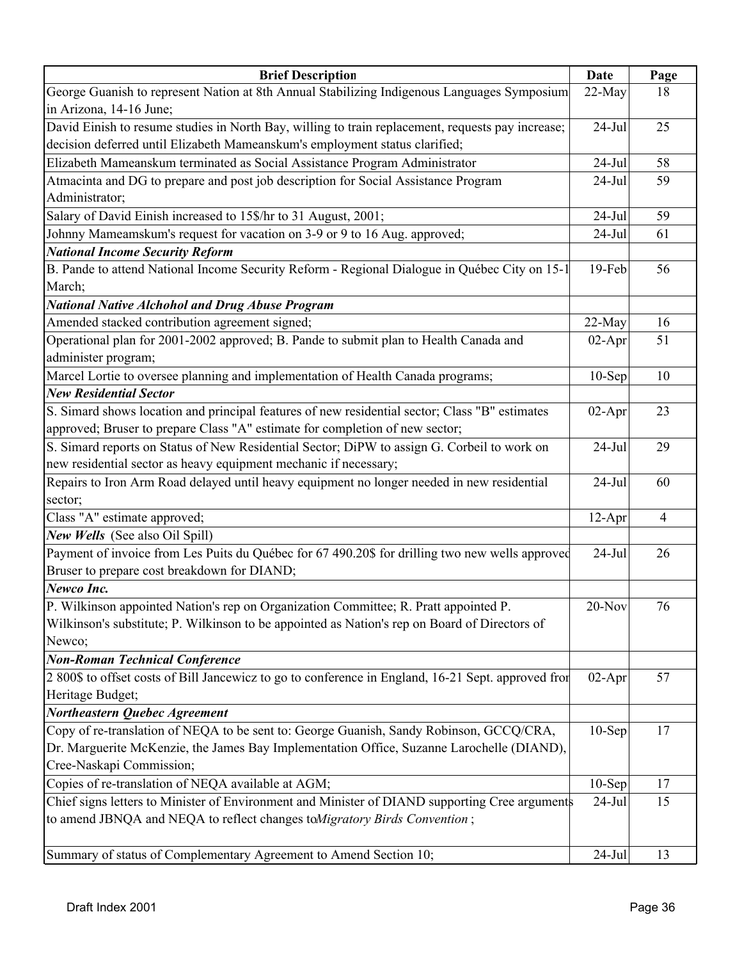| <b>Brief Description</b>                                                                            | Date      | Page           |
|-----------------------------------------------------------------------------------------------------|-----------|----------------|
| George Guanish to represent Nation at 8th Annual Stabilizing Indigenous Languages Symposium         | 22-May    | 18             |
| in Arizona, 14-16 June;                                                                             |           |                |
| David Einish to resume studies in North Bay, willing to train replacement, requests pay increase;   | $24-Jul$  | 25             |
| decision deferred until Elizabeth Mameanskum's employment status clarified;                         |           |                |
| Elizabeth Mameanskum terminated as Social Assistance Program Administrator                          | $24-Jul$  | 58             |
| Atmacinta and DG to prepare and post job description for Social Assistance Program                  | $24-Jul$  | 59             |
| Administrator;                                                                                      |           |                |
| Salary of David Einish increased to 15\$/hr to 31 August, 2001;                                     | $24-Jul$  | 59             |
| Johnny Mameamskum's request for vacation on 3-9 or 9 to 16 Aug. approved;                           | $24-Jul$  | 61             |
| <b>National Income Security Reform</b>                                                              |           |                |
| B. Pande to attend National Income Security Reform - Regional Dialogue in Québec City on 15-1       | 19-Feb    | 56             |
| March;                                                                                              |           |                |
| <b>National Native Alchohol and Drug Abuse Program</b>                                              |           |                |
| Amended stacked contribution agreement signed;                                                      | 22-May    | 16             |
| Operational plan for 2001-2002 approved; B. Pande to submit plan to Health Canada and               | $02-Apr$  | 51             |
| administer program;                                                                                 |           |                |
| Marcel Lortie to oversee planning and implementation of Health Canada programs;                     | $10-$ Sep | 10             |
| <b>New Residential Sector</b>                                                                       |           |                |
| S. Simard shows location and principal features of new residential sector; Class "B" estimates      | $02-Apr$  | 23             |
| approved; Bruser to prepare Class "A" estimate for completion of new sector;                        |           |                |
| S. Simard reports on Status of New Residential Sector; DiPW to assign G. Corbeil to work on         | $24-Jul$  | 29             |
| new residential sector as heavy equipment mechanic if necessary;                                    |           |                |
| Repairs to Iron Arm Road delayed until heavy equipment no longer needed in new residential          | $24-Jul$  | 60             |
| sector;                                                                                             |           |                |
| Class "A" estimate approved;                                                                        | $12-Apr$  | $\overline{4}$ |
| New Wells (See also Oil Spill)                                                                      |           |                |
| Payment of invoice from Les Puits du Québec for 67 490.20\$ for drilling two new wells approved     | $24-Jul$  | 26             |
| Bruser to prepare cost breakdown for DIAND;                                                         |           |                |
| Newco Inc.                                                                                          |           |                |
| P. Wilkinson appointed Nation's rep on Organization Committee; R. Pratt appointed P                 | $20$ -Nov | 76             |
| Wilkinson's substitute; P. Wilkinson to be appointed as Nation's rep on Board of Directors of       |           |                |
| Newco;                                                                                              |           |                |
| <b>Non-Roman Technical Conference</b>                                                               |           |                |
| 2 800\$ to offset costs of Bill Jancewicz to go to conference in England, 16-21 Sept. approved from | $02-Apr$  | 57             |
| Heritage Budget;                                                                                    |           |                |
| Northeastern Quebec Agreement                                                                       |           |                |
| Copy of re-translation of NEQA to be sent to: George Guanish, Sandy Robinson, GCCQ/CRA,             | $10-$ Sep | 17             |
| Dr. Marguerite McKenzie, the James Bay Implementation Office, Suzanne Larochelle (DIAND),           |           |                |
| Cree-Naskapi Commission;                                                                            |           |                |
| Copies of re-translation of NEQA available at AGM;                                                  | $10-$ Sep | 17             |
| Chief signs letters to Minister of Environment and Minister of DIAND supporting Cree arguments      | $24$ -Jul | 15             |
| to amend JBNQA and NEQA to reflect changes toMigratory Birds Convention;                            |           |                |
|                                                                                                     |           |                |
| Summary of status of Complementary Agreement to Amend Section 10;                                   | $24-Jul$  | 13             |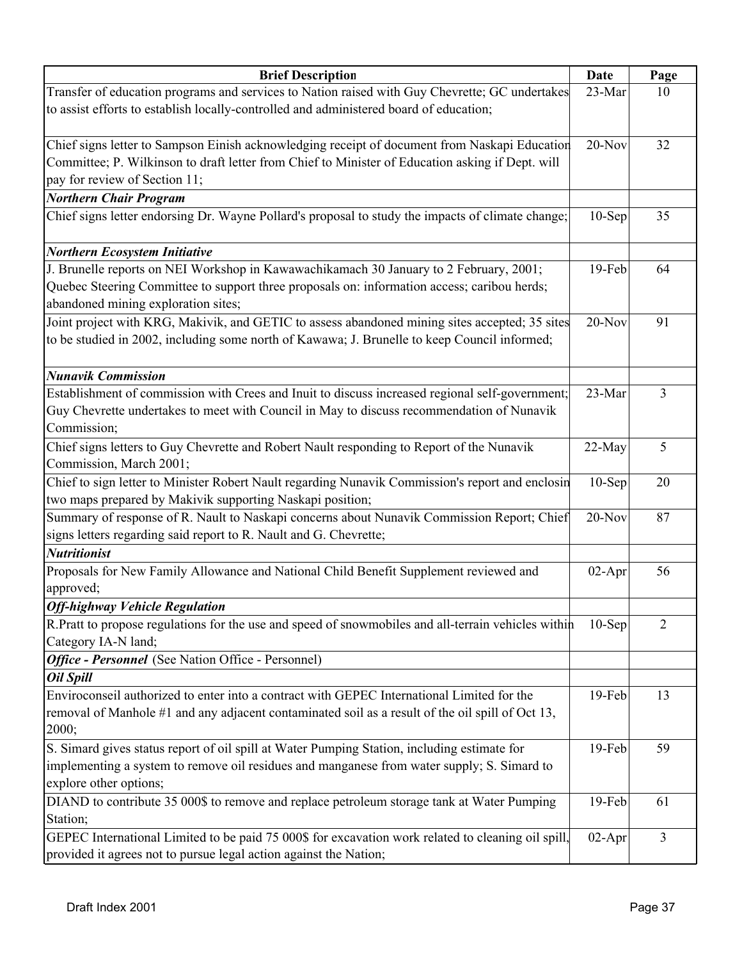| <b>Brief Description</b>                                                                            | Date     | Page           |
|-----------------------------------------------------------------------------------------------------|----------|----------------|
| Transfer of education programs and services to Nation raised with Guy Chevrette; GC undertakes      | 23-Mar   | 10             |
| to assist efforts to establish locally-controlled and administered board of education;              |          |                |
|                                                                                                     |          |                |
| Chief signs letter to Sampson Einish acknowledging receipt of document from Naskapi Education       | 20-Nov   | 32             |
| Committee; P. Wilkinson to draft letter from Chief to Minister of Education asking if Dept. will    |          |                |
| pay for review of Section 11;                                                                       |          |                |
| <b>Northern Chair Program</b>                                                                       |          |                |
| Chief signs letter endorsing Dr. Wayne Pollard's proposal to study the impacts of climate change;   | $10-Sep$ | 35             |
| <b>Northern Ecosystem Initiative</b>                                                                |          |                |
| J. Brunelle reports on NEI Workshop in Kawawachikamach 30 January to 2 February, 2001;              | $19-Feb$ | 64             |
| Quebec Steering Committee to support three proposals on: information access; caribou herds;         |          |                |
| abandoned mining exploration sites;                                                                 |          |                |
| Joint project with KRG, Makivik, and GETIC to assess abandoned mining sites accepted; 35 sites      | $20-Nov$ | 91             |
| to be studied in 2002, including some north of Kawawa; J. Brunelle to keep Council informed;        |          |                |
|                                                                                                     |          |                |
| <b>Nunavik Commission</b>                                                                           |          |                |
| Establishment of commission with Crees and Inuit to discuss increased regional self-government;     | 23-Mar   | 3              |
| Guy Chevrette undertakes to meet with Council in May to discuss recommendation of Nunavik           |          |                |
| Commission;                                                                                         |          |                |
| Chief signs letters to Guy Chevrette and Robert Nault responding to Report of the Nunavik           | 22-May   | 5              |
| Commission, March 2001;                                                                             |          |                |
| Chief to sign letter to Minister Robert Nault regarding Nunavik Commission's report and enclosin    | $10-Sep$ | 20             |
| two maps prepared by Makivik supporting Naskapi position;                                           |          |                |
| Summary of response of R. Nault to Naskapi concerns about Nunavik Commission Report; Chief          | $20-Nov$ | 87             |
| signs letters regarding said report to R. Nault and G. Chevrette;                                   |          |                |
| <b>Nutritionist</b>                                                                                 |          |                |
| Proposals for New Family Allowance and National Child Benefit Supplement reviewed and               | $02-Apr$ | 56             |
| approved;                                                                                           |          |                |
| <b>Off-highway Vehicle Regulation</b>                                                               |          |                |
| R.Pratt to propose regulations for the use and speed of snowmobiles and all-terrain vehicles within | $10-Sep$ | $\overline{2}$ |
| Category IA-N land;                                                                                 |          |                |
| Office - Personnel (See Nation Office - Personnel)                                                  |          |                |
| <b>Oil Spill</b>                                                                                    |          |                |
| Enviroconseil authorized to enter into a contract with GEPEC International Limited for the          | 19-Feb   | 13             |
| removal of Manhole #1 and any adjacent contaminated soil as a result of the oil spill of Oct 13,    |          |                |
| 2000;                                                                                               |          |                |
| S. Simard gives status report of oil spill at Water Pumping Station, including estimate for         | 19-Feb   | 59             |
| implementing a system to remove oil residues and manganese from water supply; S. Simard to          |          |                |
| explore other options;                                                                              |          |                |
| DIAND to contribute 35 000\$ to remove and replace petroleum storage tank at Water Pumping          | 19-Feb   | 61             |
| Station;                                                                                            |          |                |
| GEPEC International Limited to be paid 75 000\$ for excavation work related to cleaning oil spill,  | $02-Apr$ | 3              |
| provided it agrees not to pursue legal action against the Nation;                                   |          |                |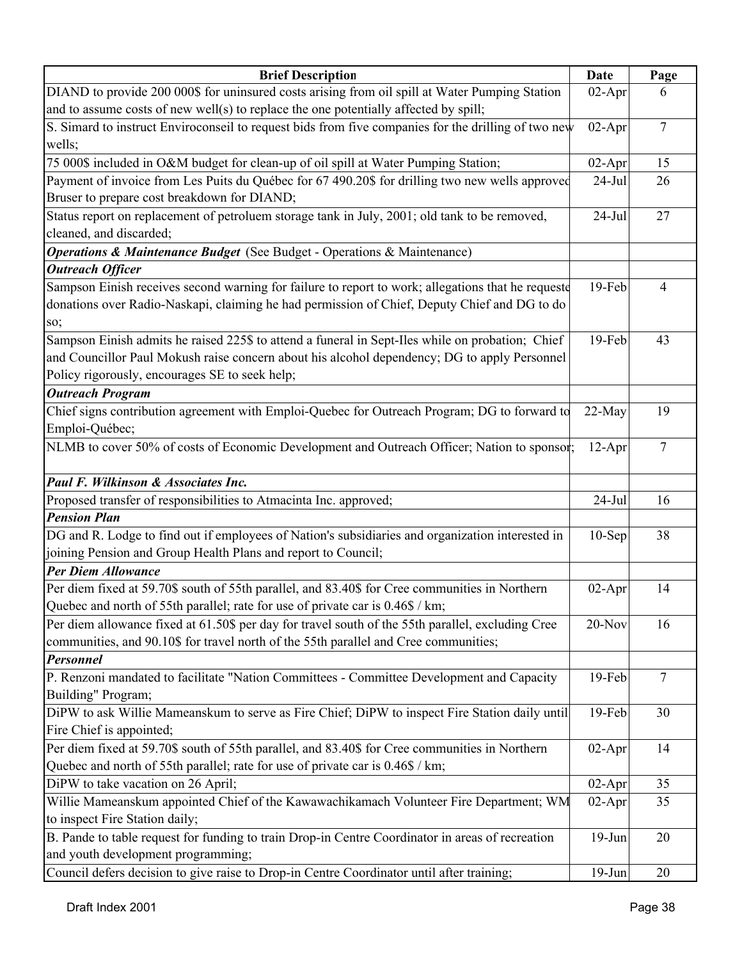| <b>Brief Description</b>                                                                            | Date     | Page            |
|-----------------------------------------------------------------------------------------------------|----------|-----------------|
| DIAND to provide 200 000\$ for uninsured costs arising from oil spill at Water Pumping Station      | $02-Apr$ | 6               |
| and to assume costs of new well(s) to replace the one potentially affected by spill;                |          |                 |
| S. Simard to instruct Enviroconseil to request bids from five companies for the drilling of two new | $02-Apr$ | $7\phantom{.0}$ |
| wells;                                                                                              |          |                 |
| 75 000\$ included in O&M budget for clean-up of oil spill at Water Pumping Station;                 | $02-Apr$ | 15              |
| Payment of invoice from Les Puits du Québec for 67 490.20\$ for drilling two new wells approved     | $24-Jul$ | 26              |
| Bruser to prepare cost breakdown for DIAND;                                                         |          |                 |
| Status report on replacement of petroluem storage tank in July, 2001; old tank to be removed,       | $24-Jul$ | 27              |
| cleaned, and discarded;                                                                             |          |                 |
| <b>Operations &amp; Maintenance Budget</b> (See Budget - Operations & Maintenance)                  |          |                 |
| <b>Outreach Officer</b>                                                                             |          |                 |
| Sampson Einish receives second warning for failure to report to work; allegations that he requeste  | 19-Feb   | $\overline{4}$  |
| donations over Radio-Naskapi, claiming he had permission of Chief, Deputy Chief and DG to do        |          |                 |
| so;                                                                                                 |          |                 |
| Sampson Einish admits he raised 225\$ to attend a funeral in Sept-Iles while on probation; Chief    | 19-Feb   | 43              |
| and Councillor Paul Mokush raise concern about his alcohol dependency; DG to apply Personnel        |          |                 |
| Policy rigorously, encourages SE to seek help;                                                      |          |                 |
| <b>Outreach Program</b>                                                                             |          |                 |
| Chief signs contribution agreement with Emploi-Quebec for Outreach Program; DG to forward to        | 22-May   | 19              |
| Emploi-Québec;                                                                                      |          |                 |
| NLMB to cover 50% of costs of Economic Development and Outreach Officer; Nation to sponsor;         | $12-Apr$ | $\tau$          |
|                                                                                                     |          |                 |
| Paul F. Wilkinson & Associates Inc.                                                                 |          |                 |
| Proposed transfer of responsibilities to Atmacinta Inc. approved;                                   | $24-Jul$ | 16              |
| <b>Pension Plan</b>                                                                                 |          |                 |
| DG and R. Lodge to find out if employees of Nation's subsidiaries and organization interested in    | $10-Sep$ | 38              |
| joining Pension and Group Health Plans and report to Council;                                       |          |                 |
| <b>Per Diem Allowance</b>                                                                           |          |                 |
| Per diem fixed at 59.70\$ south of 55th parallel, and 83.40\$ for Cree communities in Northern      | $02-Apr$ | 14              |
| Quebec and north of 55th parallel; rate for use of private car is 0.46\$ / km;                      |          |                 |
| Per diem allowance fixed at 61.50\$ per day for travel south of the 55th parallel, excluding Cree   | $20-Nov$ | 16              |
| communities, and 90.10\$ for travel north of the 55th parallel and Cree communities;                |          |                 |
| <b>Personnel</b>                                                                                    |          |                 |
| P. Renzoni mandated to facilitate "Nation Committees - Committee Development and Capacity           | 19-Feb   | $\overline{7}$  |
| Building" Program;                                                                                  |          |                 |
| DiPW to ask Willie Mameanskum to serve as Fire Chief; DiPW to inspect Fire Station daily until      | 19-Feb   | 30              |
| Fire Chief is appointed;                                                                            |          |                 |
| Per diem fixed at 59.70\$ south of 55th parallel, and 83.40\$ for Cree communities in Northern      | $02-Apr$ | 14              |
| Quebec and north of 55th parallel; rate for use of private car is 0.46\$ / km;                      |          |                 |
| DiPW to take vacation on 26 April;                                                                  | $02-Apr$ | 35              |
| Willie Mameanskum appointed Chief of the Kawawachikamach Volunteer Fire Department; WM              | $02-Apr$ | 35              |
| to inspect Fire Station daily;                                                                      |          |                 |
| B. Pande to table request for funding to train Drop-in Centre Coordinator in areas of recreation    | $19-Jun$ | 20              |
| and youth development programming;                                                                  |          |                 |
| Council defers decision to give raise to Drop-in Centre Coordinator until after training;           | $19-Jun$ | 20              |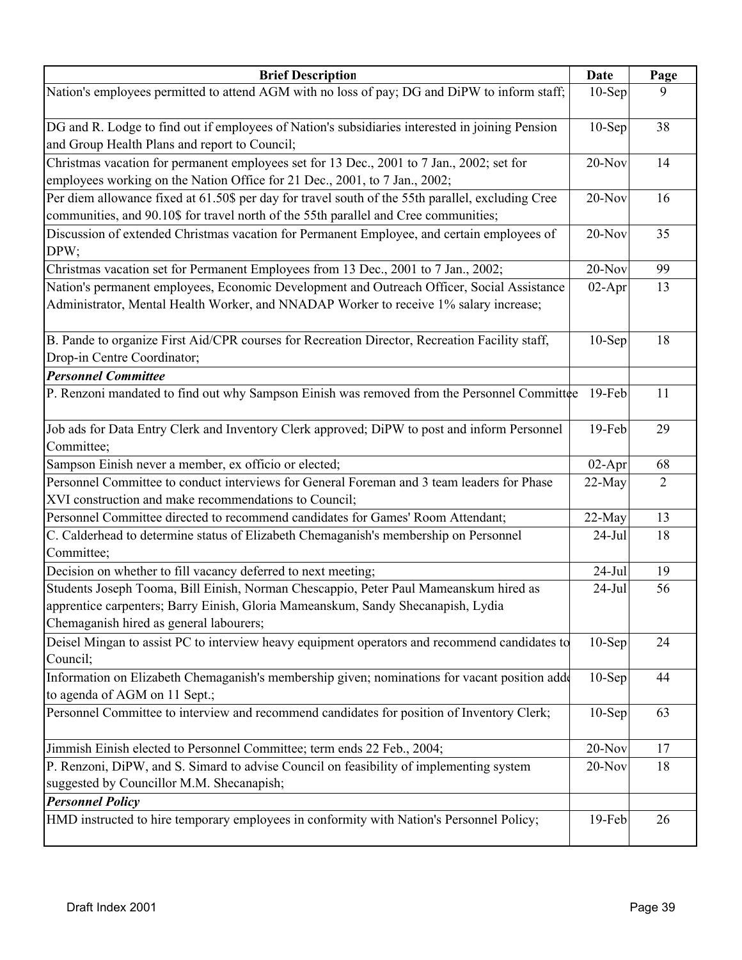| <b>Brief Description</b>                                                                                                                                                                                             | Date      | Page           |
|----------------------------------------------------------------------------------------------------------------------------------------------------------------------------------------------------------------------|-----------|----------------|
| Nation's employees permitted to attend AGM with no loss of pay; DG and DiPW to inform staff;                                                                                                                         | $10-Sep$  | 9              |
| DG and R. Lodge to find out if employees of Nation's subsidiaries interested in joining Pension<br>and Group Health Plans and report to Council;                                                                     | $10-Sep$  | 38             |
| Christmas vacation for permanent employees set for 13 Dec., 2001 to 7 Jan., 2002; set for<br>employees working on the Nation Office for 21 Dec., 2001, to 7 Jan., 2002;                                              | $20-Nov$  | 14             |
| Per diem allowance fixed at 61.50\$ per day for travel south of the 55th parallel, excluding Cree<br>communities, and 90.10\$ for travel north of the 55th parallel and Cree communities;                            | $20-Nov$  | 16             |
| Discussion of extended Christmas vacation for Permanent Employee, and certain employees of<br>DPW;                                                                                                                   | 20-Nov    | 35             |
| Christmas vacation set for Permanent Employees from 13 Dec., 2001 to 7 Jan., 2002;                                                                                                                                   | $20-Nov$  | 99             |
| Nation's permanent employees, Economic Development and Outreach Officer, Social Assistance<br>Administrator, Mental Health Worker, and NNADAP Worker to receive 1% salary increase;                                  | $02-Apr$  | 13             |
| B. Pande to organize First Aid/CPR courses for Recreation Director, Recreation Facility staff,<br>Drop-in Centre Coordinator;<br><b>Personnel Committee</b>                                                          | $10-$ Sep | 18             |
| P. Renzoni mandated to find out why Sampson Einish was removed from the Personnel Committee                                                                                                                          | $19$ -Feb | 11             |
|                                                                                                                                                                                                                      |           |                |
| Job ads for Data Entry Clerk and Inventory Clerk approved; DiPW to post and inform Personnel<br>Committee;                                                                                                           | 19-Feb    | 29             |
| Sampson Einish never a member, ex officio or elected;                                                                                                                                                                | $02-Apr$  | 68             |
| Personnel Committee to conduct interviews for General Foreman and 3 team leaders for Phase<br>XVI construction and make recommendations to Council;                                                                  | $22-May$  | $\overline{2}$ |
| Personnel Committee directed to recommend candidates for Games' Room Attendant;                                                                                                                                      | 22-May    | 13             |
| C. Calderhead to determine status of Elizabeth Chemaganish's membership on Personnel<br>Committee;                                                                                                                   | $24$ -Jul | 18             |
| Decision on whether to fill vacancy deferred to next meeting;                                                                                                                                                        | $24-Jul$  | 19             |
| Students Joseph Tooma, Bill Einish, Norman Chescappio, Peter Paul Mameanskum hired as<br>apprentice carpenters; Barry Einish, Gloria Mameanskum, Sandy Shecanapish, Lydia<br>Chemaganish hired as general labourers; | $24-Jul$  | 56             |
| Deisel Mingan to assist PC to interview heavy equipment operators and recommend candidates to<br>Council;                                                                                                            | $10-Sep$  | 24             |
| Information on Elizabeth Chemaganish's membership given; nominations for vacant position adde<br>to agenda of AGM on 11 Sept.;                                                                                       | $10-Sep$  | 44             |
| Personnel Committee to interview and recommend candidates for position of Inventory Clerk;                                                                                                                           | $10-$ Sep | 63             |
| Jimmish Einish elected to Personnel Committee; term ends 22 Feb., 2004;                                                                                                                                              | 20-Nov    | 17             |
| P. Renzoni, DiPW, and S. Simard to advise Council on feasibility of implementing system<br>suggested by Councillor M.M. Shecanapish;                                                                                 | 20-Nov    | 18             |
| <b>Personnel Policy</b><br>HMD instructed to hire temporary employees in conformity with Nation's Personnel Policy;                                                                                                  | 19-Feb    | 26             |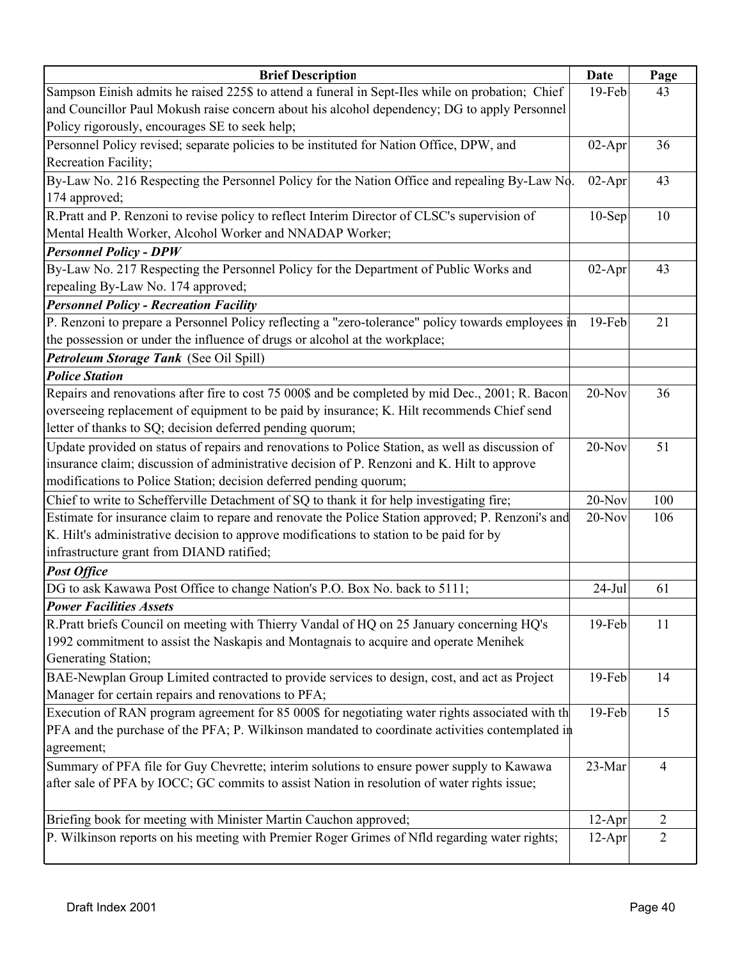| Sampson Einish admits he raised 225\$ to attend a funeral in Sept-Iles while on probation; Chief<br>19-Feb<br>43<br>and Councillor Paul Mokush raise concern about his alcohol dependency; DG to apply Personnel<br>Policy rigorously, encourages SE to seek help;<br>Personnel Policy revised; separate policies to be instituted for Nation Office, DPW, and<br>36<br>$02-Apr$<br>Recreation Facility;<br>By-Law No. 216 Respecting the Personnel Policy for the Nation Office and repealing By-Law No.<br>02-Apr<br>43<br>174 approved;<br>R.Pratt and P. Renzoni to revise policy to reflect Interim Director of CLSC's supervision of<br>10<br>$10-Sep$<br>Mental Health Worker, Alcohol Worker and NNADAP Worker;<br><b>Personnel Policy - DPW</b><br>By-Law No. 217 Respecting the Personnel Policy for the Department of Public Works and<br>$02-Apr$<br>43<br>repealing By-Law No. 174 approved;<br><b>Personnel Policy - Recreation Facility</b><br>P. Renzoni to prepare a Personnel Policy reflecting a "zero-tolerance" policy towards employees in<br>21<br>$19$ -Feb<br>the possession or under the influence of drugs or alcohol at the workplace;<br>Petroleum Storage Tank (See Oil Spill)<br><b>Police Station</b><br>Repairs and renovations after fire to cost 75 000\$ and be completed by mid Dec., 2001; R. Bacon<br>20-Nov<br>36<br>overseeing replacement of equipment to be paid by insurance; K. Hilt recommends Chief send<br>letter of thanks to SQ; decision deferred pending quorum;<br>Update provided on status of repairs and renovations to Police Station, as well as discussion of<br>51<br>$20-Nov$<br>insurance claim; discussion of administrative decision of P. Renzoni and K. Hilt to approve<br>modifications to Police Station; decision deferred pending quorum;<br>Chief to write to Schefferville Detachment of SQ to thank it for help investigating fire;<br>20-Nov<br>100<br>Estimate for insurance claim to repare and renovate the Police Station approved; P. Renzoni's and<br>$20-Nov$<br>106<br>K. Hilt's administrative decision to approve modifications to station to be paid for by<br>infrastructure grant from DIAND ratified;<br><b>Post Office</b><br>DG to ask Kawawa Post Office to change Nation's P.O. Box No. back to 5111;<br>$24-Jul$<br>61<br><b>Power Facilities Assets</b><br>R.Pratt briefs Council on meeting with Thierry Vandal of HQ on 25 January concerning HQ's<br>19-Feb<br>11<br>1992 commitment to assist the Naskapis and Montagnais to acquire and operate Menihek<br>Generating Station;<br>BAE-Newplan Group Limited contracted to provide services to design, cost, and act as Project<br>19-Feb<br>14<br>Manager for certain repairs and renovations to PFA;<br>Execution of RAN program agreement for 85 000\$ for negotiating water rights associated with th<br>19-Feb<br>15<br>PFA and the purchase of the PFA; P. Wilkinson mandated to coordinate activities contemplated in<br>agreement;<br>Summary of PFA file for Guy Chevrette; interim solutions to ensure power supply to Kawawa<br>23-Mar<br>4<br>after sale of PFA by IOCC; GC commits to assist Nation in resolution of water rights issue;<br>Briefing book for meeting with Minister Martin Cauchon approved;<br>$\overline{2}$<br>$12-Apr$<br>P. Wilkinson reports on his meeting with Premier Roger Grimes of Nfld regarding water rights;<br>$12-Apr$<br>$\overline{2}$ | <b>Brief Description</b> | Date | Page |
|------------------------------------------------------------------------------------------------------------------------------------------------------------------------------------------------------------------------------------------------------------------------------------------------------------------------------------------------------------------------------------------------------------------------------------------------------------------------------------------------------------------------------------------------------------------------------------------------------------------------------------------------------------------------------------------------------------------------------------------------------------------------------------------------------------------------------------------------------------------------------------------------------------------------------------------------------------------------------------------------------------------------------------------------------------------------------------------------------------------------------------------------------------------------------------------------------------------------------------------------------------------------------------------------------------------------------------------------------------------------------------------------------------------------------------------------------------------------------------------------------------------------------------------------------------------------------------------------------------------------------------------------------------------------------------------------------------------------------------------------------------------------------------------------------------------------------------------------------------------------------------------------------------------------------------------------------------------------------------------------------------------------------------------------------------------------------------------------------------------------------------------------------------------------------------------------------------------------------------------------------------------------------------------------------------------------------------------------------------------------------------------------------------------------------------------------------------------------------------------------------------------------------------------------------------------------------------------------------------------------------------------------------------------------------------------------------------------------------------------------------------------------------------------------------------------------------------------------------------------------------------------------------------------------------------------------------------------------------------------------------------------------------------------------------------------------------------------------------------------------------------------------------------------------------------------------------------------------------------------------------------------------------------------------------------------------------------------------------------------------------------------------------------------------------------------|--------------------------|------|------|
|                                                                                                                                                                                                                                                                                                                                                                                                                                                                                                                                                                                                                                                                                                                                                                                                                                                                                                                                                                                                                                                                                                                                                                                                                                                                                                                                                                                                                                                                                                                                                                                                                                                                                                                                                                                                                                                                                                                                                                                                                                                                                                                                                                                                                                                                                                                                                                                                                                                                                                                                                                                                                                                                                                                                                                                                                                                                                                                                                                                                                                                                                                                                                                                                                                                                                                                                                                                                                                          |                          |      |      |
|                                                                                                                                                                                                                                                                                                                                                                                                                                                                                                                                                                                                                                                                                                                                                                                                                                                                                                                                                                                                                                                                                                                                                                                                                                                                                                                                                                                                                                                                                                                                                                                                                                                                                                                                                                                                                                                                                                                                                                                                                                                                                                                                                                                                                                                                                                                                                                                                                                                                                                                                                                                                                                                                                                                                                                                                                                                                                                                                                                                                                                                                                                                                                                                                                                                                                                                                                                                                                                          |                          |      |      |
|                                                                                                                                                                                                                                                                                                                                                                                                                                                                                                                                                                                                                                                                                                                                                                                                                                                                                                                                                                                                                                                                                                                                                                                                                                                                                                                                                                                                                                                                                                                                                                                                                                                                                                                                                                                                                                                                                                                                                                                                                                                                                                                                                                                                                                                                                                                                                                                                                                                                                                                                                                                                                                                                                                                                                                                                                                                                                                                                                                                                                                                                                                                                                                                                                                                                                                                                                                                                                                          |                          |      |      |
|                                                                                                                                                                                                                                                                                                                                                                                                                                                                                                                                                                                                                                                                                                                                                                                                                                                                                                                                                                                                                                                                                                                                                                                                                                                                                                                                                                                                                                                                                                                                                                                                                                                                                                                                                                                                                                                                                                                                                                                                                                                                                                                                                                                                                                                                                                                                                                                                                                                                                                                                                                                                                                                                                                                                                                                                                                                                                                                                                                                                                                                                                                                                                                                                                                                                                                                                                                                                                                          |                          |      |      |
|                                                                                                                                                                                                                                                                                                                                                                                                                                                                                                                                                                                                                                                                                                                                                                                                                                                                                                                                                                                                                                                                                                                                                                                                                                                                                                                                                                                                                                                                                                                                                                                                                                                                                                                                                                                                                                                                                                                                                                                                                                                                                                                                                                                                                                                                                                                                                                                                                                                                                                                                                                                                                                                                                                                                                                                                                                                                                                                                                                                                                                                                                                                                                                                                                                                                                                                                                                                                                                          |                          |      |      |
|                                                                                                                                                                                                                                                                                                                                                                                                                                                                                                                                                                                                                                                                                                                                                                                                                                                                                                                                                                                                                                                                                                                                                                                                                                                                                                                                                                                                                                                                                                                                                                                                                                                                                                                                                                                                                                                                                                                                                                                                                                                                                                                                                                                                                                                                                                                                                                                                                                                                                                                                                                                                                                                                                                                                                                                                                                                                                                                                                                                                                                                                                                                                                                                                                                                                                                                                                                                                                                          |                          |      |      |
|                                                                                                                                                                                                                                                                                                                                                                                                                                                                                                                                                                                                                                                                                                                                                                                                                                                                                                                                                                                                                                                                                                                                                                                                                                                                                                                                                                                                                                                                                                                                                                                                                                                                                                                                                                                                                                                                                                                                                                                                                                                                                                                                                                                                                                                                                                                                                                                                                                                                                                                                                                                                                                                                                                                                                                                                                                                                                                                                                                                                                                                                                                                                                                                                                                                                                                                                                                                                                                          |                          |      |      |
|                                                                                                                                                                                                                                                                                                                                                                                                                                                                                                                                                                                                                                                                                                                                                                                                                                                                                                                                                                                                                                                                                                                                                                                                                                                                                                                                                                                                                                                                                                                                                                                                                                                                                                                                                                                                                                                                                                                                                                                                                                                                                                                                                                                                                                                                                                                                                                                                                                                                                                                                                                                                                                                                                                                                                                                                                                                                                                                                                                                                                                                                                                                                                                                                                                                                                                                                                                                                                                          |                          |      |      |
|                                                                                                                                                                                                                                                                                                                                                                                                                                                                                                                                                                                                                                                                                                                                                                                                                                                                                                                                                                                                                                                                                                                                                                                                                                                                                                                                                                                                                                                                                                                                                                                                                                                                                                                                                                                                                                                                                                                                                                                                                                                                                                                                                                                                                                                                                                                                                                                                                                                                                                                                                                                                                                                                                                                                                                                                                                                                                                                                                                                                                                                                                                                                                                                                                                                                                                                                                                                                                                          |                          |      |      |
|                                                                                                                                                                                                                                                                                                                                                                                                                                                                                                                                                                                                                                                                                                                                                                                                                                                                                                                                                                                                                                                                                                                                                                                                                                                                                                                                                                                                                                                                                                                                                                                                                                                                                                                                                                                                                                                                                                                                                                                                                                                                                                                                                                                                                                                                                                                                                                                                                                                                                                                                                                                                                                                                                                                                                                                                                                                                                                                                                                                                                                                                                                                                                                                                                                                                                                                                                                                                                                          |                          |      |      |
|                                                                                                                                                                                                                                                                                                                                                                                                                                                                                                                                                                                                                                                                                                                                                                                                                                                                                                                                                                                                                                                                                                                                                                                                                                                                                                                                                                                                                                                                                                                                                                                                                                                                                                                                                                                                                                                                                                                                                                                                                                                                                                                                                                                                                                                                                                                                                                                                                                                                                                                                                                                                                                                                                                                                                                                                                                                                                                                                                                                                                                                                                                                                                                                                                                                                                                                                                                                                                                          |                          |      |      |
|                                                                                                                                                                                                                                                                                                                                                                                                                                                                                                                                                                                                                                                                                                                                                                                                                                                                                                                                                                                                                                                                                                                                                                                                                                                                                                                                                                                                                                                                                                                                                                                                                                                                                                                                                                                                                                                                                                                                                                                                                                                                                                                                                                                                                                                                                                                                                                                                                                                                                                                                                                                                                                                                                                                                                                                                                                                                                                                                                                                                                                                                                                                                                                                                                                                                                                                                                                                                                                          |                          |      |      |
|                                                                                                                                                                                                                                                                                                                                                                                                                                                                                                                                                                                                                                                                                                                                                                                                                                                                                                                                                                                                                                                                                                                                                                                                                                                                                                                                                                                                                                                                                                                                                                                                                                                                                                                                                                                                                                                                                                                                                                                                                                                                                                                                                                                                                                                                                                                                                                                                                                                                                                                                                                                                                                                                                                                                                                                                                                                                                                                                                                                                                                                                                                                                                                                                                                                                                                                                                                                                                                          |                          |      |      |
|                                                                                                                                                                                                                                                                                                                                                                                                                                                                                                                                                                                                                                                                                                                                                                                                                                                                                                                                                                                                                                                                                                                                                                                                                                                                                                                                                                                                                                                                                                                                                                                                                                                                                                                                                                                                                                                                                                                                                                                                                                                                                                                                                                                                                                                                                                                                                                                                                                                                                                                                                                                                                                                                                                                                                                                                                                                                                                                                                                                                                                                                                                                                                                                                                                                                                                                                                                                                                                          |                          |      |      |
|                                                                                                                                                                                                                                                                                                                                                                                                                                                                                                                                                                                                                                                                                                                                                                                                                                                                                                                                                                                                                                                                                                                                                                                                                                                                                                                                                                                                                                                                                                                                                                                                                                                                                                                                                                                                                                                                                                                                                                                                                                                                                                                                                                                                                                                                                                                                                                                                                                                                                                                                                                                                                                                                                                                                                                                                                                                                                                                                                                                                                                                                                                                                                                                                                                                                                                                                                                                                                                          |                          |      |      |
|                                                                                                                                                                                                                                                                                                                                                                                                                                                                                                                                                                                                                                                                                                                                                                                                                                                                                                                                                                                                                                                                                                                                                                                                                                                                                                                                                                                                                                                                                                                                                                                                                                                                                                                                                                                                                                                                                                                                                                                                                                                                                                                                                                                                                                                                                                                                                                                                                                                                                                                                                                                                                                                                                                                                                                                                                                                                                                                                                                                                                                                                                                                                                                                                                                                                                                                                                                                                                                          |                          |      |      |
|                                                                                                                                                                                                                                                                                                                                                                                                                                                                                                                                                                                                                                                                                                                                                                                                                                                                                                                                                                                                                                                                                                                                                                                                                                                                                                                                                                                                                                                                                                                                                                                                                                                                                                                                                                                                                                                                                                                                                                                                                                                                                                                                                                                                                                                                                                                                                                                                                                                                                                                                                                                                                                                                                                                                                                                                                                                                                                                                                                                                                                                                                                                                                                                                                                                                                                                                                                                                                                          |                          |      |      |
|                                                                                                                                                                                                                                                                                                                                                                                                                                                                                                                                                                                                                                                                                                                                                                                                                                                                                                                                                                                                                                                                                                                                                                                                                                                                                                                                                                                                                                                                                                                                                                                                                                                                                                                                                                                                                                                                                                                                                                                                                                                                                                                                                                                                                                                                                                                                                                                                                                                                                                                                                                                                                                                                                                                                                                                                                                                                                                                                                                                                                                                                                                                                                                                                                                                                                                                                                                                                                                          |                          |      |      |
|                                                                                                                                                                                                                                                                                                                                                                                                                                                                                                                                                                                                                                                                                                                                                                                                                                                                                                                                                                                                                                                                                                                                                                                                                                                                                                                                                                                                                                                                                                                                                                                                                                                                                                                                                                                                                                                                                                                                                                                                                                                                                                                                                                                                                                                                                                                                                                                                                                                                                                                                                                                                                                                                                                                                                                                                                                                                                                                                                                                                                                                                                                                                                                                                                                                                                                                                                                                                                                          |                          |      |      |
|                                                                                                                                                                                                                                                                                                                                                                                                                                                                                                                                                                                                                                                                                                                                                                                                                                                                                                                                                                                                                                                                                                                                                                                                                                                                                                                                                                                                                                                                                                                                                                                                                                                                                                                                                                                                                                                                                                                                                                                                                                                                                                                                                                                                                                                                                                                                                                                                                                                                                                                                                                                                                                                                                                                                                                                                                                                                                                                                                                                                                                                                                                                                                                                                                                                                                                                                                                                                                                          |                          |      |      |
|                                                                                                                                                                                                                                                                                                                                                                                                                                                                                                                                                                                                                                                                                                                                                                                                                                                                                                                                                                                                                                                                                                                                                                                                                                                                                                                                                                                                                                                                                                                                                                                                                                                                                                                                                                                                                                                                                                                                                                                                                                                                                                                                                                                                                                                                                                                                                                                                                                                                                                                                                                                                                                                                                                                                                                                                                                                                                                                                                                                                                                                                                                                                                                                                                                                                                                                                                                                                                                          |                          |      |      |
|                                                                                                                                                                                                                                                                                                                                                                                                                                                                                                                                                                                                                                                                                                                                                                                                                                                                                                                                                                                                                                                                                                                                                                                                                                                                                                                                                                                                                                                                                                                                                                                                                                                                                                                                                                                                                                                                                                                                                                                                                                                                                                                                                                                                                                                                                                                                                                                                                                                                                                                                                                                                                                                                                                                                                                                                                                                                                                                                                                                                                                                                                                                                                                                                                                                                                                                                                                                                                                          |                          |      |      |
|                                                                                                                                                                                                                                                                                                                                                                                                                                                                                                                                                                                                                                                                                                                                                                                                                                                                                                                                                                                                                                                                                                                                                                                                                                                                                                                                                                                                                                                                                                                                                                                                                                                                                                                                                                                                                                                                                                                                                                                                                                                                                                                                                                                                                                                                                                                                                                                                                                                                                                                                                                                                                                                                                                                                                                                                                                                                                                                                                                                                                                                                                                                                                                                                                                                                                                                                                                                                                                          |                          |      |      |
|                                                                                                                                                                                                                                                                                                                                                                                                                                                                                                                                                                                                                                                                                                                                                                                                                                                                                                                                                                                                                                                                                                                                                                                                                                                                                                                                                                                                                                                                                                                                                                                                                                                                                                                                                                                                                                                                                                                                                                                                                                                                                                                                                                                                                                                                                                                                                                                                                                                                                                                                                                                                                                                                                                                                                                                                                                                                                                                                                                                                                                                                                                                                                                                                                                                                                                                                                                                                                                          |                          |      |      |
|                                                                                                                                                                                                                                                                                                                                                                                                                                                                                                                                                                                                                                                                                                                                                                                                                                                                                                                                                                                                                                                                                                                                                                                                                                                                                                                                                                                                                                                                                                                                                                                                                                                                                                                                                                                                                                                                                                                                                                                                                                                                                                                                                                                                                                                                                                                                                                                                                                                                                                                                                                                                                                                                                                                                                                                                                                                                                                                                                                                                                                                                                                                                                                                                                                                                                                                                                                                                                                          |                          |      |      |
|                                                                                                                                                                                                                                                                                                                                                                                                                                                                                                                                                                                                                                                                                                                                                                                                                                                                                                                                                                                                                                                                                                                                                                                                                                                                                                                                                                                                                                                                                                                                                                                                                                                                                                                                                                                                                                                                                                                                                                                                                                                                                                                                                                                                                                                                                                                                                                                                                                                                                                                                                                                                                                                                                                                                                                                                                                                                                                                                                                                                                                                                                                                                                                                                                                                                                                                                                                                                                                          |                          |      |      |
|                                                                                                                                                                                                                                                                                                                                                                                                                                                                                                                                                                                                                                                                                                                                                                                                                                                                                                                                                                                                                                                                                                                                                                                                                                                                                                                                                                                                                                                                                                                                                                                                                                                                                                                                                                                                                                                                                                                                                                                                                                                                                                                                                                                                                                                                                                                                                                                                                                                                                                                                                                                                                                                                                                                                                                                                                                                                                                                                                                                                                                                                                                                                                                                                                                                                                                                                                                                                                                          |                          |      |      |
|                                                                                                                                                                                                                                                                                                                                                                                                                                                                                                                                                                                                                                                                                                                                                                                                                                                                                                                                                                                                                                                                                                                                                                                                                                                                                                                                                                                                                                                                                                                                                                                                                                                                                                                                                                                                                                                                                                                                                                                                                                                                                                                                                                                                                                                                                                                                                                                                                                                                                                                                                                                                                                                                                                                                                                                                                                                                                                                                                                                                                                                                                                                                                                                                                                                                                                                                                                                                                                          |                          |      |      |
|                                                                                                                                                                                                                                                                                                                                                                                                                                                                                                                                                                                                                                                                                                                                                                                                                                                                                                                                                                                                                                                                                                                                                                                                                                                                                                                                                                                                                                                                                                                                                                                                                                                                                                                                                                                                                                                                                                                                                                                                                                                                                                                                                                                                                                                                                                                                                                                                                                                                                                                                                                                                                                                                                                                                                                                                                                                                                                                                                                                                                                                                                                                                                                                                                                                                                                                                                                                                                                          |                          |      |      |
|                                                                                                                                                                                                                                                                                                                                                                                                                                                                                                                                                                                                                                                                                                                                                                                                                                                                                                                                                                                                                                                                                                                                                                                                                                                                                                                                                                                                                                                                                                                                                                                                                                                                                                                                                                                                                                                                                                                                                                                                                                                                                                                                                                                                                                                                                                                                                                                                                                                                                                                                                                                                                                                                                                                                                                                                                                                                                                                                                                                                                                                                                                                                                                                                                                                                                                                                                                                                                                          |                          |      |      |
|                                                                                                                                                                                                                                                                                                                                                                                                                                                                                                                                                                                                                                                                                                                                                                                                                                                                                                                                                                                                                                                                                                                                                                                                                                                                                                                                                                                                                                                                                                                                                                                                                                                                                                                                                                                                                                                                                                                                                                                                                                                                                                                                                                                                                                                                                                                                                                                                                                                                                                                                                                                                                                                                                                                                                                                                                                                                                                                                                                                                                                                                                                                                                                                                                                                                                                                                                                                                                                          |                          |      |      |
|                                                                                                                                                                                                                                                                                                                                                                                                                                                                                                                                                                                                                                                                                                                                                                                                                                                                                                                                                                                                                                                                                                                                                                                                                                                                                                                                                                                                                                                                                                                                                                                                                                                                                                                                                                                                                                                                                                                                                                                                                                                                                                                                                                                                                                                                                                                                                                                                                                                                                                                                                                                                                                                                                                                                                                                                                                                                                                                                                                                                                                                                                                                                                                                                                                                                                                                                                                                                                                          |                          |      |      |
|                                                                                                                                                                                                                                                                                                                                                                                                                                                                                                                                                                                                                                                                                                                                                                                                                                                                                                                                                                                                                                                                                                                                                                                                                                                                                                                                                                                                                                                                                                                                                                                                                                                                                                                                                                                                                                                                                                                                                                                                                                                                                                                                                                                                                                                                                                                                                                                                                                                                                                                                                                                                                                                                                                                                                                                                                                                                                                                                                                                                                                                                                                                                                                                                                                                                                                                                                                                                                                          |                          |      |      |
|                                                                                                                                                                                                                                                                                                                                                                                                                                                                                                                                                                                                                                                                                                                                                                                                                                                                                                                                                                                                                                                                                                                                                                                                                                                                                                                                                                                                                                                                                                                                                                                                                                                                                                                                                                                                                                                                                                                                                                                                                                                                                                                                                                                                                                                                                                                                                                                                                                                                                                                                                                                                                                                                                                                                                                                                                                                                                                                                                                                                                                                                                                                                                                                                                                                                                                                                                                                                                                          |                          |      |      |
|                                                                                                                                                                                                                                                                                                                                                                                                                                                                                                                                                                                                                                                                                                                                                                                                                                                                                                                                                                                                                                                                                                                                                                                                                                                                                                                                                                                                                                                                                                                                                                                                                                                                                                                                                                                                                                                                                                                                                                                                                                                                                                                                                                                                                                                                                                                                                                                                                                                                                                                                                                                                                                                                                                                                                                                                                                                                                                                                                                                                                                                                                                                                                                                                                                                                                                                                                                                                                                          |                          |      |      |
|                                                                                                                                                                                                                                                                                                                                                                                                                                                                                                                                                                                                                                                                                                                                                                                                                                                                                                                                                                                                                                                                                                                                                                                                                                                                                                                                                                                                                                                                                                                                                                                                                                                                                                                                                                                                                                                                                                                                                                                                                                                                                                                                                                                                                                                                                                                                                                                                                                                                                                                                                                                                                                                                                                                                                                                                                                                                                                                                                                                                                                                                                                                                                                                                                                                                                                                                                                                                                                          |                          |      |      |
|                                                                                                                                                                                                                                                                                                                                                                                                                                                                                                                                                                                                                                                                                                                                                                                                                                                                                                                                                                                                                                                                                                                                                                                                                                                                                                                                                                                                                                                                                                                                                                                                                                                                                                                                                                                                                                                                                                                                                                                                                                                                                                                                                                                                                                                                                                                                                                                                                                                                                                                                                                                                                                                                                                                                                                                                                                                                                                                                                                                                                                                                                                                                                                                                                                                                                                                                                                                                                                          |                          |      |      |
|                                                                                                                                                                                                                                                                                                                                                                                                                                                                                                                                                                                                                                                                                                                                                                                                                                                                                                                                                                                                                                                                                                                                                                                                                                                                                                                                                                                                                                                                                                                                                                                                                                                                                                                                                                                                                                                                                                                                                                                                                                                                                                                                                                                                                                                                                                                                                                                                                                                                                                                                                                                                                                                                                                                                                                                                                                                                                                                                                                                                                                                                                                                                                                                                                                                                                                                                                                                                                                          |                          |      |      |
|                                                                                                                                                                                                                                                                                                                                                                                                                                                                                                                                                                                                                                                                                                                                                                                                                                                                                                                                                                                                                                                                                                                                                                                                                                                                                                                                                                                                                                                                                                                                                                                                                                                                                                                                                                                                                                                                                                                                                                                                                                                                                                                                                                                                                                                                                                                                                                                                                                                                                                                                                                                                                                                                                                                                                                                                                                                                                                                                                                                                                                                                                                                                                                                                                                                                                                                                                                                                                                          |                          |      |      |
|                                                                                                                                                                                                                                                                                                                                                                                                                                                                                                                                                                                                                                                                                                                                                                                                                                                                                                                                                                                                                                                                                                                                                                                                                                                                                                                                                                                                                                                                                                                                                                                                                                                                                                                                                                                                                                                                                                                                                                                                                                                                                                                                                                                                                                                                                                                                                                                                                                                                                                                                                                                                                                                                                                                                                                                                                                                                                                                                                                                                                                                                                                                                                                                                                                                                                                                                                                                                                                          |                          |      |      |
|                                                                                                                                                                                                                                                                                                                                                                                                                                                                                                                                                                                                                                                                                                                                                                                                                                                                                                                                                                                                                                                                                                                                                                                                                                                                                                                                                                                                                                                                                                                                                                                                                                                                                                                                                                                                                                                                                                                                                                                                                                                                                                                                                                                                                                                                                                                                                                                                                                                                                                                                                                                                                                                                                                                                                                                                                                                                                                                                                                                                                                                                                                                                                                                                                                                                                                                                                                                                                                          |                          |      |      |
|                                                                                                                                                                                                                                                                                                                                                                                                                                                                                                                                                                                                                                                                                                                                                                                                                                                                                                                                                                                                                                                                                                                                                                                                                                                                                                                                                                                                                                                                                                                                                                                                                                                                                                                                                                                                                                                                                                                                                                                                                                                                                                                                                                                                                                                                                                                                                                                                                                                                                                                                                                                                                                                                                                                                                                                                                                                                                                                                                                                                                                                                                                                                                                                                                                                                                                                                                                                                                                          |                          |      |      |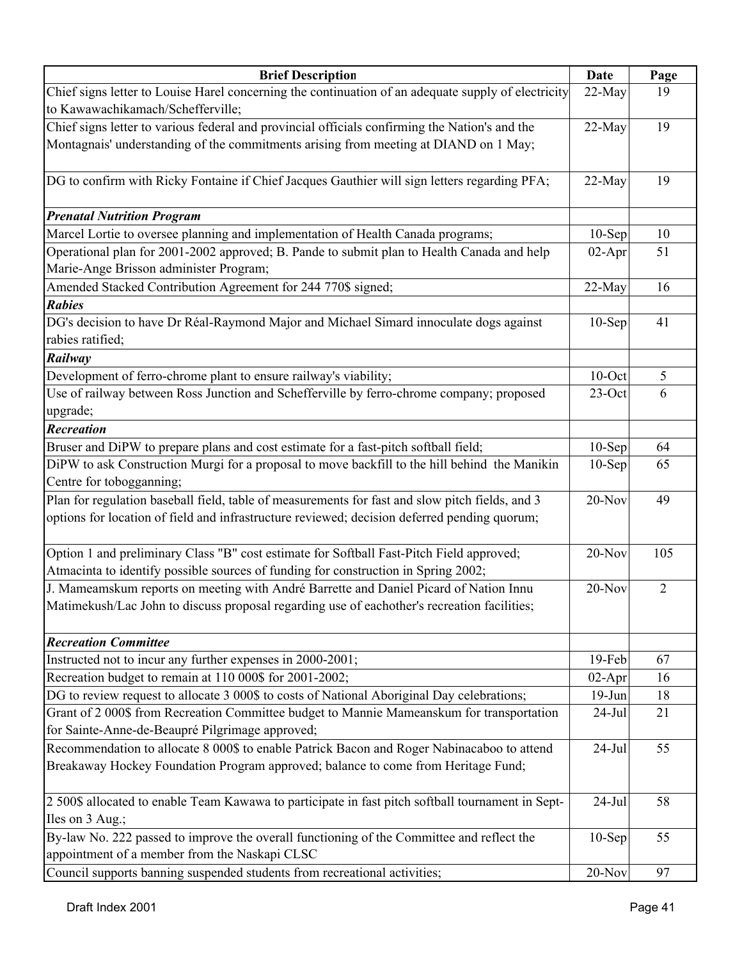| <b>Brief Description</b>                                                                            | Date      | Page |
|-----------------------------------------------------------------------------------------------------|-----------|------|
| Chief signs letter to Louise Harel concerning the continuation of an adequate supply of electricity | 22-May    | 19   |
| to Kawawachikamach/Schefferville;                                                                   |           |      |
| Chief signs letter to various federal and provincial officials confirming the Nation's and the      | 22-May    | 19   |
| Montagnais' understanding of the commitments arising from meeting at DIAND on 1 May;                |           |      |
| DG to confirm with Ricky Fontaine if Chief Jacques Gauthier will sign letters regarding PFA;        | 22-May    | 19   |
| <b>Prenatal Nutrition Program</b>                                                                   |           |      |
| Marcel Lortie to oversee planning and implementation of Health Canada programs;                     | $10-Sep$  | 10   |
| Operational plan for 2001-2002 approved; B. Pande to submit plan to Health Canada and help          | $02-Apr$  | 51   |
| Marie-Ange Brisson administer Program;                                                              |           |      |
| Amended Stacked Contribution Agreement for 244 770\$ signed;                                        | 22-May    | 16   |
| <b>Rabies</b>                                                                                       |           |      |
| DG's decision to have Dr Réal-Raymond Major and Michael Simard innoculate dogs against              | $10-$ Sep | 41   |
| rabies ratified;                                                                                    |           |      |
| Railway                                                                                             |           |      |
| Development of ferro-chrome plant to ensure railway's viability;                                    | $10$ -Oct | 5    |
| Use of railway between Ross Junction and Schefferville by ferro-chrome company; proposed            | $23$ -Oct | 6    |
| upgrade;                                                                                            |           |      |
| <b>Recreation</b>                                                                                   |           |      |
| Bruser and DiPW to prepare plans and cost estimate for a fast-pitch softball field;                 | $10-Sep$  | 64   |
| DiPW to ask Construction Murgi for a proposal to move backfill to the hill behind the Manikin       | $10-Sep$  | 65   |
| Centre for tobogganning;                                                                            |           |      |
| Plan for regulation baseball field, table of measurements for fast and slow pitch fields, and 3     | 20-Nov    | 49   |
| options for location of field and infrastructure reviewed; decision deferred pending quorum;        |           |      |
| Option 1 and preliminary Class "B" cost estimate for Softball Fast-Pitch Field approved;            | 20-Nov    | 105  |
| Atmacinta to identify possible sources of funding for construction in Spring 2002;                  |           |      |
| J. Mameamskum reports on meeting with André Barrette and Daniel Picard of Nation Innu               | 20-Nov    | 2    |
| Matimekush/Lac John to discuss proposal regarding use of eachother's recreation facilities;         |           |      |
|                                                                                                     |           |      |
| <b>Recreation Committee</b>                                                                         |           |      |
| Instructed not to incur any further expenses in 2000-2001;                                          | 19-Feb    | 67   |
| Recreation budget to remain at 110 000\$ for 2001-2002;                                             | $02-Apr$  | 16   |
| DG to review request to allocate 3 000\$ to costs of National Aboriginal Day celebrations;          | $19-Jun$  | 18   |
| Grant of 2 000\$ from Recreation Committee budget to Mannie Mameanskum for transportation           | $24-Jul$  | 21   |
| for Sainte-Anne-de-Beaupré Pilgrimage approved;                                                     |           |      |
| Recommendation to allocate 8 000\$ to enable Patrick Bacon and Roger Nabinacaboo to attend          | $24-Jul$  | 55   |
| Breakaway Hockey Foundation Program approved; balance to come from Heritage Fund;                   |           |      |
| 2 500\$ allocated to enable Team Kawawa to participate in fast pitch softball tournament in Sept-   | $24-Jul$  | 58   |
| Iles on 3 Aug.;                                                                                     |           |      |
| By-law No. 222 passed to improve the overall functioning of the Committee and reflect the           | $10-Sep$  | 55   |
| appointment of a member from the Naskapi CLSC                                                       |           |      |
| Council supports banning suspended students from recreational activities;                           | 20-Nov    | 97   |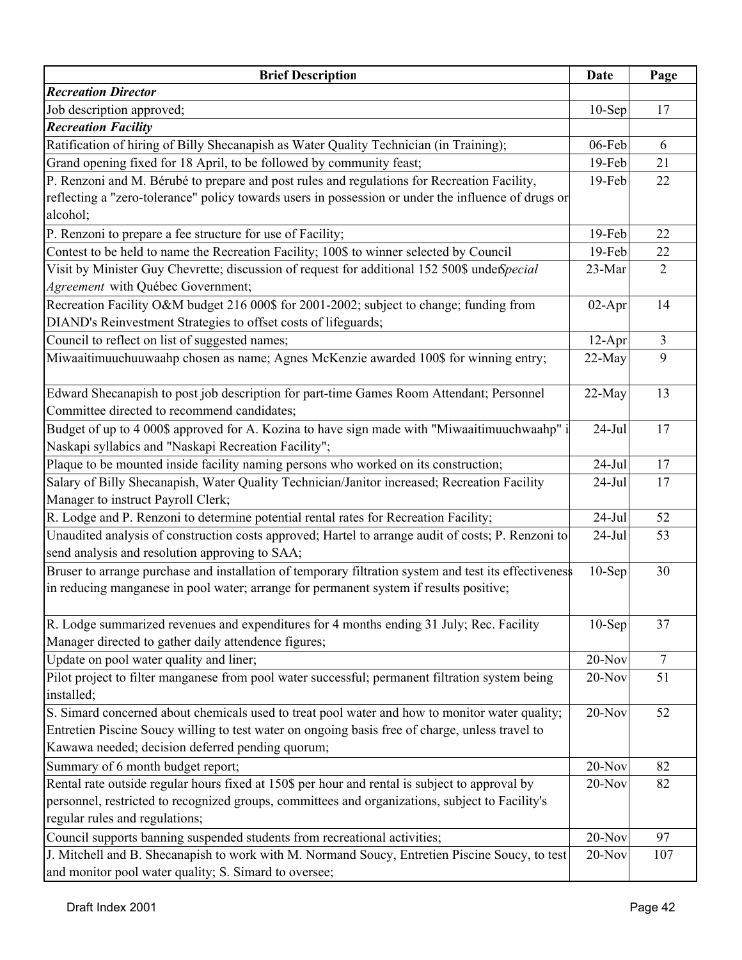| <b>Brief Description</b>                                                                              | Date      | Page           |
|-------------------------------------------------------------------------------------------------------|-----------|----------------|
| <b>Recreation Director</b>                                                                            |           |                |
| Job description approved;                                                                             | $10-$ Sep | 17             |
| <b>Recreation Facility</b>                                                                            |           |                |
| Ratification of hiring of Billy Shecanapish as Water Quality Technician (in Training);                | 06-Feb    | 6              |
| Grand opening fixed for 18 April, to be followed by community feast;                                  | 19-Feb    | 21             |
| P. Renzoni and M. Bérubé to prepare and post rules and regulations for Recreation Facility,           | 19-Feb    | 22             |
| reflecting a "zero-tolerance" policy towards users in possession or under the influence of drugs or   |           |                |
| alcohol;                                                                                              |           |                |
| P. Renzoni to prepare a fee structure for use of Facility;                                            | 19-Feb    | 22             |
| Contest to be held to name the Recreation Facility; 100\$ to winner selected by Council               | 19-Feb    | 22             |
| Visit by Minister Guy Chevrette; discussion of request for additional 152 500\$ underSpecial          | 23-Mar    | $\overline{2}$ |
| Agreement with Québec Government;                                                                     |           |                |
| Recreation Facility O&M budget 216 000\$ for 2001-2002; subject to change; funding from               | $02-Apr$  | 14             |
| DIAND's Reinvestment Strategies to offset costs of lifeguards;                                        |           |                |
| Council to reflect on list of suggested names;                                                        | $12-Apr$  | $\overline{3}$ |
| Miwaaitimuuchuuwaahp chosen as name; Agnes McKenzie awarded 100\$ for winning entry;                  | 22-May    | 9              |
|                                                                                                       |           |                |
| Edward Shecanapish to post job description for part-time Games Room Attendant; Personnel              | 22-May    | 13             |
| Committee directed to recommend candidates;                                                           |           |                |
| Budget of up to 4 000\$ approved for A. Kozina to have sign made with "Miwaaitimuuchwaahp" i          | $24-Jul$  | 17             |
| Naskapi syllabics and "Naskapi Recreation Facility";                                                  |           |                |
| Plaque to be mounted inside facility naming persons who worked on its construction;                   | $24-Jul$  | 17             |
| Salary of Billy Shecanapish, Water Quality Technician/Janitor increased; Recreation Facility          | $24-Jul$  | 17             |
| Manager to instruct Payroll Clerk;                                                                    |           |                |
| R. Lodge and P. Renzoni to determine potential rental rates for Recreation Facility;                  | $24-Jul$  | 52             |
| Unaudited analysis of construction costs approved; Hartel to arrange audit of costs; P. Renzoni to    | $24-Jul$  | 53             |
| send analysis and resolution approving to SAA;                                                        |           |                |
| Bruser to arrange purchase and installation of temporary filtration system and test its effectiveness | $10-$ Sep | 30             |
| in reducing manganese in pool water; arrange for permanent system if results positive;                |           |                |
|                                                                                                       |           |                |
| R. Lodge summarized revenues and expenditures for 4 months ending 31 July; Rec. Facility              | $10-$ Sep | 37             |
| Manager directed to gather daily attendence figures;                                                  |           |                |
| Update on pool water quality and liner;                                                               | 20-Nov    | $\overline{7}$ |
| Pilot project to filter manganese from pool water successful; permanent filtration system being       | 20-Nov    | 51             |
| installed;                                                                                            |           |                |
| S. Simard concerned about chemicals used to treat pool water and how to monitor water quality;        | 20-Nov    | 52             |
| Entretien Piscine Soucy willing to test water on ongoing basis free of charge, unless travel to       |           |                |
| Kawawa needed; decision deferred pending quorum;                                                      |           |                |
| Summary of 6 month budget report;                                                                     | 20-Nov    | 82             |
| Rental rate outside regular hours fixed at 150\$ per hour and rental is subject to approval by        | 20-Nov    | 82             |
| personnel, restricted to recognized groups, committees and organizations, subject to Facility's       |           |                |
| regular rules and regulations;                                                                        |           |                |
| Council supports banning suspended students from recreational activities;                             | 20-Nov    | 97             |
| J. Mitchell and B. Shecanapish to work with M. Normand Soucy, Entretien Piscine Soucy, to test        | $20-Nov$  | 107            |
| and monitor pool water quality; S. Simard to oversee;                                                 |           |                |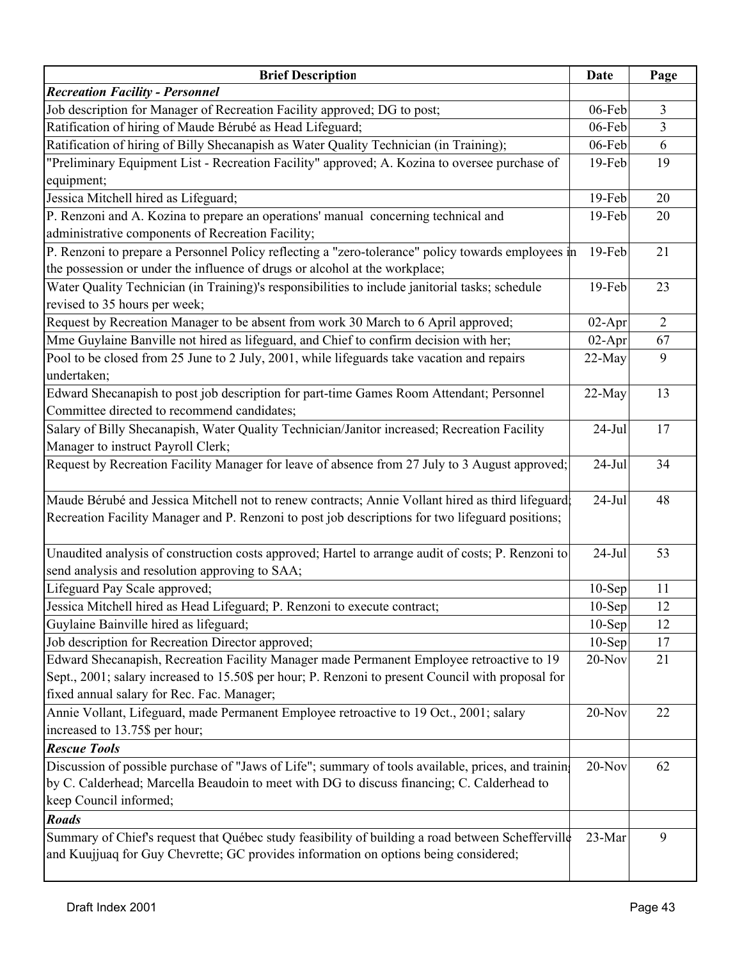| <b>Brief Description</b>                                                                           | <b>Date</b> | Page           |
|----------------------------------------------------------------------------------------------------|-------------|----------------|
| <b>Recreation Facility - Personnel</b>                                                             |             |                |
| Job description for Manager of Recreation Facility approved; DG to post;                           | 06-Feb      | $\mathfrak{Z}$ |
| Ratification of hiring of Maude Bérubé as Head Lifeguard;                                          | 06-Feb      | $\overline{3}$ |
| Ratification of hiring of Billy Shecanapish as Water Quality Technician (in Training);             | 06-Feb      | 6              |
| "Preliminary Equipment List - Recreation Facility" approved; A. Kozina to oversee purchase of      | 19-Feb      | 19             |
| equipment;                                                                                         |             |                |
| Jessica Mitchell hired as Lifeguard;                                                               | $19-Feb$    | 20             |
| P. Renzoni and A. Kozina to prepare an operations' manual concerning technical and                 | 19-Feb      | 20             |
| administrative components of Recreation Facility;                                                  |             |                |
| P. Renzoni to prepare a Personnel Policy reflecting a "zero-tolerance" policy towards employees in | $19$ -Feb   | 21             |
| the possession or under the influence of drugs or alcohol at the workplace;                        |             |                |
| Water Quality Technician (in Training)'s responsibilities to include janitorial tasks; schedule    | 19-Feb      | 23             |
| revised to 35 hours per week;                                                                      |             |                |
| Request by Recreation Manager to be absent from work 30 March to 6 April approved;                 | $02-Apr$    | $\overline{2}$ |
| Mme Guylaine Banville not hired as lifeguard, and Chief to confirm decision with her;              | $02-Apr$    | 67             |
| Pool to be closed from 25 June to 2 July, 2001, while lifeguards take vacation and repairs         | 22-May      | 9              |
| undertaken;                                                                                        |             |                |
| Edward Shecanapish to post job description for part-time Games Room Attendant; Personnel           | 22-May      | 13             |
| Committee directed to recommend candidates;                                                        |             |                |
| Salary of Billy Shecanapish, Water Quality Technician/Janitor increased; Recreation Facility       | $24-Jul$    | 17             |
| Manager to instruct Payroll Clerk;                                                                 |             |                |
| Request by Recreation Facility Manager for leave of absence from 27 July to 3 August approved;     | $24-Jul$    | 34             |
|                                                                                                    |             |                |
| Maude Bérubé and Jessica Mitchell not to renew contracts; Annie Vollant hired as third lifeguard;  | $24-Jul$    | 48             |
| Recreation Facility Manager and P. Renzoni to post job descriptions for two lifeguard positions;   |             |                |
|                                                                                                    |             |                |
| Unaudited analysis of construction costs approved; Hartel to arrange audit of costs; P. Renzoni to | $24-Jul$    | 53             |
| send analysis and resolution approving to SAA;                                                     |             |                |
| Lifeguard Pay Scale approved;                                                                      | $10-Sep$    | 11             |
| Jessica Mitchell hired as Head Lifeguard; P. Renzoni to execute contract;                          | $10-Sep$    | 12             |
| Guylaine Bainville hired as lifeguard;                                                             | $10-Sep$    | 12             |
| Job description for Recreation Director approved;                                                  | $10-Sep$    | 17             |
| Edward Shecanapish, Recreation Facility Manager made Permanent Employee retroactive to 19          | $20$ -Nov   | 21             |
| Sept., 2001; salary increased to 15.50\$ per hour; P. Renzoni to present Council with proposal for |             |                |
| fixed annual salary for Rec. Fac. Manager;                                                         |             |                |
| Annie Vollant, Lifeguard, made Permanent Employee retroactive to 19 Oct., 2001; salary             | 20-Nov      | 22             |
| increased to 13.75\$ per hour;                                                                     |             |                |
| <b>Rescue Tools</b>                                                                                |             |                |
| Discussion of possible purchase of "Jaws of Life"; summary of tools available, prices, and trainin | 20-Nov      | 62             |
| by C. Calderhead; Marcella Beaudoin to meet with DG to discuss financing; C. Calderhead to         |             |                |
| keep Council informed;                                                                             |             |                |
| <b>Roads</b>                                                                                       |             |                |
| Summary of Chief's request that Québec study feasibility of building a road between Schefferville  | 23-Mar      | 9              |
| and Kuujjuaq for Guy Chevrette; GC provides information on options being considered;               |             |                |
|                                                                                                    |             |                |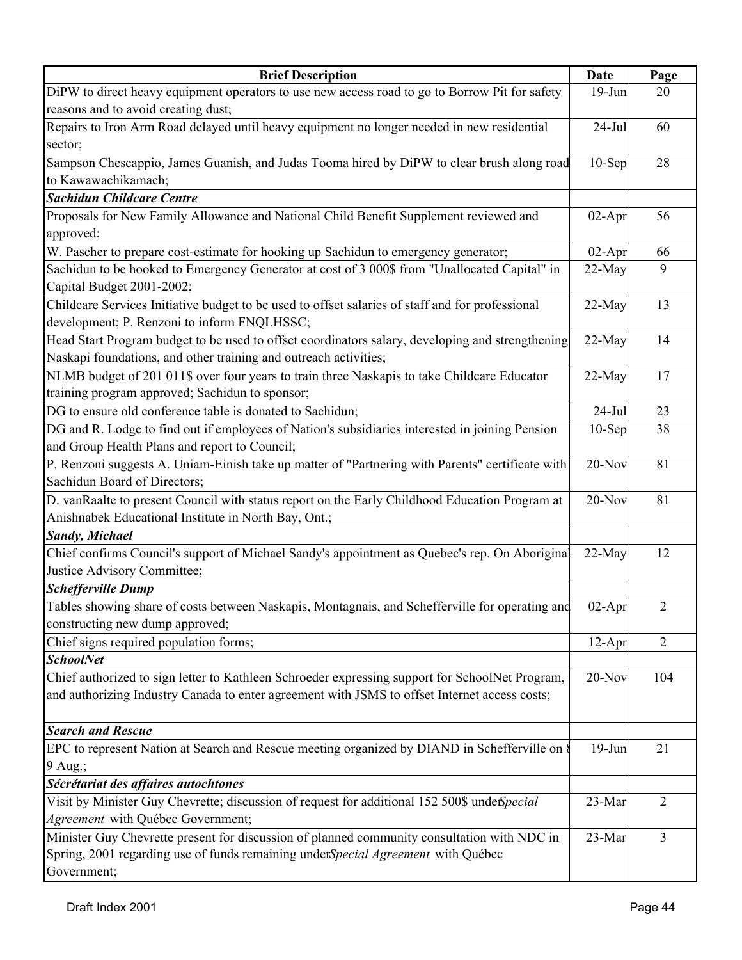| <b>Brief Description</b>                                                                         | Date      | Page           |
|--------------------------------------------------------------------------------------------------|-----------|----------------|
| DiPW to direct heavy equipment operators to use new access road to go to Borrow Pit for safety   | $19-Jun$  | 20             |
| reasons and to avoid creating dust;                                                              |           |                |
| Repairs to Iron Arm Road delayed until heavy equipment no longer needed in new residential       | $24-Jul$  | 60             |
| sector;                                                                                          |           |                |
| Sampson Chescappio, James Guanish, and Judas Tooma hired by DiPW to clear brush along road       | $10-$ Sep | 28             |
| to Kawawachikamach;                                                                              |           |                |
| <b>Sachidun Childcare Centre</b>                                                                 |           |                |
| Proposals for New Family Allowance and National Child Benefit Supplement reviewed and            | $02-Apr$  | 56             |
| approved;                                                                                        |           |                |
| W. Pascher to prepare cost-estimate for hooking up Sachidun to emergency generator;              | $02-Apr$  | 66             |
| Sachidun to be hooked to Emergency Generator at cost of 3 000\$ from "Unallocated Capital" in    | $22-May$  | 9              |
| Capital Budget 2001-2002;                                                                        |           |                |
| Childcare Services Initiative budget to be used to offset salaries of staff and for professional | 22-May    | 13             |
| development; P. Renzoni to inform FNQLHSSC;                                                      |           |                |
| Head Start Program budget to be used to offset coordinators salary, developing and strengthening | 22-May    | 14             |
| Naskapi foundations, and other training and outreach activities;                                 |           |                |
| NLMB budget of 201 011\$ over four years to train three Naskapis to take Childcare Educator      | 22-May    | 17             |
| training program approved; Sachidun to sponsor;                                                  |           |                |
| DG to ensure old conference table is donated to Sachidun;                                        | $24-Jul$  | 23             |
| DG and R. Lodge to find out if employees of Nation's subsidiaries interested in joining Pension  | $10-Sep$  | 38             |
| and Group Health Plans and report to Council;                                                    |           |                |
| P. Renzoni suggests A. Uniam-Einish take up matter of "Partnering with Parents" certificate with | $20-Nov$  | 81             |
| Sachidun Board of Directors;                                                                     |           |                |
| D. vanRaalte to present Council with status report on the Early Childhood Education Program at   | $20-Nov$  | 81             |
| Anishnabek Educational Institute in North Bay, Ont.;                                             |           |                |
| <b>Sandy</b> , Michael                                                                           |           |                |
| Chief confirms Council's support of Michael Sandy's appointment as Quebec's rep. On Aboriginal   | $22-May$  | 12             |
| Justice Advisory Committee;                                                                      |           |                |
| <b>Schefferville Dump</b>                                                                        |           |                |
| Tables showing share of costs between Naskapis, Montagnais, and Schefferville for operating and  | 02-Apr    | $\overline{2}$ |
| constructing new dump approved;                                                                  |           |                |
| Chief signs required population forms;                                                           | $12-Apr$  | $\overline{2}$ |
| <b>SchoolNet</b>                                                                                 |           |                |
| Chief authorized to sign letter to Kathleen Schroeder expressing support for SchoolNet Program,  | $20$ -Nov | 104            |
| and authorizing Industry Canada to enter agreement with JSMS to offset Internet access costs;    |           |                |
|                                                                                                  |           |                |
| <b>Search and Rescue</b>                                                                         |           |                |
| EPC to represent Nation at Search and Rescue meeting organized by DIAND in Schefferville on §    | $19-Jun$  | 21             |
| 9 Aug.;                                                                                          |           |                |
| Sécrétariat des affaires autochtones                                                             |           |                |
| Visit by Minister Guy Chevrette; discussion of request for additional 152 500\$ undefspecial     | 23-Mar    | $\overline{2}$ |
| Agreement with Québec Government;                                                                |           |                |
| Minister Guy Chevrette present for discussion of planned community consultation with NDC in      | 23-Mar    | $\overline{3}$ |
| Spring, 2001 regarding use of funds remaining underSpecial Agreement with Québec                 |           |                |
| Government;                                                                                      |           |                |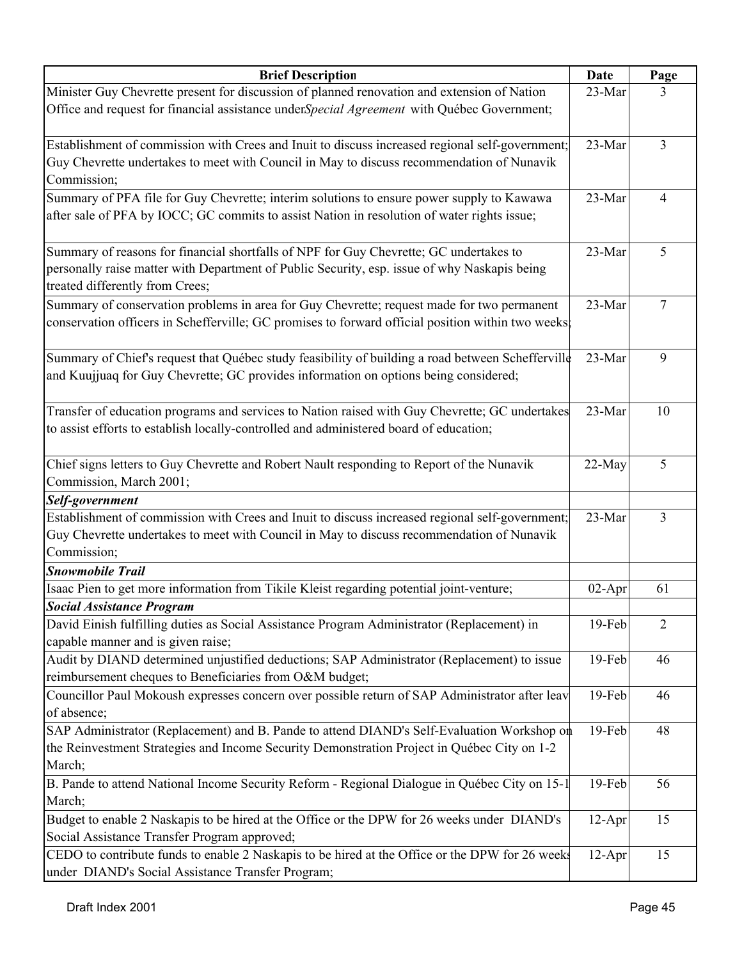| <b>Brief Description</b>                                                                                                                                                                         | <b>Date</b> | Page           |
|--------------------------------------------------------------------------------------------------------------------------------------------------------------------------------------------------|-------------|----------------|
| Minister Guy Chevrette present for discussion of planned renovation and extension of Nation                                                                                                      | 23-Mar      | 3              |
| Office and request for financial assistance underSpecial Agreement with Québec Government;                                                                                                       |             |                |
| Establishment of commission with Crees and Inuit to discuss increased regional self-government;                                                                                                  | 23-Mar      | $\overline{3}$ |
| Guy Chevrette undertakes to meet with Council in May to discuss recommendation of Nunavik                                                                                                        |             |                |
| Commission;                                                                                                                                                                                      |             |                |
| Summary of PFA file for Guy Chevrette; interim solutions to ensure power supply to Kawawa                                                                                                        | 23-Mar      | $\overline{4}$ |
| after sale of PFA by IOCC; GC commits to assist Nation in resolution of water rights issue;                                                                                                      |             |                |
| Summary of reasons for financial shortfalls of NPF for Guy Chevrette; GC undertakes to<br>personally raise matter with Department of Public Security, esp. issue of why Naskapis being           | 23-Mar      | 5              |
| treated differently from Crees;                                                                                                                                                                  |             |                |
| Summary of conservation problems in area for Guy Chevrette; request made for two permanent<br>conservation officers in Schefferville; GC promises to forward official position within two weeks. | 23-Mar      | 7              |
| Summary of Chief's request that Québec study feasibility of building a road between Schefferville<br>and Kuujjuaq for Guy Chevrette; GC provides information on options being considered;        | 23-Mar      | 9              |
| Transfer of education programs and services to Nation raised with Guy Chevrette; GC undertakes<br>to assist efforts to establish locally-controlled and administered board of education;         | 23-Mar      | 10             |
| Chief signs letters to Guy Chevrette and Robert Nault responding to Report of the Nunavik                                                                                                        | 22-May      | 5              |
| Commission, March 2001;                                                                                                                                                                          |             |                |
| Self-government                                                                                                                                                                                  |             |                |
| Establishment of commission with Crees and Inuit to discuss increased regional self-government;                                                                                                  | 23-Mar      | 3              |
| Guy Chevrette undertakes to meet with Council in May to discuss recommendation of Nunavik                                                                                                        |             |                |
| Commission;                                                                                                                                                                                      |             |                |
| <b>Snowmobile Trail</b>                                                                                                                                                                          |             |                |
| Isaac Pien to get more information from Tikile Kleist regarding potential joint-venture;                                                                                                         | $02-Apr$    | 61             |
| <b>Social Assistance Program</b>                                                                                                                                                                 |             |                |
| David Einish fulfilling duties as Social Assistance Program Administrator (Replacement) in<br>capable manner and is given raise;                                                                 | 19-Feb      | $\overline{2}$ |
| Audit by DIAND determined unjustified deductions; SAP Administrator (Replacement) to issue<br>reimbursement cheques to Beneficiaries from O&M budget;                                            | 19-Feb      | 46             |
| Councillor Paul Mokoush expresses concern over possible return of SAP Administrator after leav<br>of absence;                                                                                    | 19-Feb      | 46             |
| SAP Administrator (Replacement) and B. Pande to attend DIAND's Self-Evaluation Workshop on                                                                                                       | 19-Feb      | 48             |
| the Reinvestment Strategies and Income Security Demonstration Project in Québec City on 1-2<br>March;                                                                                            |             |                |
| B. Pande to attend National Income Security Reform - Regional Dialogue in Québec City on 15-1                                                                                                    | 19-Feb      | 56             |
| March;                                                                                                                                                                                           |             |                |
| Budget to enable 2 Naskapis to be hired at the Office or the DPW for 26 weeks under DIAND's                                                                                                      | $12-Apr$    | 15             |
| Social Assistance Transfer Program approved;                                                                                                                                                     |             |                |
| CEDO to contribute funds to enable 2 Naskapis to be hired at the Office or the DPW for 26 weeks                                                                                                  | $12-Apr$    | 15             |
| under DIAND's Social Assistance Transfer Program;                                                                                                                                                |             |                |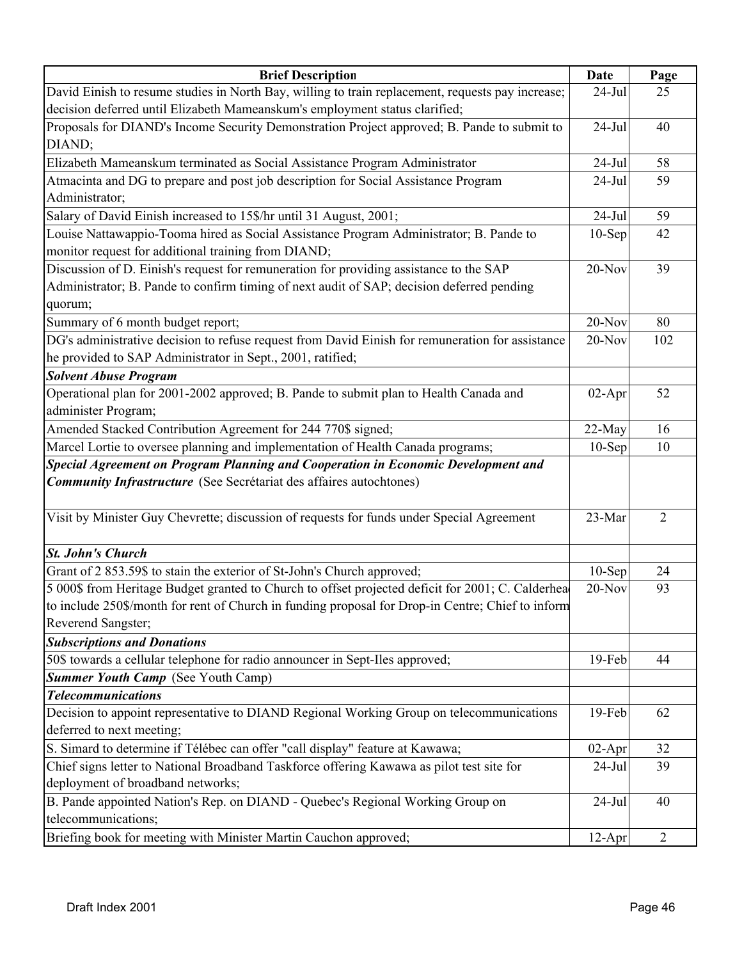| <b>Brief Description</b>                                                                                                                                        | Date      | Page           |
|-----------------------------------------------------------------------------------------------------------------------------------------------------------------|-----------|----------------|
| David Einish to resume studies in North Bay, willing to train replacement, requests pay increase;                                                               | $24$ -Jul | 25             |
| decision deferred until Elizabeth Mameanskum's employment status clarified;                                                                                     |           |                |
| Proposals for DIAND's Income Security Demonstration Project approved; B. Pande to submit to                                                                     | $24-Jul$  | 40             |
| DIAND;                                                                                                                                                          |           |                |
| Elizabeth Mameanskum terminated as Social Assistance Program Administrator                                                                                      | $24-Jul$  | 58             |
| Atmacinta and DG to prepare and post job description for Social Assistance Program                                                                              | $24-Jul$  | 59             |
| Administrator;                                                                                                                                                  |           |                |
| Salary of David Einish increased to 15\$/hr until 31 August, 2001;                                                                                              | $24-Jul$  | 59             |
| Louise Nattawappio-Tooma hired as Social Assistance Program Administrator; B. Pande to                                                                          | $10-Sep$  | 42             |
| monitor request for additional training from DIAND;                                                                                                             |           |                |
| Discussion of D. Einish's request for remuneration for providing assistance to the SAP                                                                          | $20$ -Nov | 39             |
| Administrator; B. Pande to confirm timing of next audit of SAP; decision deferred pending                                                                       |           |                |
| quorum;                                                                                                                                                         |           |                |
| Summary of 6 month budget report;                                                                                                                               | $20-Nov$  | 80             |
| DG's administrative decision to refuse request from David Einish for remuneration for assistance                                                                | $20-Nov$  | 102            |
| he provided to SAP Administrator in Sept., 2001, ratified;                                                                                                      |           |                |
| <b>Solvent Abuse Program</b>                                                                                                                                    |           |                |
| Operational plan for 2001-2002 approved; B. Pande to submit plan to Health Canada and                                                                           | $02-Apr$  | 52             |
| administer Program;                                                                                                                                             |           |                |
| Amended Stacked Contribution Agreement for 244 770\$ signed;                                                                                                    | 22-May    | 16             |
| Marcel Lortie to oversee planning and implementation of Health Canada programs;                                                                                 | $10-$ Sep | 10             |
| Special Agreement on Program Planning and Cooperation in Economic Development and<br><b>Community Infrastructure</b> (See Secrétariat des affaires autochtones) |           |                |
| Visit by Minister Guy Chevrette; discussion of requests for funds under Special Agreement                                                                       | 23-Mar    | $\overline{2}$ |
|                                                                                                                                                                 |           |                |
| <b>St. John's Church</b>                                                                                                                                        |           |                |
| Grant of 2 853.59\$ to stain the exterior of St-John's Church approved;                                                                                         | $10-Sep$  | 24             |
| 5 000\$ from Heritage Budget granted to Church to offset projected deficit for 2001; C. Calderhea                                                               | $20-Nov$  | 93             |
| to include 250\$/month for rent of Church in funding proposal for Drop-in Centre; Chief to inform<br>Reverend Sangster;                                         |           |                |
| <b>Subscriptions and Donations</b>                                                                                                                              |           |                |
| 50\$ towards a cellular telephone for radio announcer in Sept-Iles approved;                                                                                    | 19-Feb    | 44             |
| <b>Summer Youth Camp</b> (See Youth Camp)                                                                                                                       |           |                |
| <b>Telecommunications</b>                                                                                                                                       |           |                |
| Decision to appoint representative to DIAND Regional Working Group on telecommunications                                                                        | 19-Feb    | 62             |
| deferred to next meeting;                                                                                                                                       |           |                |
| S. Simard to determine if Télébec can offer "call display" feature at Kawawa;                                                                                   | $02-Apr$  | 32             |
| Chief signs letter to National Broadband Taskforce offering Kawawa as pilot test site for                                                                       | $24-Jul$  | 39             |
| deployment of broadband networks;                                                                                                                               |           |                |
| B. Pande appointed Nation's Rep. on DIAND - Quebec's Regional Working Group on                                                                                  | $24-Jul$  | 40             |
| telecommunications;                                                                                                                                             |           |                |
| Briefing book for meeting with Minister Martin Cauchon approved;                                                                                                | $12-Apr$  | 2              |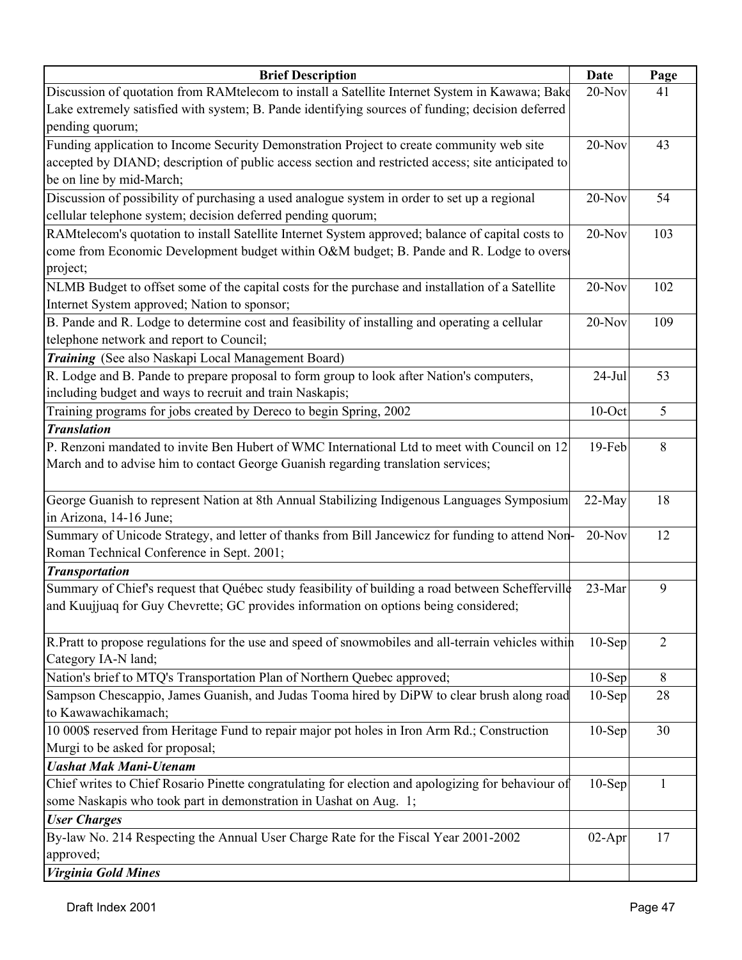| <b>Brief Description</b>                                                                            | Date      | Page           |
|-----------------------------------------------------------------------------------------------------|-----------|----------------|
| Discussion of quotation from RAMtelecom to install a Satellite Internet System in Kawawa; Bake      | 20-Nov    | 41             |
| Lake extremely satisfied with system; B. Pande identifying sources of funding; decision deferred    |           |                |
| pending quorum;                                                                                     |           |                |
| Funding application to Income Security Demonstration Project to create community web site           | 20-Nov    | 43             |
| accepted by DIAND; description of public access section and restricted access; site anticipated to  |           |                |
| be on line by mid-March;                                                                            |           |                |
| Discussion of possibility of purchasing a used analogue system in order to set up a regional        | 20-Nov    | 54             |
| cellular telephone system; decision deferred pending quorum;                                        |           |                |
| RAMtelecom's quotation to install Satellite Internet System approved; balance of capital costs to   | 20-Nov    | 103            |
| come from Economic Development budget within O&M budget; B. Pande and R. Lodge to overse            |           |                |
| project;                                                                                            |           |                |
| NLMB Budget to offset some of the capital costs for the purchase and installation of a Satellite    | 20-Nov    | 102            |
| Internet System approved; Nation to sponsor;                                                        |           |                |
| B. Pande and R. Lodge to determine cost and feasibility of installing and operating a cellular      | $20-Nov$  | 109            |
| telephone network and report to Council;                                                            |           |                |
| Training (See also Naskapi Local Management Board)                                                  |           |                |
| R. Lodge and B. Pande to prepare proposal to form group to look after Nation's computers,           | $24-Jul$  | 53             |
| including budget and ways to recruit and train Naskapis;                                            |           |                |
| Training programs for jobs created by Dereco to begin Spring, 2002                                  | $10$ -Oct | 5              |
| <b>Translation</b>                                                                                  |           |                |
| P. Renzoni mandated to invite Ben Hubert of WMC International Ltd to meet with Council on 12        | 19-Feb    | 8              |
| March and to advise him to contact George Guanish regarding translation services;                   |           |                |
|                                                                                                     |           |                |
| George Guanish to represent Nation at 8th Annual Stabilizing Indigenous Languages Symposium         | 22-May    | 18             |
| in Arizona, 14-16 June;                                                                             |           |                |
| Summary of Unicode Strategy, and letter of thanks from Bill Jancewicz for funding to attend Non-    | $20-Nov$  | 12             |
| Roman Technical Conference in Sept. 2001;                                                           |           |                |
| <b>Transportation</b>                                                                               |           |                |
| Summary of Chief's request that Québec study feasibility of building a road between Schefferville   | 23-Mar    | 9              |
| and Kuujjuaq for Guy Chevrette; GC provides information on options being considered;                |           |                |
|                                                                                                     |           |                |
| R.Pratt to propose regulations for the use and speed of snowmobiles and all-terrain vehicles within | $10-Sep$  | $\overline{2}$ |
| Category IA-N land;                                                                                 |           |                |
| Nation's brief to MTQ's Transportation Plan of Northern Quebec approved;                            | $10-Sep$  | 8              |
| Sampson Chescappio, James Guanish, and Judas Tooma hired by DiPW to clear brush along road          | $10-Sep$  | 28             |
| to Kawawachikamach;                                                                                 |           |                |
| 10 000\$ reserved from Heritage Fund to repair major pot holes in Iron Arm Rd.; Construction        | $10-$ Sep | 30             |
| Murgi to be asked for proposal;                                                                     |           |                |
| <b>Uashat Mak Mani-Utenam</b>                                                                       |           |                |
| Chief writes to Chief Rosario Pinette congratulating for election and apologizing for behaviour of  | $10-$ Sep | $\mathbf{1}$   |
| some Naskapis who took part in demonstration in Uashat on Aug. 1;                                   |           |                |
| <b>User Charges</b>                                                                                 |           |                |
| By-law No. 214 Respecting the Annual User Charge Rate for the Fiscal Year 2001-2002                 | $02-Apr$  | 17             |
| approved;                                                                                           |           |                |
| <b>Virginia Gold Mines</b>                                                                          |           |                |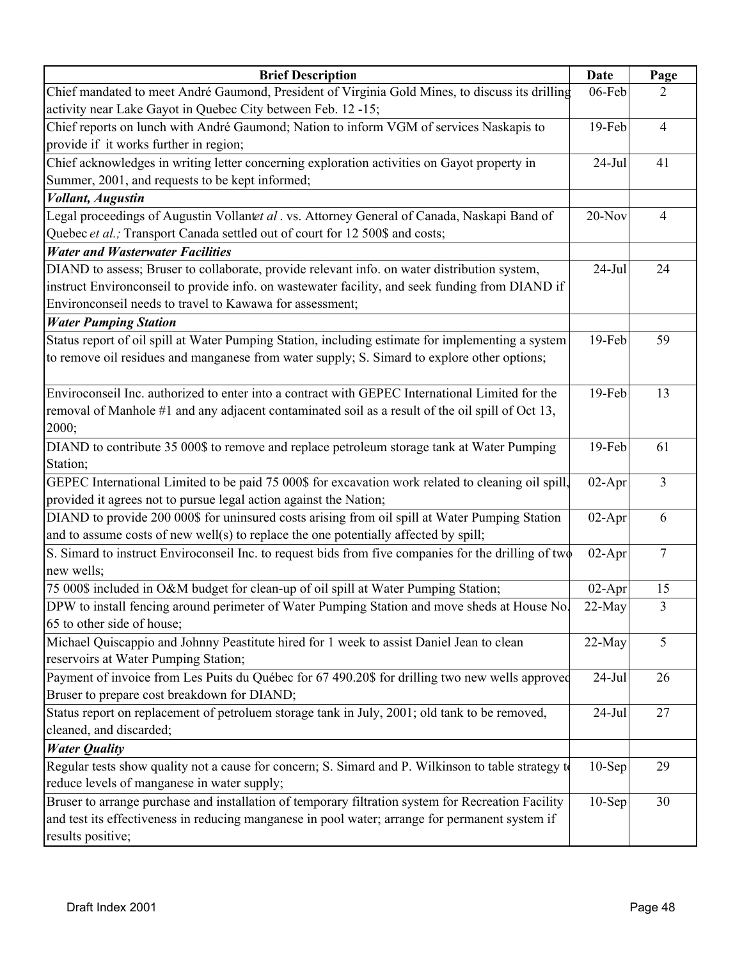| <b>Brief Description</b>                                                                             | Date      | Page           |
|------------------------------------------------------------------------------------------------------|-----------|----------------|
| Chief mandated to meet André Gaumond, President of Virginia Gold Mines, to discuss its drilling      | 06-Feb    | 2              |
| activity near Lake Gayot in Quebec City between Feb. 12 -15;                                         |           |                |
| Chief reports on lunch with André Gaumond; Nation to inform VGM of services Naskapis to              | 19-Feb    | $\overline{4}$ |
| provide if it works further in region;                                                               |           |                |
| Chief acknowledges in writing letter concerning exploration activities on Gayot property in          | $24-Jul$  | 41             |
| Summer, 2001, and requests to be kept informed;                                                      |           |                |
| <b>Vollant</b> , Augustin                                                                            |           |                |
| Legal proceedings of Augustin Vollantet al. vs. Attorney General of Canada, Naskapi Band of          | 20-Nov    | 4              |
| Quebec et al.; Transport Canada settled out of court for 12 500\$ and costs;                         |           |                |
| <b>Water and Wasterwater Facilities</b>                                                              |           |                |
| DIAND to assess; Bruser to collaborate, provide relevant info. on water distribution system,         | $24-Jul$  | 24             |
| instruct Environconseil to provide info. on wastewater facility, and seek funding from DIAND if      |           |                |
| Environconseil needs to travel to Kawawa for assessment;                                             |           |                |
| <b>Water Pumping Station</b>                                                                         |           |                |
| Status report of oil spill at Water Pumping Station, including estimate for implementing a system    | 19-Feb    | 59             |
| to remove oil residues and manganese from water supply; S. Simard to explore other options;          |           |                |
|                                                                                                      |           |                |
| Enviroconseil Inc. authorized to enter into a contract with GEPEC International Limited for the      | 19-Feb    | 13             |
| removal of Manhole #1 and any adjacent contaminated soil as a result of the oil spill of Oct 13,     |           |                |
| 2000;                                                                                                |           |                |
| DIAND to contribute 35 000\$ to remove and replace petroleum storage tank at Water Pumping           | 19-Feb    | 61             |
| Station;                                                                                             |           |                |
| GEPEC International Limited to be paid 75 000\$ for excavation work related to cleaning oil spill,   | $02-Apr$  | 3              |
| provided it agrees not to pursue legal action against the Nation;                                    |           |                |
| DIAND to provide 200 000\$ for uninsured costs arising from oil spill at Water Pumping Station       | $02-Apr$  | 6              |
| and to assume costs of new well(s) to replace the one potentially affected by spill;                 |           |                |
| S. Simard to instruct Enviroconseil Inc. to request bids from five companies for the drilling of two | $02-Apr$  | 7              |
| new wells;                                                                                           |           |                |
| 75 000\$ included in O&M budget for clean-up of oil spill at Water Pumping Station;                  | $02-Apr$  | 15             |
| DPW to install fencing around perimeter of Water Pumping Station and move sheds at House No.         | 22-May    | 3              |
| 65 to other side of house;                                                                           |           |                |
| Michael Quiscappio and Johnny Peastitute hired for 1 week to assist Daniel Jean to clean             | $22-May$  | 5              |
| reservoirs at Water Pumping Station;                                                                 |           |                |
| Payment of invoice from Les Puits du Québec for 67 490.20\$ for drilling two new wells approved      | $24$ -Jul | 26             |
| Bruser to prepare cost breakdown for DIAND;                                                          |           |                |
| Status report on replacement of petroluem storage tank in July, 2001; old tank to be removed,        | $24-Jul$  | 27             |
| cleaned, and discarded;                                                                              |           |                |
| <b>Water Quality</b>                                                                                 |           |                |
| Regular tests show quality not a cause for concern; S. Simard and P. Wilkinson to table strategy to  | $10-Sep$  | 29             |
| reduce levels of manganese in water supply;                                                          |           |                |
| Bruser to arrange purchase and installation of temporary filtration system for Recreation Facility   | $10-Sep$  | 30             |
| and test its effectiveness in reducing manganese in pool water; arrange for permanent system if      |           |                |
| results positive;                                                                                    |           |                |